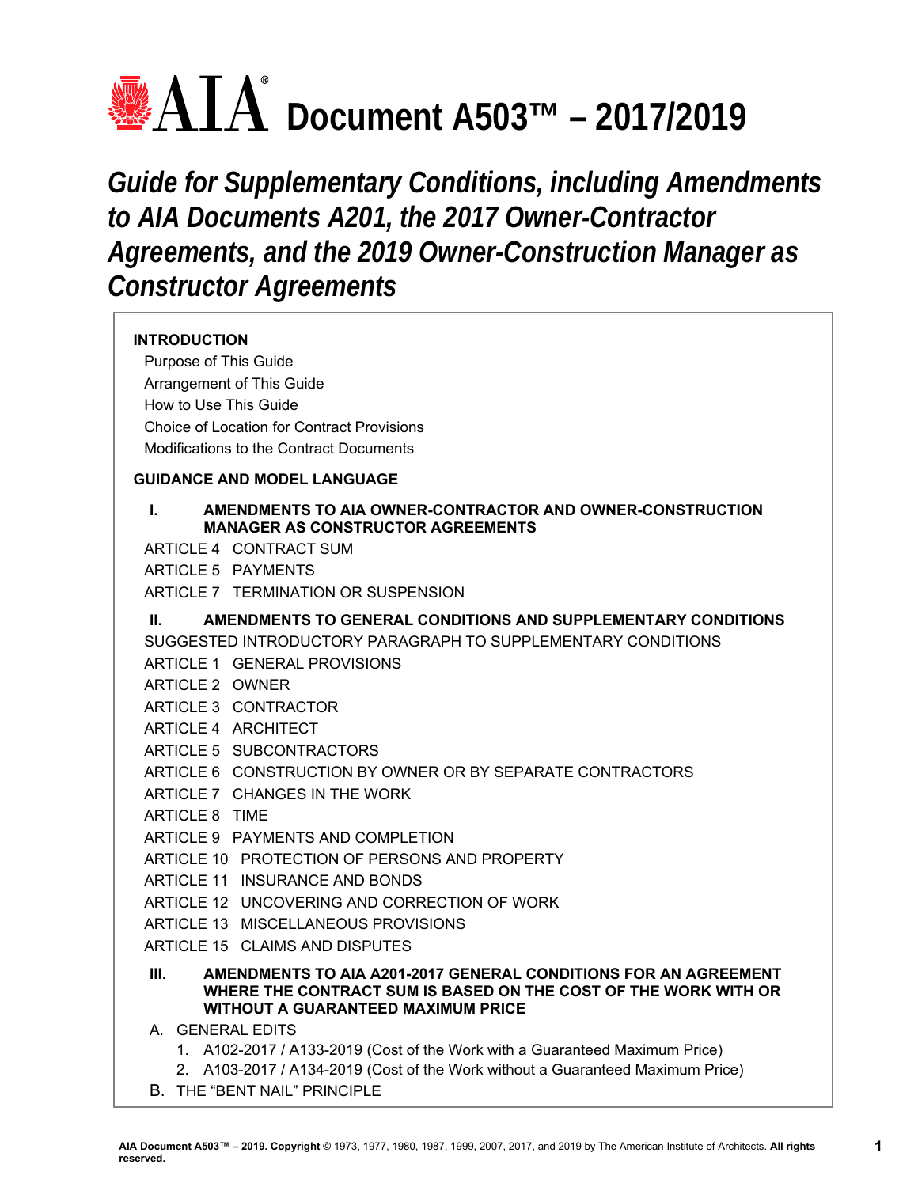# **<u>AIA</u>** Document A503™ – 2017/2019

*Guide for Supplementary Conditions, including Amendments to AIA Documents A201, the 2017 Owner-Contractor Agreements, and the 2019 Owner-Construction Manager as Constructor Agreements* 

## **INTRODUCTION**  Purpose of This Guide Arrangement of This Guide How to Use This Guide Choice of Location for Contract Provisions Modifications to the Contract Documents **GUIDANCE AND MODEL LANGUAGE I. AMENDMENTS TO AIA OWNER-CONTRACTOR AND OWNER-CONSTRUCTION MANAGER AS CONSTRUCTOR AGREEMENTS**  ARTICLE 4 CONTRACT SUM ARTICLE 5 PAYMENTS ARTICLE 7 TERMINATION OR SUSPENSION **II. AMENDMENTS TO GENERAL CONDITIONS AND SUPPLEMENTARY CONDITIONS**  SUGGESTED INTRODUCTORY PARAGRAPH TO SUPPLEMENTARY CONDITIONS ARTICLE 1 GENERAL PROVISIONS ARTICLE 2 OWNER ARTICLE 3 CONTRACTOR ARTICLE 4 ARCHITECT ARTICLE 5 SUBCONTRACTORS ARTICLE 6 CONSTRUCTION BY OWNER OR BY SEPARATE CONTRACTORS ARTICLE 7 CHANGES IN THE WORK ARTICLE 8 TIME ARTICLE 9 PAYMENTS AND COMPLETION ARTICLE 10 PROTECTION OF PERSONS AND PROPERTY ARTICLE 11 INSURANCE AND BONDS ARTICLE 12 UNCOVERING AND CORRECTION OF WORK ARTICLE 13 MISCELLANEOUS PROVISIONS ARTICLE 15 CLAIMS AND DISPUTES **III. AMENDMENTS TO AIA A201-2017 GENERAL CONDITIONS FOR AN AGREEMENT WHERE THE CONTRACT SUM IS BASED ON THE COST OF THE WORK WITH OR WITHOUT A GUARANTEED MAXIMUM PRICE**  A. GENERAL EDITS 1. A102-2017 / A133-2019 (Cost of the Work with a Guaranteed Maximum Price) 2. A103-2017 / A134-2019 (Cost of the Work without a Guaranteed Maximum Price) B. THE "BENT NAIL" PRINCIPLE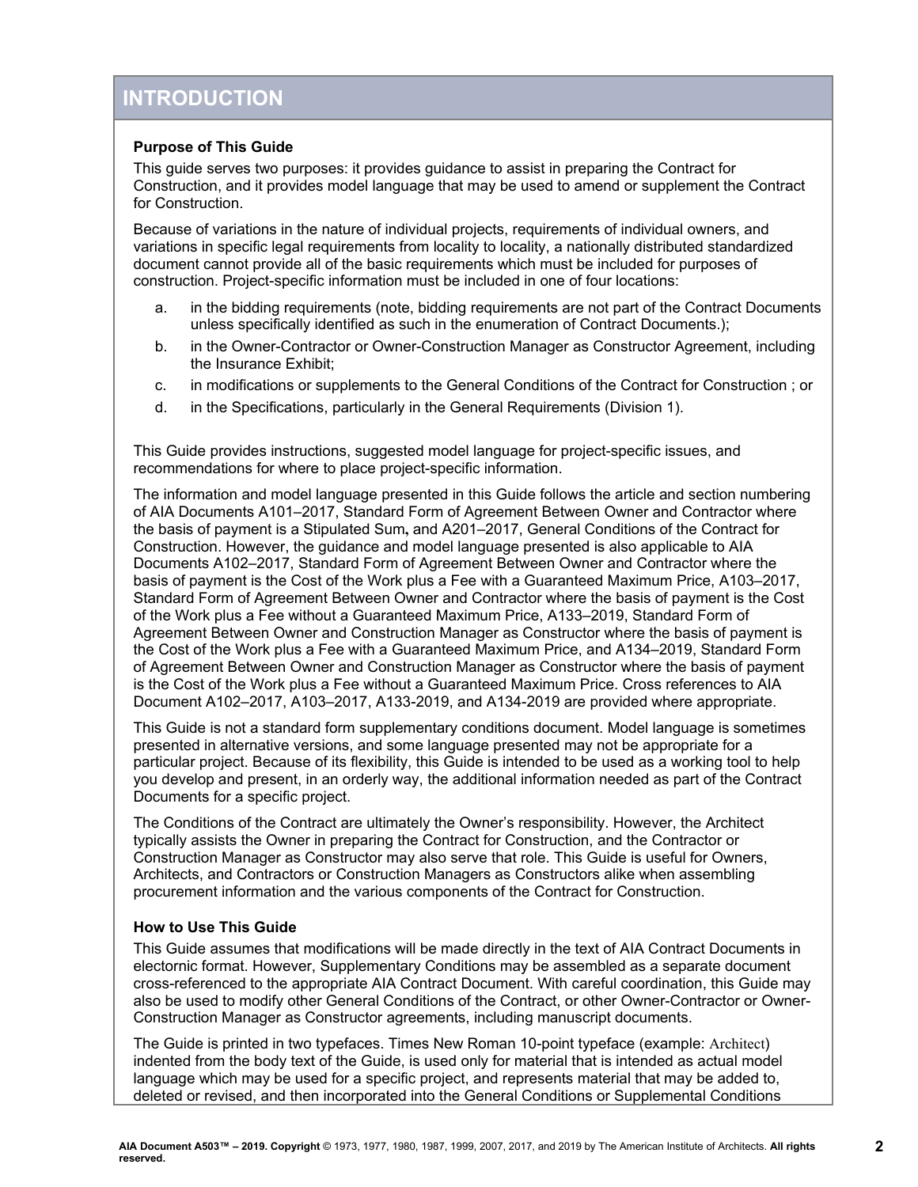# **INTRODUCTION**

## **Purpose of This Guide**

This guide serves two purposes: it provides guidance to assist in preparing the Contract for Construction, and it provides model language that may be used to amend or supplement the Contract for Construction.

Because of variations in the nature of individual projects, requirements of individual owners, and variations in specific legal requirements from locality to locality, a nationally distributed standardized document cannot provide all of the basic requirements which must be included for purposes of construction. Project-specific information must be included in one of four locations:

- a. in the bidding requirements (note, bidding requirements are not part of the Contract Documents unless specifically identified as such in the enumeration of Contract Documents.);
- b. in the Owner-Contractor or Owner-Construction Manager as Constructor Agreement, including the Insurance Exhibit;
- c. in modifications or supplements to the General Conditions of the Contract for Construction ; or
- d. in the Specifications, particularly in the General Requirements (Division 1).

This Guide provides instructions, suggested model language for project-specific issues, and recommendations for where to place project-specific information.

The information and model language presented in this Guide follows the article and section numbering of AIA Documents A101–2017, Standard Form of Agreement Between Owner and Contractor where the basis of payment is a Stipulated Sum**,** and A201–2017, General Conditions of the Contract for Construction. However, the guidance and model language presented is also applicable to AIA Documents A102–2017, Standard Form of Agreement Between Owner and Contractor where the basis of payment is the Cost of the Work plus a Fee with a Guaranteed Maximum Price, A103–2017, Standard Form of Agreement Between Owner and Contractor where the basis of payment is the Cost of the Work plus a Fee without a Guaranteed Maximum Price, A133–2019, Standard Form of Agreement Between Owner and Construction Manager as Constructor where the basis of payment is the Cost of the Work plus a Fee with a Guaranteed Maximum Price, and A134–2019, Standard Form of Agreement Between Owner and Construction Manager as Constructor where the basis of payment is the Cost of the Work plus a Fee without a Guaranteed Maximum Price. Cross references to AIA Document A102–2017, A103–2017, A133-2019, and A134-2019 are provided where appropriate.

This Guide is not a standard form supplementary conditions document. Model language is sometimes presented in alternative versions, and some language presented may not be appropriate for a particular project. Because of its flexibility, this Guide is intended to be used as a working tool to help you develop and present, in an orderly way, the additional information needed as part of the Contract Documents for a specific project.

The Conditions of the Contract are ultimately the Owner's responsibility. However, the Architect typically assists the Owner in preparing the Contract for Construction, and the Contractor or Construction Manager as Constructor may also serve that role. This Guide is useful for Owners, Architects, and Contractors or Construction Managers as Constructors alike when assembling procurement information and the various components of the Contract for Construction.

#### **How to Use This Guide**

This Guide assumes that modifications will be made directly in the text of AIA Contract Documents in electornic format. However, Supplementary Conditions may be assembled as a separate document cross-referenced to the appropriate AIA Contract Document. With careful coordination, this Guide may also be used to modify other General Conditions of the Contract, or other Owner-Contractor or Owner-Construction Manager as Constructor agreements, including manuscript documents.

The Guide is printed in two typefaces. Times New Roman 10-point typeface (example: Architect) indented from the body text of the Guide, is used only for material that is intended as actual model language which may be used for a specific project, and represents material that may be added to, deleted or revised, and then incorporated into the General Conditions or Supplemental Conditions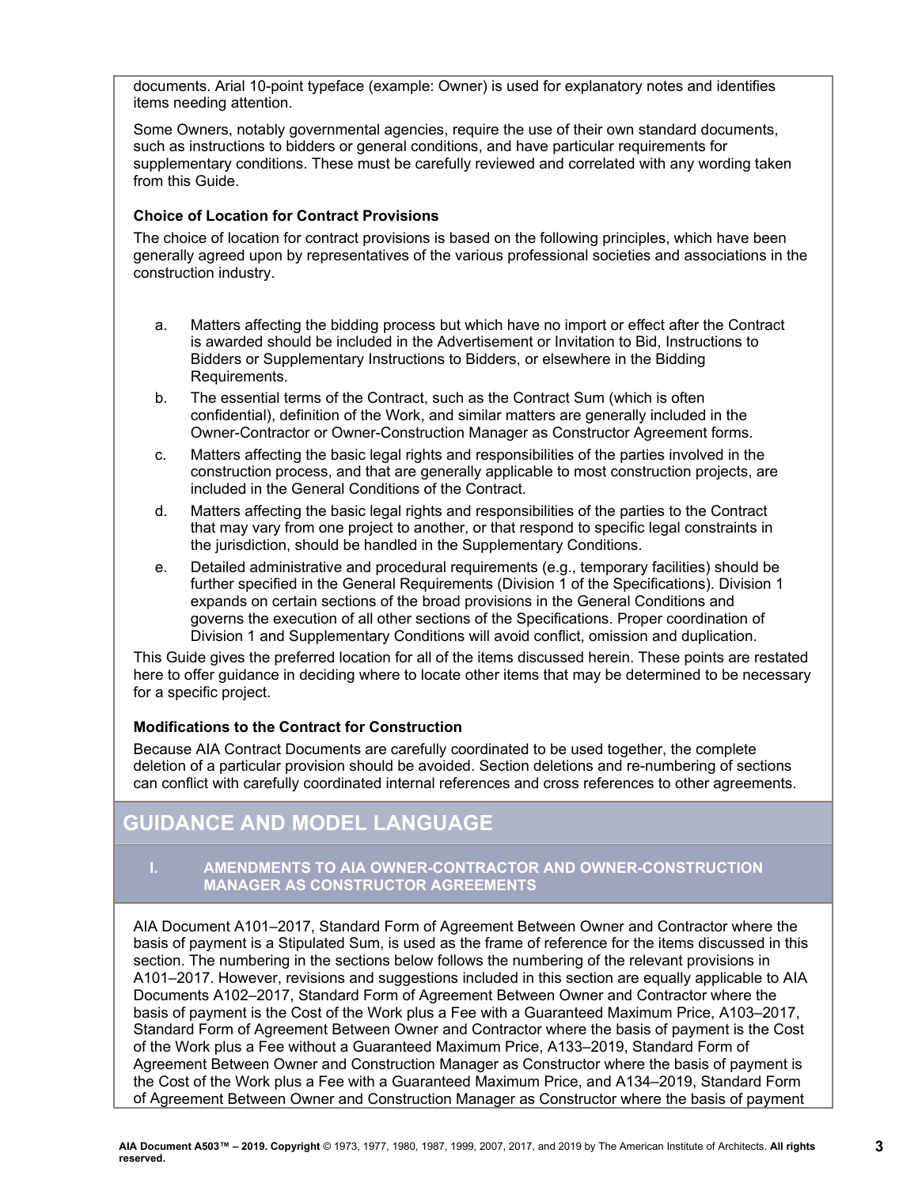documents. Arial 10-point typeface (example: Owner) is used for explanatory notes and identifies items needing attention.

Some Owners, notably governmental agencies, require the use of their own standard documents, such as instructions to bidders or general conditions, and have particular requirements for supplementary conditions. These must be carefully reviewed and correlated with any wording taken from this Guide.

## **Choice of Location for Contract Provisions**

The choice of location for contract provisions is based on the following principles, which have been generally agreed upon by representatives of the various professional societies and associations in the construction industry.

- a. Matters affecting the bidding process but which have no import or effect after the Contract is awarded should be included in the Advertisement or Invitation to Bid, Instructions to Bidders or Supplementary Instructions to Bidders, or elsewhere in the Bidding Requirements.
- b. The essential terms of the Contract, such as the Contract Sum (which is often confidential), definition of the Work, and similar matters are generally included in the Owner-Contractor or Owner-Construction Manager as Constructor Agreement forms.
- c. Matters affecting the basic legal rights and responsibilities of the parties involved in the construction process, and that are generally applicable to most construction projects, are included in the General Conditions of the Contract.
- d. Matters affecting the basic legal rights and responsibilities of the parties to the Contract that may vary from one project to another, or that respond to specific legal constraints in the jurisdiction, should be handled in the Supplementary Conditions.
- e. Detailed administrative and procedural requirements (e.g., temporary facilities) should be further specified in the General Requirements (Division 1 of the Specifications). Division 1 expands on certain sections of the broad provisions in the General Conditions and governs the execution of all other sections of the Specifications. Proper coordination of Division 1 and Supplementary Conditions will avoid conflict, omission and duplication.

This Guide gives the preferred location for all of the items discussed herein. These points are restated here to offer guidance in deciding where to locate other items that may be determined to be necessary for a specific project.

## **Modifications to the Contract for Construction**

Because AIA Contract Documents are carefully coordinated to be used together, the complete deletion of a particular provision should be avoided. Section deletions and re-numbering of sections can conflict with carefully coordinated internal references and cross references to other agreements.

# **GUIDANCE AND MODEL LANGUAGE**

#### **I. AMENDMENTS TO AIA OWNER-CONTRACTOR AND OWNER-CONSTRUCTION MANAGER AS CONSTRUCTOR AGREEMENTS**

AIA Document A101–2017, Standard Form of Agreement Between Owner and Contractor where the basis of payment is a Stipulated Sum, is used as the frame of reference for the items discussed in this section. The numbering in the sections below follows the numbering of the relevant provisions in A101–2017. However, revisions and suggestions included in this section are equally applicable to AIA Documents A102–2017, Standard Form of Agreement Between Owner and Contractor where the basis of payment is the Cost of the Work plus a Fee with a Guaranteed Maximum Price, A103–2017, Standard Form of Agreement Between Owner and Contractor where the basis of payment is the Cost of the Work plus a Fee without a Guaranteed Maximum Price, A133–2019, Standard Form of Agreement Between Owner and Construction Manager as Constructor where the basis of payment is the Cost of the Work plus a Fee with a Guaranteed Maximum Price, and A134–2019, Standard Form of Agreement Between Owner and Construction Manager as Constructor where the basis of payment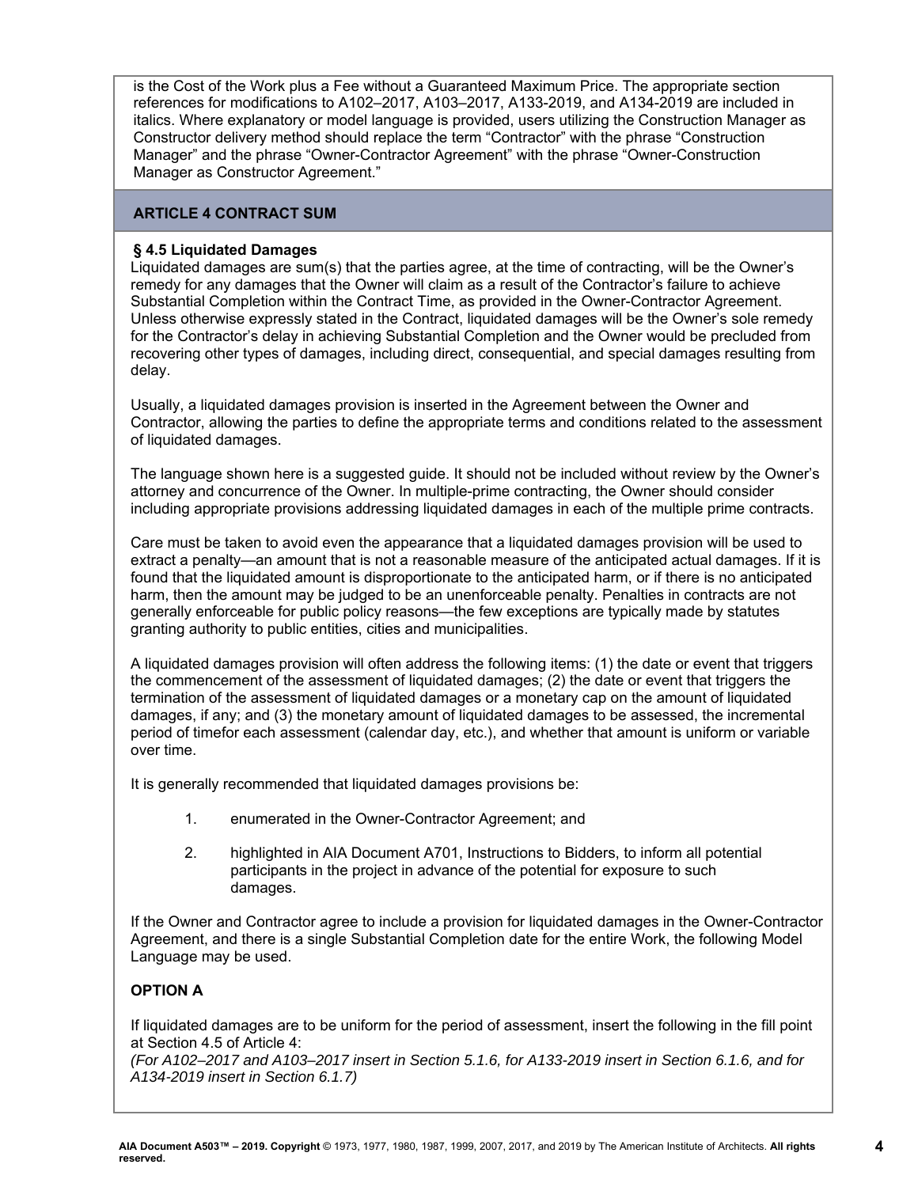is the Cost of the Work plus a Fee without a Guaranteed Maximum Price. The appropriate section references for modifications to A102–2017, A103–2017, A133-2019, and A134-2019 are included in italics. Where explanatory or model language is provided, users utilizing the Construction Manager as Constructor delivery method should replace the term "Contractor" with the phrase "Construction Manager" and the phrase "Owner-Contractor Agreement" with the phrase "Owner-Construction Manager as Constructor Agreement."

#### **ARTICLE 4 CONTRACT SUM**

#### **§ 4.5 Liquidated Damages**

Liquidated damages are sum(s) that the parties agree, at the time of contracting, will be the Owner's remedy for any damages that the Owner will claim as a result of the Contractor's failure to achieve Substantial Completion within the Contract Time, as provided in the Owner-Contractor Agreement. Unless otherwise expressly stated in the Contract, liquidated damages will be the Owner's sole remedy for the Contractor's delay in achieving Substantial Completion and the Owner would be precluded from recovering other types of damages, including direct, consequential, and special damages resulting from delay.

Usually, a liquidated damages provision is inserted in the Agreement between the Owner and Contractor, allowing the parties to define the appropriate terms and conditions related to the assessment of liquidated damages.

The language shown here is a suggested guide. It should not be included without review by the Owner's attorney and concurrence of the Owner. In multiple-prime contracting, the Owner should consider including appropriate provisions addressing liquidated damages in each of the multiple prime contracts.

Care must be taken to avoid even the appearance that a liquidated damages provision will be used to extract a penalty—an amount that is not a reasonable measure of the anticipated actual damages. If it is found that the liquidated amount is disproportionate to the anticipated harm, or if there is no anticipated harm, then the amount may be judged to be an unenforceable penalty. Penalties in contracts are not generally enforceable for public policy reasons—the few exceptions are typically made by statutes granting authority to public entities, cities and municipalities.

A liquidated damages provision will often address the following items: (1) the date or event that triggers the commencement of the assessment of liquidated damages; (2) the date or event that triggers the termination of the assessment of liquidated damages or a monetary cap on the amount of liquidated damages, if any; and (3) the monetary amount of liquidated damages to be assessed, the incremental period of timefor each assessment (calendar day, etc.), and whether that amount is uniform or variable over time.

It is generally recommended that liquidated damages provisions be:

- 1. enumerated in the Owner-Contractor Agreement; and
- 2. highlighted in AIA Document A701, Instructions to Bidders, to inform all potential participants in the project in advance of the potential for exposure to such damages.

If the Owner and Contractor agree to include a provision for liquidated damages in the Owner-Contractor Agreement, and there is a single Substantial Completion date for the entire Work, the following Model Language may be used.

## **OPTION A**

If liquidated damages are to be uniform for the period of assessment, insert the following in the fill point at Section 4.5 of Article 4:

*(For A102–2017 and A103–2017 insert in Section 5.1.6, for A133-2019 insert in Section 6.1.6, and for A134-2019 insert in Section 6.1.7)*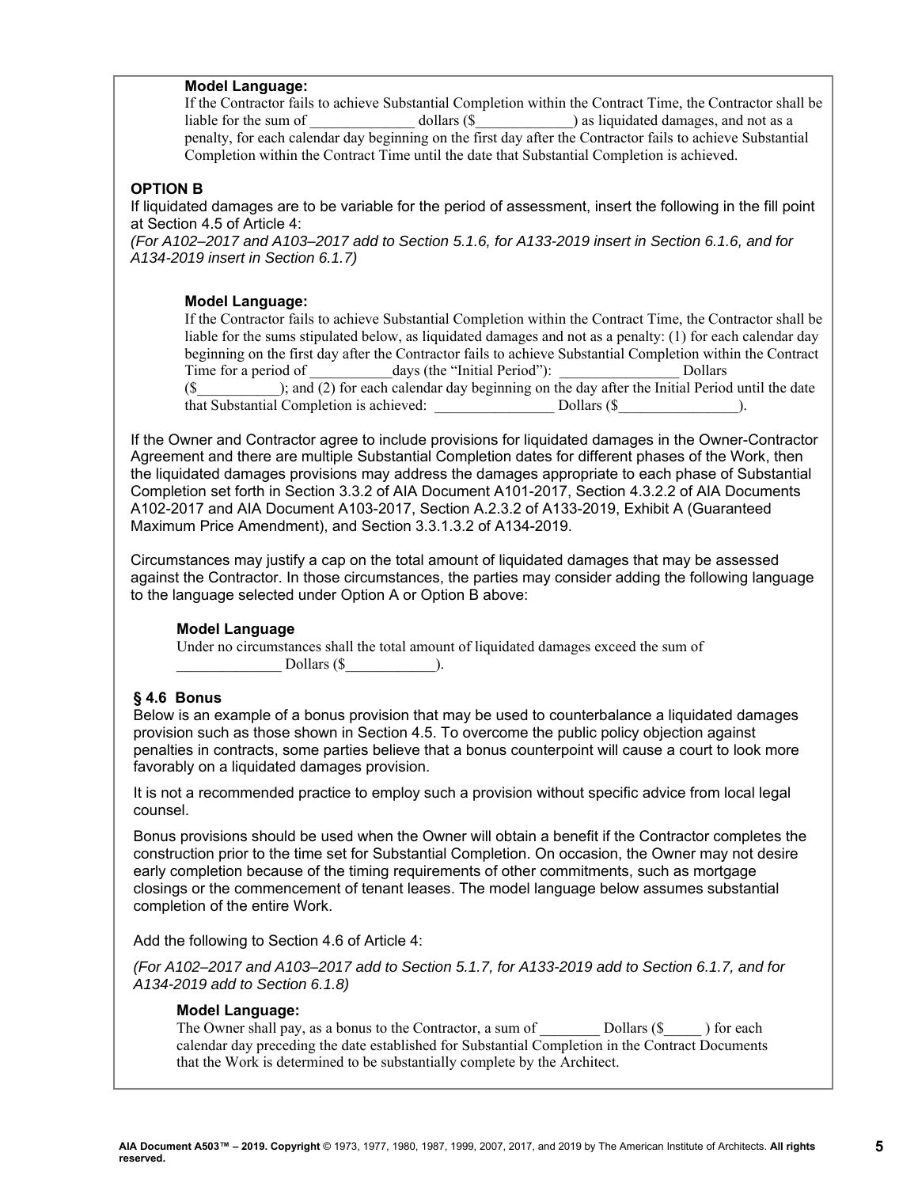#### **Model Language:**

If the Contractor fails to achieve Substantial Completion within the Contract Time, the Contractor shall be liable for the sum of \_\_\_\_\_\_\_\_\_\_\_\_\_\_ dollars (\$\_\_\_\_\_\_\_\_\_\_\_\_\_) as liquidated damages, and not as a penalty, for each calendar day beginning on the first day after the Contractor fails to achieve Substantial Completion within the Contract Time until the date that Substantial Completion is achieved.

## **OPTION B**

If liquidated damages are to be variable for the period of assessment, insert the following in the fill point at Section 4.5 of Article 4:

*(For A102–2017 and A103–2017 add to Section 5.1.6, for A133-2019 insert in Section 6.1.6, and for A134-2019 insert in Section 6.1.7)* 

## **Model Language:**

If the Contractor fails to achieve Substantial Completion within the Contract Time, the Contractor shall be liable for the sums stipulated below, as liquidated damages and not as a penalty: (1) for each calendar day beginning on the first day after the Contractor fails to achieve Substantial Completion within the Contract Time for a period of days (the "Initial Period"): Dollars  $(\frac{\$$  ( $\$$ ); and (2) for each calendar day beginning on the day after the Initial Period until the date that Substantial Completion is achieved: Dollars ( $\$$ ).  $\text{Dollars (}\$   $\qquad \qquad$  ).

If the Owner and Contractor agree to include provisions for liquidated damages in the Owner-Contractor Agreement and there are multiple Substantial Completion dates for different phases of the Work, then the liquidated damages provisions may address the damages appropriate to each phase of Substantial Completion set forth in Section 3.3.2 of AIA Document A101-2017, Section 4.3.2.2 of AIA Documents A102-2017 and AIA Document A103-2017, Section A.2.3.2 of A133-2019, Exhibit A (Guaranteed Maximum Price Amendment), and Section 3.3.1.3.2 of A134-2019.

Circumstances may justify a cap on the total amount of liquidated damages that may be assessed against the Contractor. In those circumstances, the parties may consider adding the following language to the language selected under Option A or Option B above:

#### **Model Language**

Under no circumstances shall the total amount of liquidated damages exceed the sum of Dollars  $(\$  ).

## **§ 4.6 Bonus**

Below is an example of a bonus provision that may be used to counterbalance a liquidated damages provision such as those shown in Section 4.5. To overcome the public policy objection against penalties in contracts, some parties believe that a bonus counterpoint will cause a court to look more favorably on a liquidated damages provision.

It is not a recommended practice to employ such a provision without specific advice from local legal counsel.

Bonus provisions should be used when the Owner will obtain a benefit if the Contractor completes the construction prior to the time set for Substantial Completion. On occasion, the Owner may not desire early completion because of the timing requirements of other commitments, such as mortgage closings or the commencement of tenant leases. The model language below assumes substantial completion of the entire Work.

Add the following to Section 4.6 of Article 4:

*(For A102–2017 and A103–2017 add to Section 5.1.7, for A133-2019 add to Section 6.1.7, and for A134-2019 add to Section 6.1.8)* 

#### **Model Language:**

The Owner shall pay, as a bonus to the Contractor, a sum of \_\_\_\_\_\_\_\_\_\_\_ Dollars (\$\_\_\_\_\_\_\_) for each calendar day preceding the date established for Substantial Completion in the Contract Documents that the Work is determined to be substantially complete by the Architect.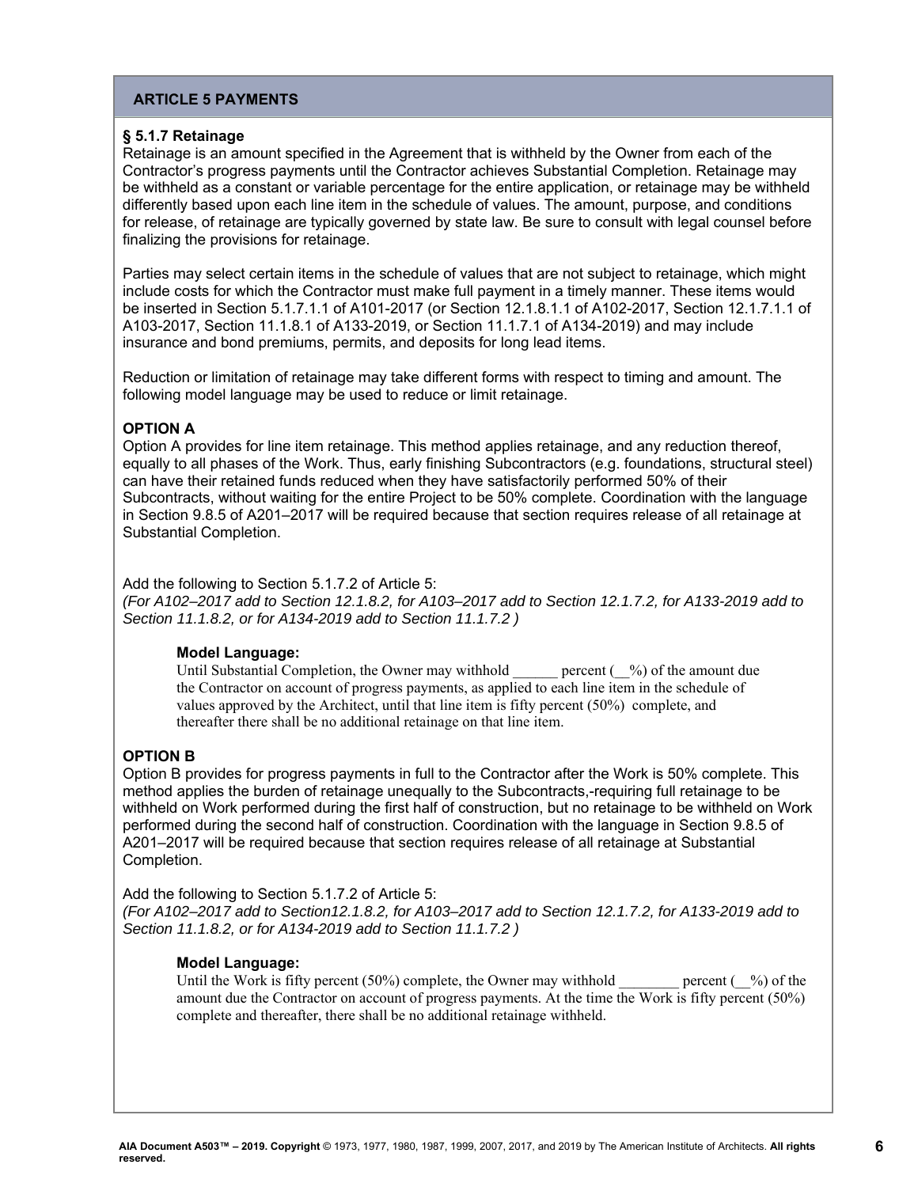## **ARTICLE 5 PAYMENTS**

#### **§ 5.1.7 Retainage**

Retainage is an amount specified in the Agreement that is withheld by the Owner from each of the Contractor's progress payments until the Contractor achieves Substantial Completion. Retainage may be withheld as a constant or variable percentage for the entire application, or retainage may be withheld differently based upon each line item in the schedule of values. The amount, purpose, and conditions for release, of retainage are typically governed by state law. Be sure to consult with legal counsel before finalizing the provisions for retainage.

Parties may select certain items in the schedule of values that are not subject to retainage, which might include costs for which the Contractor must make full payment in a timely manner. These items would be inserted in Section 5.1.7.1.1 of A101-2017 (or Section 12.1.8.1.1 of A102-2017, Section 12.1.7.1.1 of A103-2017, Section 11.1.8.1 of A133-2019, or Section 11.1.7.1 of A134-2019) and may include insurance and bond premiums, permits, and deposits for long lead items.

Reduction or limitation of retainage may take different forms with respect to timing and amount. The following model language may be used to reduce or limit retainage.

## **OPTION A**

Option A provides for line item retainage. This method applies retainage, and any reduction thereof, equally to all phases of the Work. Thus, early finishing Subcontractors (e.g. foundations, structural steel) can have their retained funds reduced when they have satisfactorily performed 50% of their Subcontracts, without waiting for the entire Project to be 50% complete. Coordination with the language in Section 9.8.5 of A201–2017 will be required because that section requires release of all retainage at Substantial Completion.

Add the following to Section 5.1.7.2 of Article 5:

*(For A102–2017 add to Section 12.1.8.2, for A103–2017 add to Section 12.1.7.2, for A133-2019 add to Section 11.1.8.2, or for A134-2019 add to Section 11.1.7.2 )* 

#### **Model Language:**

Until Substantial Completion, the Owner may withhold \_\_\_\_\_\_\_ percent ( $\%$ ) of the amount due the Contractor on account of progress payments, as applied to each line item in the schedule of values approved by the Architect, until that line item is fifty percent (50%) complete, and thereafter there shall be no additional retainage on that line item.

## **OPTION B**

Option B provides for progress payments in full to the Contractor after the Work is 50% complete. This method applies the burden of retainage unequally to the Subcontracts,-requiring full retainage to be withheld on Work performed during the first half of construction, but no retainage to be withheld on Work performed during the second half of construction. Coordination with the language in Section 9.8.5 of A201–2017 will be required because that section requires release of all retainage at Substantial Completion.

Add the following to Section 5.1.7.2 of Article 5:

*(For A102–2017 add to Section12.1.8.2, for A103–2017 add to Section 12.1.7.2, for A133-2019 add to Section 11.1.8.2, or for A134-2019 add to Section 11.1.7.2 )* 

#### **Model Language:**

Until the Work is fifty percent  $(50%)$  complete, the Owner may withhold percent  $($  %) of the amount due the Contractor on account of progress payments. At the time the Work is fifty percent (50%) complete and thereafter, there shall be no additional retainage withheld.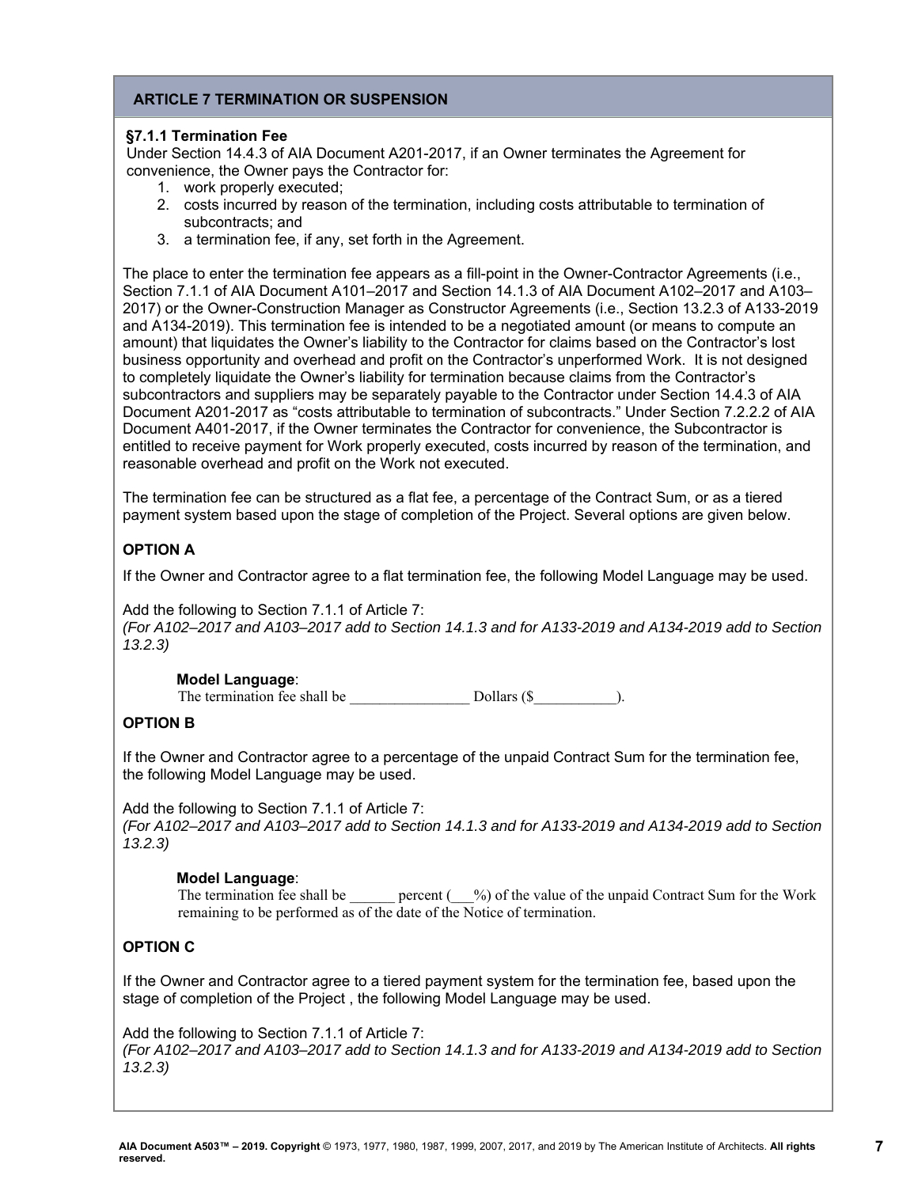## **ARTICLE 7 TERMINATION OR SUSPENSION**

#### **§7.1.1 Termination Fee**

Under Section 14.4.3 of AIA Document A201-2017, if an Owner terminates the Agreement for convenience, the Owner pays the Contractor for:

- 1. work properly executed;
- 2. costs incurred by reason of the termination, including costs attributable to termination of subcontracts; and
- 3. a termination fee, if any, set forth in the Agreement.

The place to enter the termination fee appears as a fill-point in the Owner-Contractor Agreements (i.e., Section 7.1.1 of AIA Document A101–2017 and Section 14.1.3 of AIA Document A102–2017 and A103– 2017) or the Owner-Construction Manager as Constructor Agreements (i.e., Section 13.2.3 of A133-2019 and A134-2019). This termination fee is intended to be a negotiated amount (or means to compute an amount) that liquidates the Owner's liability to the Contractor for claims based on the Contractor's lost business opportunity and overhead and profit on the Contractor's unperformed Work. It is not designed to completely liquidate the Owner's liability for termination because claims from the Contractor's subcontractors and suppliers may be separately payable to the Contractor under Section 14.4.3 of AIA Document A201-2017 as "costs attributable to termination of subcontracts." Under Section 7.2.2.2 of AIA Document A401-2017, if the Owner terminates the Contractor for convenience, the Subcontractor is entitled to receive payment for Work properly executed, costs incurred by reason of the termination, and reasonable overhead and profit on the Work not executed.

The termination fee can be structured as a flat fee, a percentage of the Contract Sum, or as a tiered payment system based upon the stage of completion of the Project. Several options are given below.

## **OPTION A**

If the Owner and Contractor agree to a flat termination fee, the following Model Language may be used.

Add the following to Section 7.1.1 of Article 7:

*(For A102–2017 and A103–2017 add to Section 14.1.3 and for A133-2019 and A134-2019 add to Section 13.2.3)* 

**Model Language**:

The termination fee shall be  $\qquad \qquad$  Dollars (\$  $\qquad \qquad$  ).

#### **OPTION B**

If the Owner and Contractor agree to a percentage of the unpaid Contract Sum for the termination fee, the following Model Language may be used.

Add the following to Section 7.1.1 of Article 7:

*(For A102–2017 and A103–2017 add to Section 14.1.3 and for A133-2019 and A134-2019 add to Section 13.2.3)* 

#### **Model Language**:

The termination fee shall be  $\qquad \qquad$  percent ( $\qquad$ %) of the value of the unpaid Contract Sum for the Work remaining to be performed as of the date of the Notice of termination.

## **OPTION C**

If the Owner and Contractor agree to a tiered payment system for the termination fee, based upon the stage of completion of the Project , the following Model Language may be used.

Add the following to Section 7.1.1 of Article 7:

*(For A102–2017 and A103–2017 add to Section 14.1.3 and for A133-2019 and A134-2019 add to Section 13.2.3)*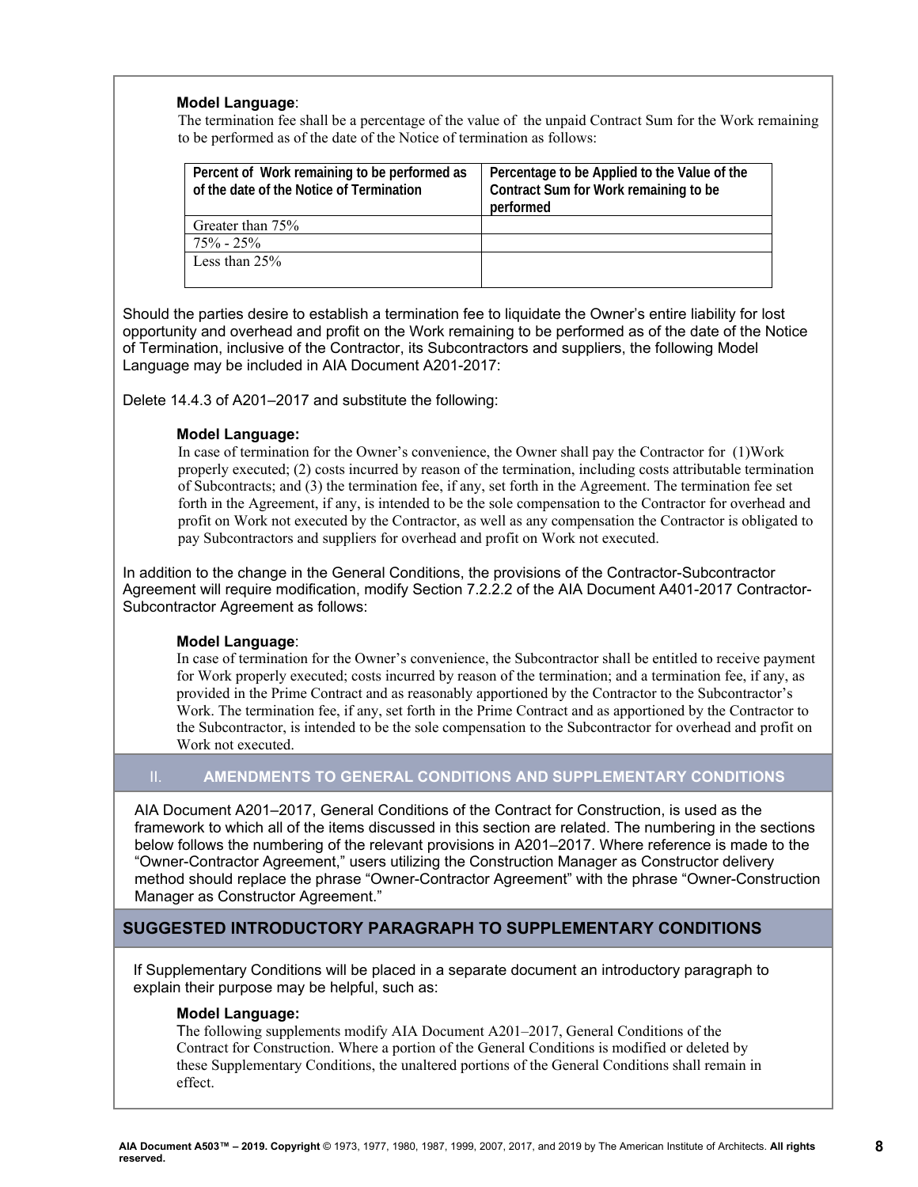#### **Model Language**:

The termination fee shall be a percentage of the value of the unpaid Contract Sum for the Work remaining to be performed as of the date of the Notice of termination as follows:

| Percent of Work remaining to be performed as<br>of the date of the Notice of Termination | Percentage to be Applied to the Value of the<br>Contract Sum for Work remaining to be<br>performed |
|------------------------------------------------------------------------------------------|----------------------------------------------------------------------------------------------------|
| Greater than 75%                                                                         |                                                                                                    |
| $75\% - 25\%$                                                                            |                                                                                                    |
| Less than $25\%$                                                                         |                                                                                                    |

Should the parties desire to establish a termination fee to liquidate the Owner's entire liability for lost opportunity and overhead and profit on the Work remaining to be performed as of the date of the Notice of Termination, inclusive of the Contractor, its Subcontractors and suppliers, the following Model Language may be included in AIA Document A201-2017:

Delete 14.4.3 of A201–2017 and substitute the following:

#### **Model Language:**

In case of termination for the Owner's convenience, the Owner shall pay the Contractor for (1)Work properly executed; (2) costs incurred by reason of the termination, including costs attributable termination of Subcontracts; and (3) the termination fee, if any, set forth in the Agreement. The termination fee set forth in the Agreement, if any, is intended to be the sole compensation to the Contractor for overhead and profit on Work not executed by the Contractor, as well as any compensation the Contractor is obligated to pay Subcontractors and suppliers for overhead and profit on Work not executed.

In addition to the change in the General Conditions, the provisions of the Contractor-Subcontractor Agreement will require modification, modify Section 7.2.2.2 of the AIA Document A401-2017 Contractor-Subcontractor Agreement as follows:

#### **Model Language**:

In case of termination for the Owner's convenience, the Subcontractor shall be entitled to receive payment for Work properly executed; costs incurred by reason of the termination; and a termination fee, if any, as provided in the Prime Contract and as reasonably apportioned by the Contractor to the Subcontractor's Work. The termination fee, if any, set forth in the Prime Contract and as apportioned by the Contractor to the Subcontractor, is intended to be the sole compensation to the Subcontractor for overhead and profit on Work not executed.

## II. **AMENDMENTS TO GENERAL CONDITIONS AND SUPPLEMENTARY CONDITIONS**

AIA Document A201–2017, General Conditions of the Contract for Construction, is used as the framework to which all of the items discussed in this section are related. The numbering in the sections below follows the numbering of the relevant provisions in A201–2017. Where reference is made to the "Owner-Contractor Agreement," users utilizing the Construction Manager as Constructor delivery method should replace the phrase "Owner-Contractor Agreement" with the phrase "Owner-Construction Manager as Constructor Agreement."

## **SUGGESTED INTRODUCTORY PARAGRAPH TO SUPPLEMENTARY CONDITIONS**

If Supplementary Conditions will be placed in a separate document an introductory paragraph to explain their purpose may be helpful, such as:

#### **Model Language:**

The following supplements modify AIA Document A201–2017, General Conditions of the Contract for Construction. Where a portion of the General Conditions is modified or deleted by these Supplementary Conditions, the unaltered portions of the General Conditions shall remain in effect.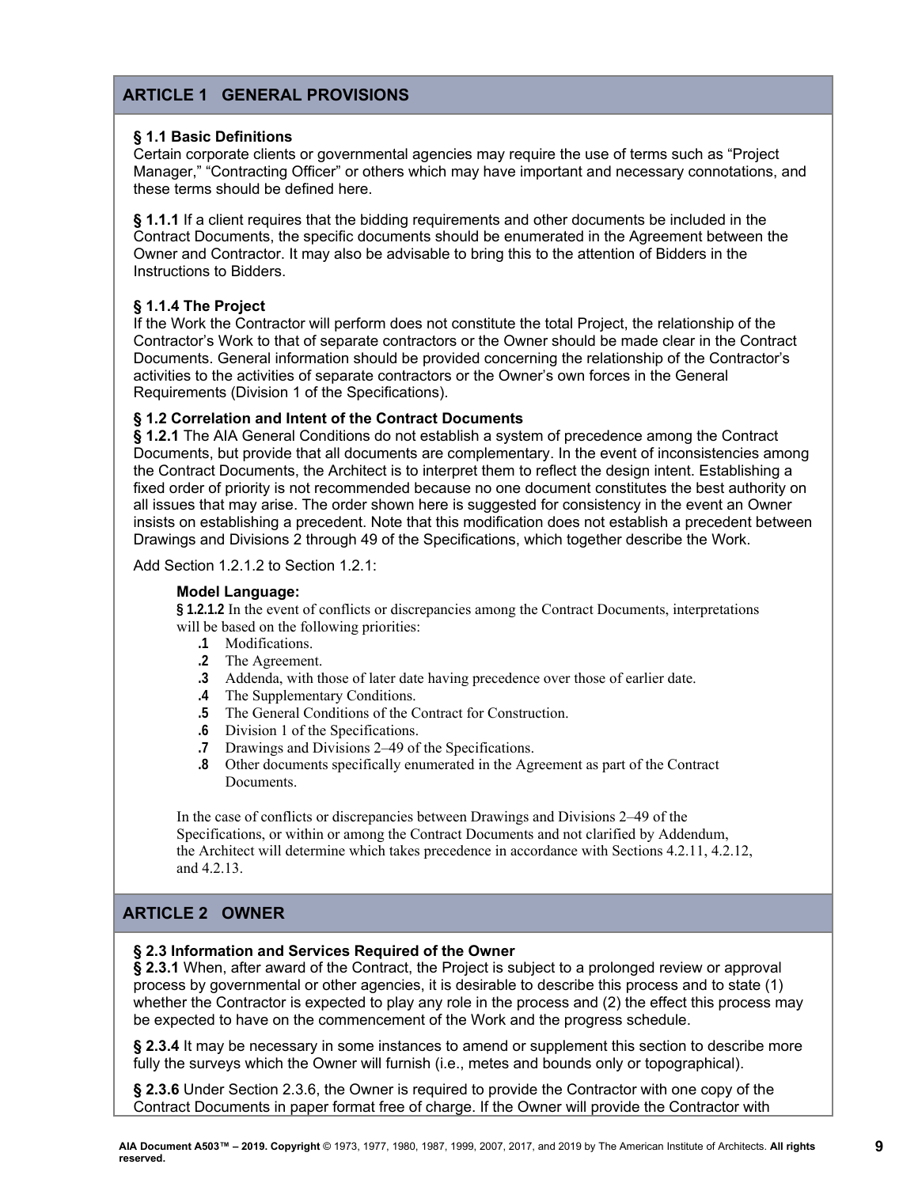## **ARTICLE 1 GENERAL PROVISIONS**

#### **§ 1.1 Basic Definitions**

Certain corporate clients or governmental agencies may require the use of terms such as "Project Manager," "Contracting Officer" or others which may have important and necessary connotations, and these terms should be defined here.

**§ 1.1.1** If a client requires that the bidding requirements and other documents be included in the Contract Documents, the specific documents should be enumerated in the Agreement between the Owner and Contractor. It may also be advisable to bring this to the attention of Bidders in the Instructions to Bidders.

## **§ 1.1.4 The Project**

If the Work the Contractor will perform does not constitute the total Project, the relationship of the Contractor's Work to that of separate contractors or the Owner should be made clear in the Contract Documents. General information should be provided concerning the relationship of the Contractor's activities to the activities of separate contractors or the Owner's own forces in the General Requirements (Division 1 of the Specifications).

#### **§ 1.2 Correlation and Intent of the Contract Documents**

**§ 1.2.1** The AIA General Conditions do not establish a system of precedence among the Contract Documents, but provide that all documents are complementary. In the event of inconsistencies among the Contract Documents, the Architect is to interpret them to reflect the design intent. Establishing a fixed order of priority is not recommended because no one document constitutes the best authority on all issues that may arise. The order shown here is suggested for consistency in the event an Owner insists on establishing a precedent. Note that this modification does not establish a precedent between Drawings and Divisions 2 through 49 of the Specifications, which together describe the Work.

Add Section 1.2.1.2 to Section 1.2.1:

#### **Model Language:**

**§ 1.2.1.2** In the event of conflicts or discrepancies among the Contract Documents, interpretations will be based on the following priorities:

- **.1** Modifications.
- **.2** The Agreement.
- **.3** Addenda, with those of later date having precedence over those of earlier date.
- **.4** The Supplementary Conditions.
- **.5** The General Conditions of the Contract for Construction.
- **.6** Division 1 of the Specifications.
- **.7** Drawings and Divisions 2–49 of the Specifications.
- **.8** Other documents specifically enumerated in the Agreement as part of the Contract Documents.

In the case of conflicts or discrepancies between Drawings and Divisions 2–49 of the Specifications, or within or among the Contract Documents and not clarified by Addendum, the Architect will determine which takes precedence in accordance with Sections 4.2.11, 4.2.12, and 4.2.13.

## **ARTICLE 2 OWNER**

#### **§ 2.3 Information and Services Required of the Owner**

**§ 2.3.1** When, after award of the Contract, the Project is subject to a prolonged review or approval process by governmental or other agencies, it is desirable to describe this process and to state (1) whether the Contractor is expected to play any role in the process and (2) the effect this process may be expected to have on the commencement of the Work and the progress schedule.

**§ 2.3.4** It may be necessary in some instances to amend or supplement this section to describe more fully the surveys which the Owner will furnish (i.e., metes and bounds only or topographical).

**§ 2.3.6** Under Section 2.3.6, the Owner is required to provide the Contractor with one copy of the Contract Documents in paper format free of charge. If the Owner will provide the Contractor with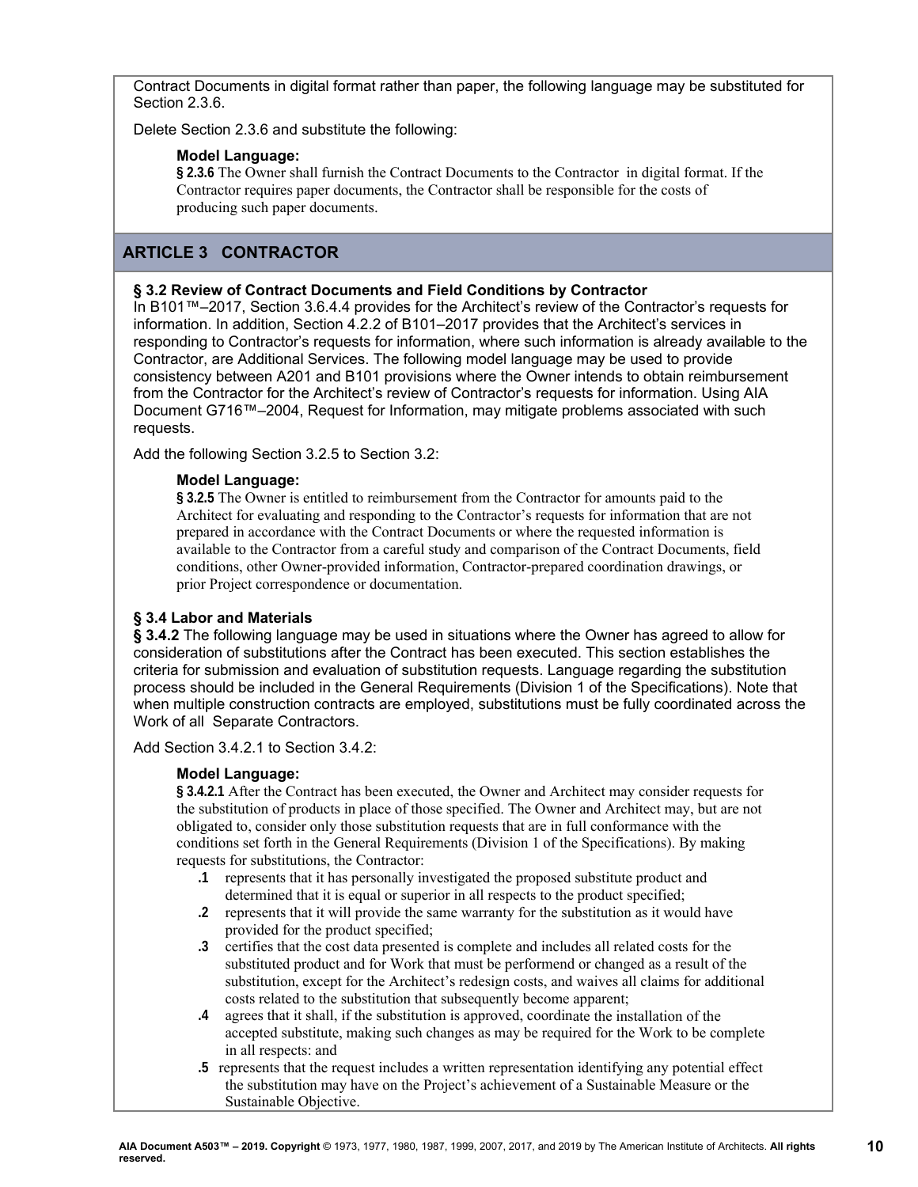Contract Documents in digital format rather than paper, the following language may be substituted for Section 2.3.6.

Delete Section 2.3.6 and substitute the following:

#### **Model Language:**

**§ 2.3.6** The Owner shall furnish the Contract Documents to the Contractor in digital format. If the Contractor requires paper documents, the Contractor shall be responsible for the costs of producing such paper documents.

## **ARTICLE 3 CONTRACTOR**

#### **§ 3.2 Review of Contract Documents and Field Conditions by Contractor**

In B101™–2017, Section 3.6.4.4 provides for the Architect's review of the Contractor's requests for information. In addition, Section 4.2.2 of B101–2017 provides that the Architect's services in responding to Contractor's requests for information, where such information is already available to the Contractor, are Additional Services. The following model language may be used to provide consistency between A201 and B101 provisions where the Owner intends to obtain reimbursement from the Contractor for the Architect's review of Contractor's requests for information. Using AIA Document G716™–2004, Request for Information, may mitigate problems associated with such requests.

Add the following Section 3.2.5 to Section 3.2:

#### **Model Language:**

**§ 3.2.5** The Owner is entitled to reimbursement from the Contractor for amounts paid to the Architect for evaluating and responding to the Contractor's requests for information that are not prepared in accordance with the Contract Documents or where the requested information is available to the Contractor from a careful study and comparison of the Contract Documents, field conditions, other Owner-provided information, Contractor-prepared coordination drawings, or prior Project correspondence or documentation.

#### **§ 3.4 Labor and Materials**

**§ 3.4.2** The following language may be used in situations where the Owner has agreed to allow for consideration of substitutions after the Contract has been executed. This section establishes the criteria for submission and evaluation of substitution requests. Language regarding the substitution process should be included in the General Requirements (Division 1 of the Specifications). Note that when multiple construction contracts are employed, substitutions must be fully coordinated across the Work of all Separate Contractors.

Add Section 3.4.2.1 to Section 3.4.2:

#### **Model Language:**

**§ 3.4.2.1** After the Contract has been executed, the Owner and Architect may consider requests for the substitution of products in place of those specified. The Owner and Architect may, but are not obligated to, consider only those substitution requests that are in full conformance with the conditions set forth in the General Requirements (Division 1 of the Specifications). By making requests for substitutions, the Contractor:

- **.1** represents that it has personally investigated the proposed substitute product and determined that it is equal or superior in all respects to the product specified;
- **.2** represents that it will provide the same warranty for the substitution as it would have provided for the product specified;
- **.3** certifies that the cost data presented is complete and includes all related costs for the substituted product and for Work that must be performend or changed as a result of the substitution, except for the Architect's redesign costs, and waives all claims for additional costs related to the substitution that subsequently become apparent;
- **.4** agrees that it shall, if the substitution is approved, coordinate the installation of the accepted substitute, making such changes as may be required for the Work to be complete in all respects: and
- **.5** represents that the request includes a written representation identifying any potential effect the substitution may have on the Project's achievement of a Sustainable Measure or the Sustainable Objective.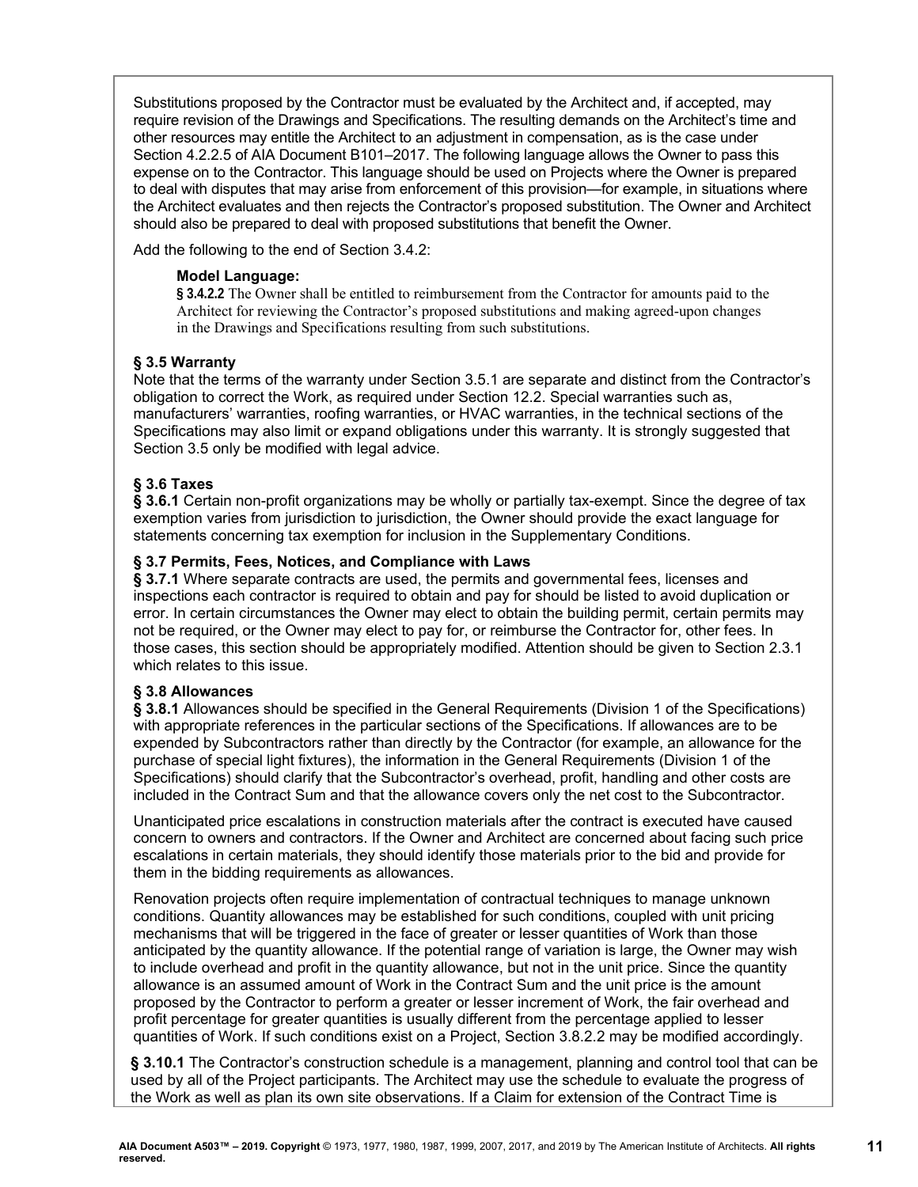Substitutions proposed by the Contractor must be evaluated by the Architect and, if accepted, may require revision of the Drawings and Specifications. The resulting demands on the Architect's time and other resources may entitle the Architect to an adjustment in compensation, as is the case under Section 4.2.2.5 of AIA Document B101–2017. The following language allows the Owner to pass this expense on to the Contractor. This language should be used on Projects where the Owner is prepared to deal with disputes that may arise from enforcement of this provision—for example, in situations where the Architect evaluates and then rejects the Contractor's proposed substitution. The Owner and Architect should also be prepared to deal with proposed substitutions that benefit the Owner.

Add the following to the end of Section 3.4.2:

## **Model Language:**

**§ 3.4.2.2** The Owner shall be entitled to reimbursement from the Contractor for amounts paid to the Architect for reviewing the Contractor's proposed substitutions and making agreed-upon changes in the Drawings and Specifications resulting from such substitutions.

## **§ 3.5 Warranty**

Note that the terms of the warranty under Section 3.5.1 are separate and distinct from the Contractor's obligation to correct the Work, as required under Section 12.2. Special warranties such as, manufacturers' warranties, roofing warranties, or HVAC warranties, in the technical sections of the Specifications may also limit or expand obligations under this warranty. It is strongly suggested that Section 3.5 only be modified with legal advice.

## **§ 3.6 Taxes**

**§ 3.6.1** Certain non-profit organizations may be wholly or partially tax-exempt. Since the degree of tax exemption varies from jurisdiction to jurisdiction, the Owner should provide the exact language for statements concerning tax exemption for inclusion in the Supplementary Conditions.

#### **§ 3.7 Permits, Fees, Notices, and Compliance with Laws**

§ 3.7.1 Where separate contracts are used, the permits and governmental fees, licenses and inspections each contractor is required to obtain and pay for should be listed to avoid duplication or error. In certain circumstances the Owner may elect to obtain the building permit, certain permits may not be required, or the Owner may elect to pay for, or reimburse the Contractor for, other fees. In those cases, this section should be appropriately modified. Attention should be given to Section 2.3.1 which relates to this issue.

#### **§ 3.8 Allowances**

**§ 3.8.1** Allowances should be specified in the General Requirements (Division 1 of the Specifications) with appropriate references in the particular sections of the Specifications. If allowances are to be expended by Subcontractors rather than directly by the Contractor (for example, an allowance for the purchase of special light fixtures), the information in the General Requirements (Division 1 of the Specifications) should clarify that the Subcontractor's overhead, profit, handling and other costs are included in the Contract Sum and that the allowance covers only the net cost to the Subcontractor.

Unanticipated price escalations in construction materials after the contract is executed have caused concern to owners and contractors. If the Owner and Architect are concerned about facing such price escalations in certain materials, they should identify those materials prior to the bid and provide for them in the bidding requirements as allowances.

Renovation projects often require implementation of contractual techniques to manage unknown conditions. Quantity allowances may be established for such conditions, coupled with unit pricing mechanisms that will be triggered in the face of greater or lesser quantities of Work than those anticipated by the quantity allowance. If the potential range of variation is large, the Owner may wish to include overhead and profit in the quantity allowance, but not in the unit price. Since the quantity allowance is an assumed amount of Work in the Contract Sum and the unit price is the amount proposed by the Contractor to perform a greater or lesser increment of Work, the fair overhead and profit percentage for greater quantities is usually different from the percentage applied to lesser quantities of Work. If such conditions exist on a Project, Section 3.8.2.2 may be modified accordingly.

**§ 3.10.1** The Contractor's construction schedule is a management, planning and control tool that can be used by all of the Project participants. The Architect may use the schedule to evaluate the progress of the Work as well as plan its own site observations. If a Claim for extension of the Contract Time is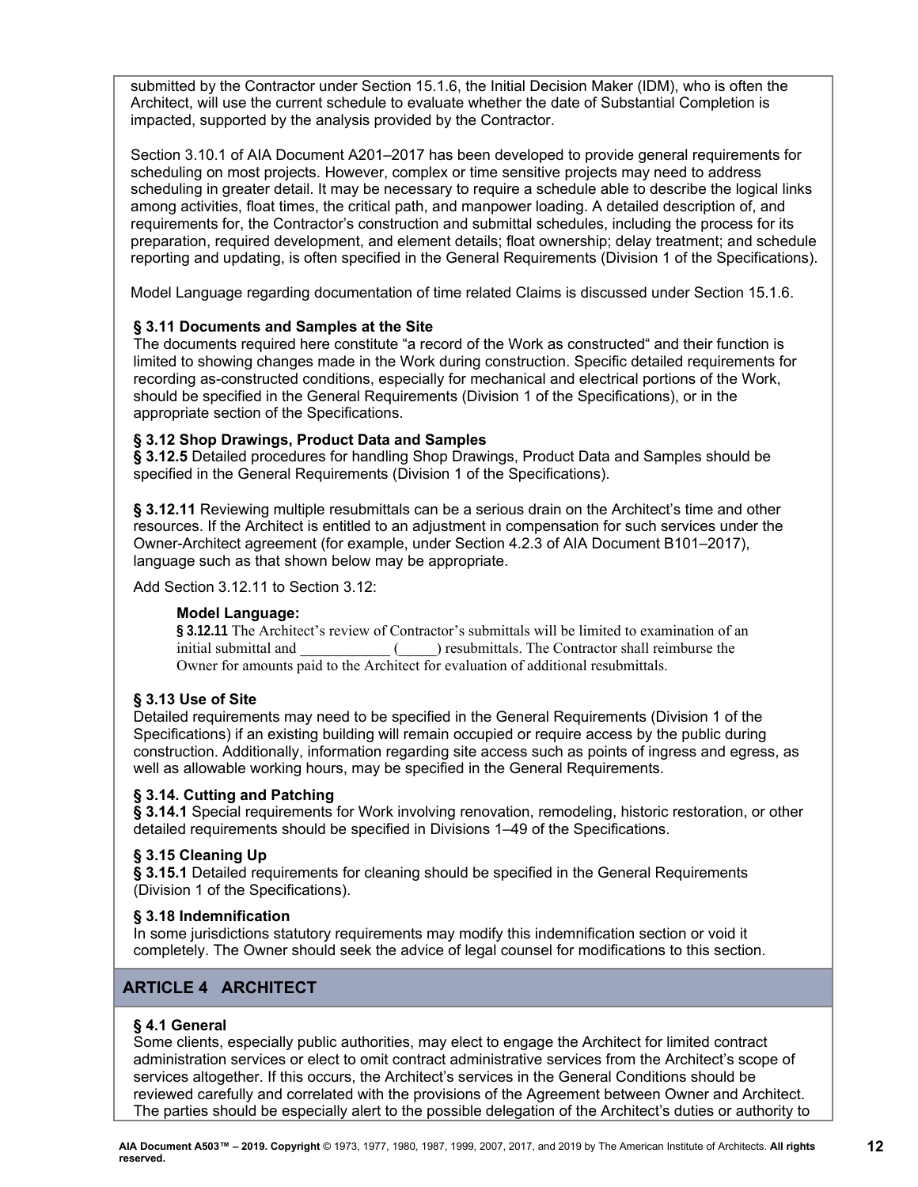submitted by the Contractor under Section 15.1.6, the Initial Decision Maker (IDM), who is often the Architect, will use the current schedule to evaluate whether the date of Substantial Completion is impacted, supported by the analysis provided by the Contractor.

Section 3.10.1 of AIA Document A201–2017 has been developed to provide general requirements for scheduling on most projects. However, complex or time sensitive projects may need to address scheduling in greater detail. It may be necessary to require a schedule able to describe the logical links among activities, float times, the critical path, and manpower loading. A detailed description of, and requirements for, the Contractor's construction and submittal schedules, including the process for its preparation, required development, and element details; float ownership; delay treatment; and schedule reporting and updating, is often specified in the General Requirements (Division 1 of the Specifications).

Model Language regarding documentation of time related Claims is discussed under Section 15.1.6.

## **§ 3.11 Documents and Samples at the Site**

The documents required here constitute "a record of the Work as constructed" and their function is limited to showing changes made in the Work during construction. Specific detailed requirements for recording as-constructed conditions, especially for mechanical and electrical portions of the Work, should be specified in the General Requirements (Division 1 of the Specifications), or in the appropriate section of the Specifications.

#### **§ 3.12 Shop Drawings, Product Data and Samples**

**§ 3.12.5** Detailed procedures for handling Shop Drawings, Product Data and Samples should be specified in the General Requirements (Division 1 of the Specifications).

**§ 3.12.11** Reviewing multiple resubmittals can be a serious drain on the Architect's time and other resources. If the Architect is entitled to an adjustment in compensation for such services under the Owner-Architect agreement (for example, under Section 4.2.3 of AIA Document B101–2017), language such as that shown below may be appropriate.

Add Section 3.12.11 to Section 3.12:

#### **Model Language:**

**§ 3.12.11** The Architect's review of Contractor's submittals will be limited to examination of an initial submittal and  $($   $)$  resubmittals. The Contractor shall reimburse the Owner for amounts paid to the Architect for evaluation of additional resubmittals.

## **§ 3.13 Use of Site**

Detailed requirements may need to be specified in the General Requirements (Division 1 of the Specifications) if an existing building will remain occupied or require access by the public during construction. Additionally, information regarding site access such as points of ingress and egress, as well as allowable working hours, may be specified in the General Requirements.

#### **§ 3.14. Cutting and Patching**

**§ 3.14.1** Special requirements for Work involving renovation, remodeling, historic restoration, or other detailed requirements should be specified in Divisions 1–49 of the Specifications.

#### **§ 3.15 Cleaning Up**

§ 3.15.1 Detailed requirements for cleaning should be specified in the General Requirements (Division 1 of the Specifications).

#### **§ 3.18 Indemnification**

In some jurisdictions statutory requirements may modify this indemnification section or void it completely. The Owner should seek the advice of legal counsel for modifications to this section.

## **ARTICLE 4 ARCHITECT**

#### **§ 4.1 General**

Some clients, especially public authorities, may elect to engage the Architect for limited contract administration services or elect to omit contract administrative services from the Architect's scope of services altogether. If this occurs, the Architect's services in the General Conditions should be reviewed carefully and correlated with the provisions of the Agreement between Owner and Architect. The parties should be especially alert to the possible delegation of the Architect's duties or authority to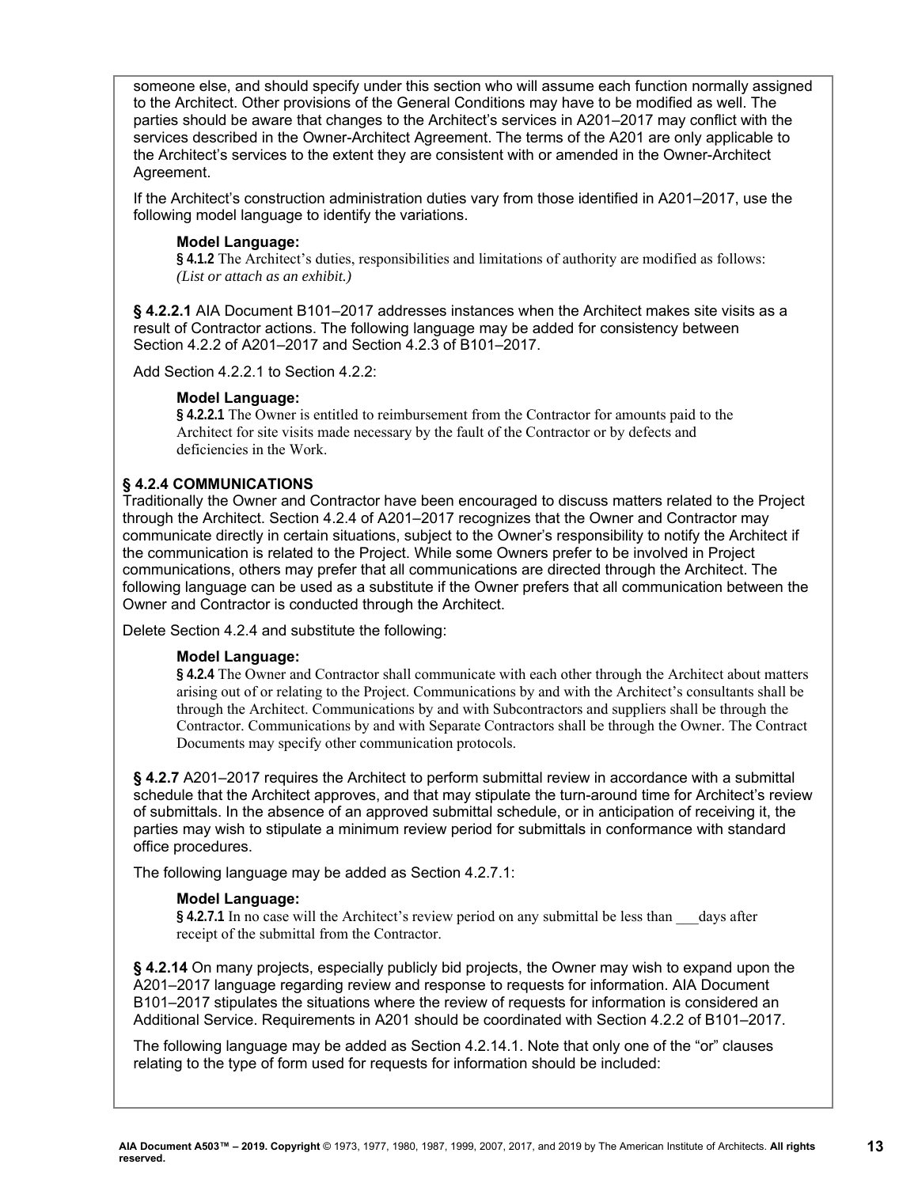someone else, and should specify under this section who will assume each function normally assigned to the Architect. Other provisions of the General Conditions may have to be modified as well. The parties should be aware that changes to the Architect's services in A201–2017 may conflict with the services described in the Owner-Architect Agreement. The terms of the A201 are only applicable to the Architect's services to the extent they are consistent with or amended in the Owner-Architect Agreement.

If the Architect's construction administration duties vary from those identified in A201–2017, use the following model language to identify the variations.

#### **Model Language:**

**§ 4.1.2** The Architect's duties, responsibilities and limitations of authority are modified as follows: *(List or attach as an exhibit.)* 

**§ 4.2.2.1** AIA Document B101–2017 addresses instances when the Architect makes site visits as a result of Contractor actions. The following language may be added for consistency between Section 4.2.2 of A201–2017 and Section 4.2.3 of B101–2017.

Add Section 4.2.2.1 to Section 4.2.2:

#### **Model Language:**

**§ 4.2.2.1** The Owner is entitled to reimbursement from the Contractor for amounts paid to the Architect for site visits made necessary by the fault of the Contractor or by defects and deficiencies in the Work.

#### **§ 4.2.4 COMMUNICATIONS**

Traditionally the Owner and Contractor have been encouraged to discuss matters related to the Project through the Architect. Section 4.2.4 of A201–2017 recognizes that the Owner and Contractor may communicate directly in certain situations, subject to the Owner's responsibility to notify the Architect if the communication is related to the Project. While some Owners prefer to be involved in Project communications, others may prefer that all communications are directed through the Architect. The following language can be used as a substitute if the Owner prefers that all communication between the Owner and Contractor is conducted through the Architect.

Delete Section 4.2.4 and substitute the following:

#### **Model Language:**

**§ 4.2.4** The Owner and Contractor shall communicate with each other through the Architect about matters arising out of or relating to the Project. Communications by and with the Architect's consultants shall be through the Architect. Communications by and with Subcontractors and suppliers shall be through the Contractor. Communications by and with Separate Contractors shall be through the Owner. The Contract Documents may specify other communication protocols.

**§ 4.2.7** A201–2017 requires the Architect to perform submittal review in accordance with a submittal schedule that the Architect approves, and that may stipulate the turn-around time for Architect's review of submittals. In the absence of an approved submittal schedule, or in anticipation of receiving it, the parties may wish to stipulate a minimum review period for submittals in conformance with standard office procedures.

The following language may be added as Section 4.2.7.1:

#### **Model Language:**

**§ 4.2.7.1** In no case will the Architect's review period on any submittal be less than \_\_\_days after receipt of the submittal from the Contractor.

**§ 4.2.14** On many projects, especially publicly bid projects, the Owner may wish to expand upon the A201–2017 language regarding review and response to requests for information. AIA Document B101–2017 stipulates the situations where the review of requests for information is considered an Additional Service. Requirements in A201 should be coordinated with Section 4.2.2 of B101–2017.

The following language may be added as Section 4.2.14.1. Note that only one of the "or" clauses relating to the type of form used for requests for information should be included: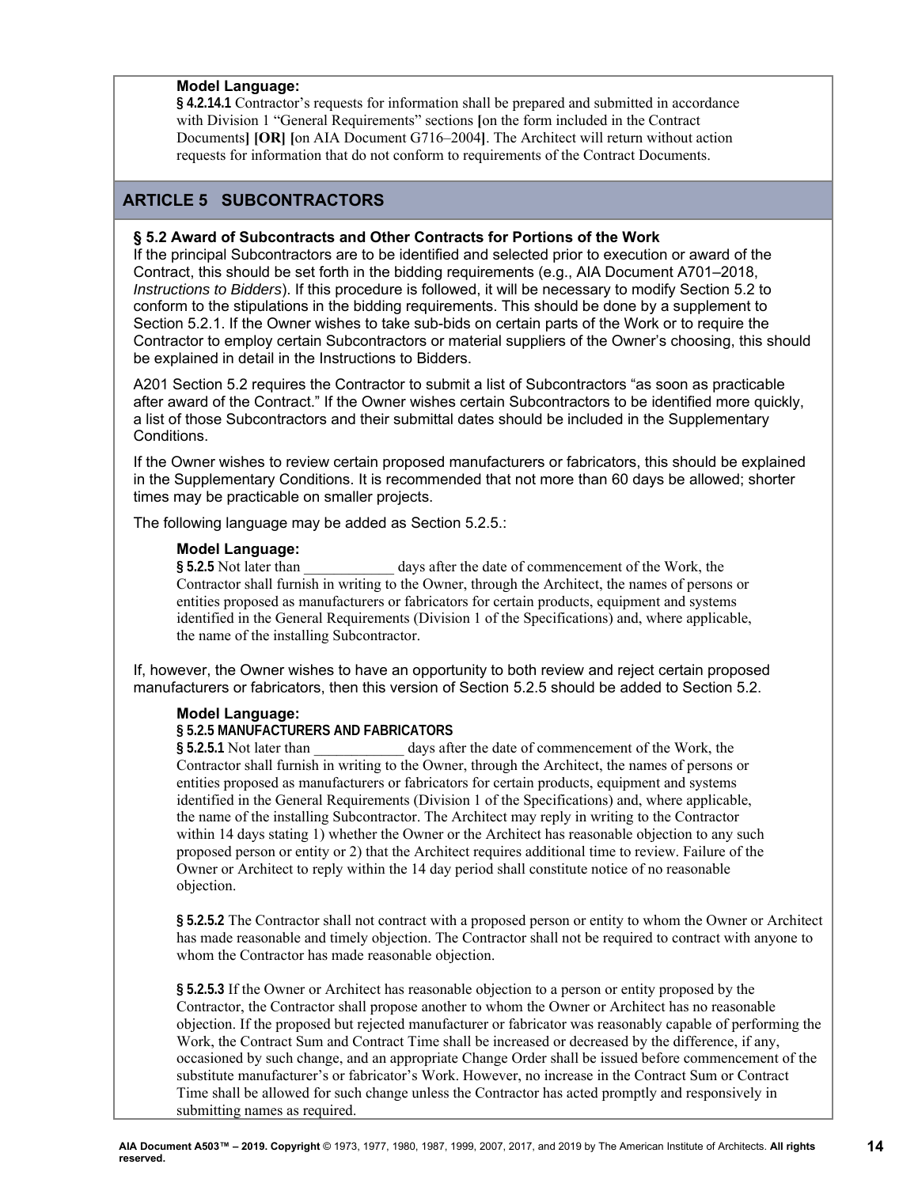#### **Model Language:**

**§ 4.2.14.1** Contractor's requests for information shall be prepared and submitted in accordance with Division 1 "General Requirements" sections **[**on the form included in the Contract Documents**] [OR] [**on AIA Document G716–2004**]**. The Architect will return without action requests for information that do not conform to requirements of the Contract Documents.

## **ARTICLE 5 SUBCONTRACTORS**

#### **§ 5.2 Award of Subcontracts and Other Contracts for Portions of the Work**

If the principal Subcontractors are to be identified and selected prior to execution or award of the Contract, this should be set forth in the bidding requirements (e.g., AIA Document A701–2018, *Instructions to Bidders*). If this procedure is followed, it will be necessary to modify Section 5.2 to conform to the stipulations in the bidding requirements. This should be done by a supplement to Section 5.2.1. If the Owner wishes to take sub-bids on certain parts of the Work or to require the Contractor to employ certain Subcontractors or material suppliers of the Owner's choosing, this should be explained in detail in the Instructions to Bidders.

A201 Section 5.2 requires the Contractor to submit a list of Subcontractors "as soon as practicable after award of the Contract." If the Owner wishes certain Subcontractors to be identified more quickly, a list of those Subcontractors and their submittal dates should be included in the Supplementary Conditions.

If the Owner wishes to review certain proposed manufacturers or fabricators, this should be explained in the Supplementary Conditions. It is recommended that not more than 60 days be allowed; shorter times may be practicable on smaller projects.

The following language may be added as Section 5.2.5.:

#### **Model Language:**

**§ 5.2.5** Not later than \_\_\_\_\_\_\_\_\_\_\_\_ days after the date of commencement of the Work, the Contractor shall furnish in writing to the Owner, through the Architect, the names of persons or entities proposed as manufacturers or fabricators for certain products, equipment and systems identified in the General Requirements (Division 1 of the Specifications) and, where applicable, the name of the installing Subcontractor.

If, however, the Owner wishes to have an opportunity to both review and reject certain proposed manufacturers or fabricators, then this version of Section 5.2.5 should be added to Section 5.2.

#### **Model Language:**

#### **§ 5.2.5 MANUFACTURERS AND FABRICATORS**

**§ 5.2.5.1** Not later than \_\_\_\_\_\_\_\_\_\_\_\_ days after the date of commencement of the Work, the Contractor shall furnish in writing to the Owner, through the Architect, the names of persons or entities proposed as manufacturers or fabricators for certain products, equipment and systems identified in the General Requirements (Division 1 of the Specifications) and, where applicable, the name of the installing Subcontractor. The Architect may reply in writing to the Contractor within 14 days stating 1) whether the Owner or the Architect has reasonable objection to any such proposed person or entity or 2) that the Architect requires additional time to review. Failure of the Owner or Architect to reply within the 14 day period shall constitute notice of no reasonable objection.

**§ 5.2.5.2** The Contractor shall not contract with a proposed person or entity to whom the Owner or Architect has made reasonable and timely objection. The Contractor shall not be required to contract with anyone to whom the Contractor has made reasonable objection.

**§ 5.2.5.3** If the Owner or Architect has reasonable objection to a person or entity proposed by the Contractor, the Contractor shall propose another to whom the Owner or Architect has no reasonable objection. If the proposed but rejected manufacturer or fabricator was reasonably capable of performing the Work, the Contract Sum and Contract Time shall be increased or decreased by the difference, if any, occasioned by such change, and an appropriate Change Order shall be issued before commencement of the substitute manufacturer's or fabricator's Work. However, no increase in the Contract Sum or Contract Time shall be allowed for such change unless the Contractor has acted promptly and responsively in submitting names as required.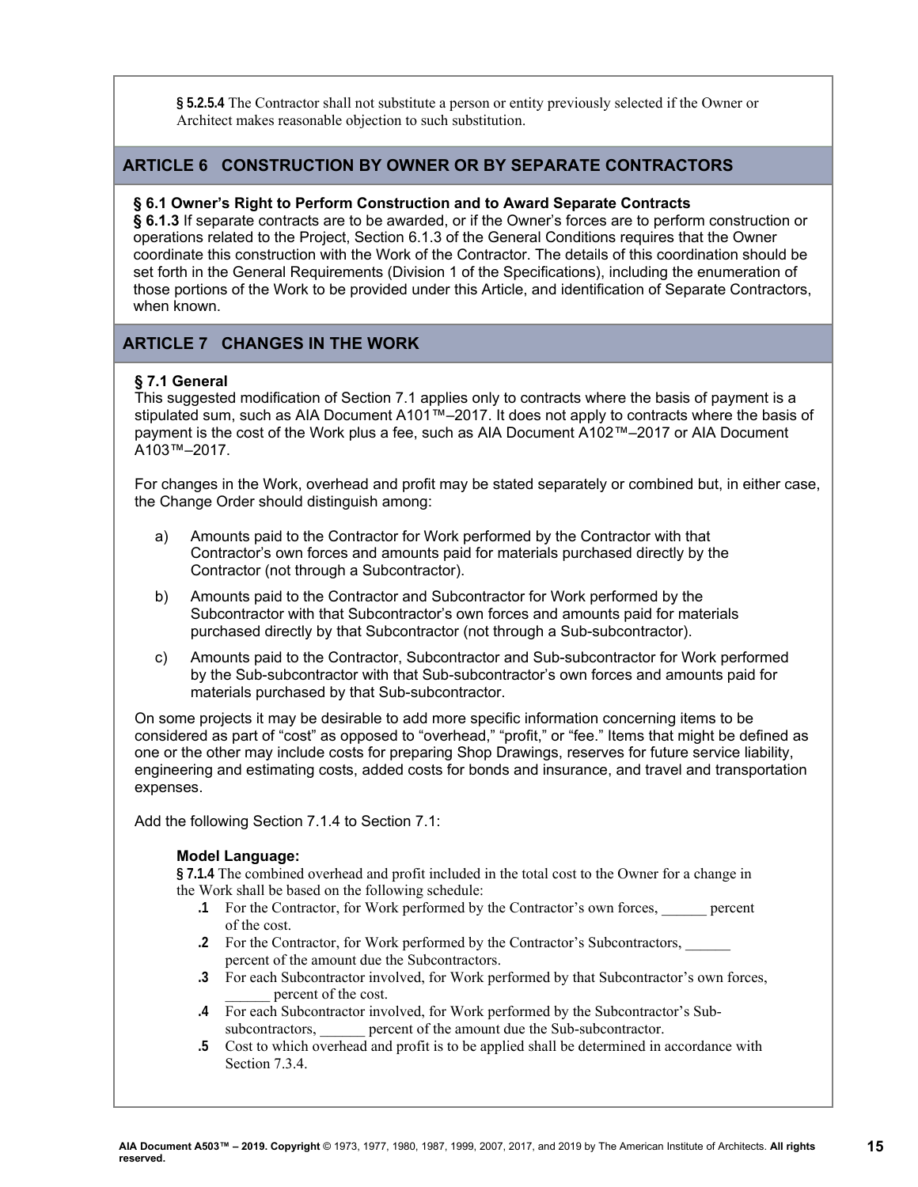**§ 5.2.5.4** The Contractor shall not substitute a person or entity previously selected if the Owner or Architect makes reasonable objection to such substitution.

## **ARTICLE 6 CONSTRUCTION BY OWNER OR BY SEPARATE CONTRACTORS**

#### **§ 6.1 Owner's Right to Perform Construction and to Award Separate Contracts**

**§ 6.1.3** If separate contracts are to be awarded, or if the Owner's forces are to perform construction or operations related to the Project, Section 6.1.3 of the General Conditions requires that the Owner coordinate this construction with the Work of the Contractor. The details of this coordination should be set forth in the General Requirements (Division 1 of the Specifications), including the enumeration of those portions of the Work to be provided under this Article, and identification of Separate Contractors, when known.

## **ARTICLE 7 CHANGES IN THE WORK**

#### **§ 7.1 General**

This suggested modification of Section 7.1 applies only to contracts where the basis of payment is a stipulated sum, such as AIA Document A101™–2017. It does not apply to contracts where the basis of payment is the cost of the Work plus a fee, such as AIA Document A102™–2017 or AIA Document A103™–2017.

For changes in the Work, overhead and profit may be stated separately or combined but, in either case, the Change Order should distinguish among:

- a) Amounts paid to the Contractor for Work performed by the Contractor with that Contractor's own forces and amounts paid for materials purchased directly by the Contractor (not through a Subcontractor).
- b) Amounts paid to the Contractor and Subcontractor for Work performed by the Subcontractor with that Subcontractor's own forces and amounts paid for materials purchased directly by that Subcontractor (not through a Sub-subcontractor).
- c) Amounts paid to the Contractor, Subcontractor and Sub-subcontractor for Work performed by the Sub-subcontractor with that Sub-subcontractor's own forces and amounts paid for materials purchased by that Sub-subcontractor.

On some projects it may be desirable to add more specific information concerning items to be considered as part of "cost" as opposed to "overhead," "profit," or "fee." Items that might be defined as one or the other may include costs for preparing Shop Drawings, reserves for future service liability, engineering and estimating costs, added costs for bonds and insurance, and travel and transportation expenses.

Add the following Section 7.1.4 to Section 7.1:

#### **Model Language:**

**§ 7.1.4** The combined overhead and profit included in the total cost to the Owner for a change in the Work shall be based on the following schedule:

- **.1** For the Contractor, for Work performed by the Contractor's own forces, \_\_\_\_\_\_ percent of the cost.
- **.2** For the Contractor, for Work performed by the Contractor's Subcontractors, \_\_\_\_\_\_ percent of the amount due the Subcontractors.
- **.3** For each Subcontractor involved, for Work performed by that Subcontractor's own forces, percent of the cost.
- **.4** For each Subcontractor involved, for Work performed by the Subcontractor's Subsubcontractors, percent of the amount due the Sub-subcontractor.
- **.5** Cost to which overhead and profit is to be applied shall be determined in accordance with Section 7.3.4.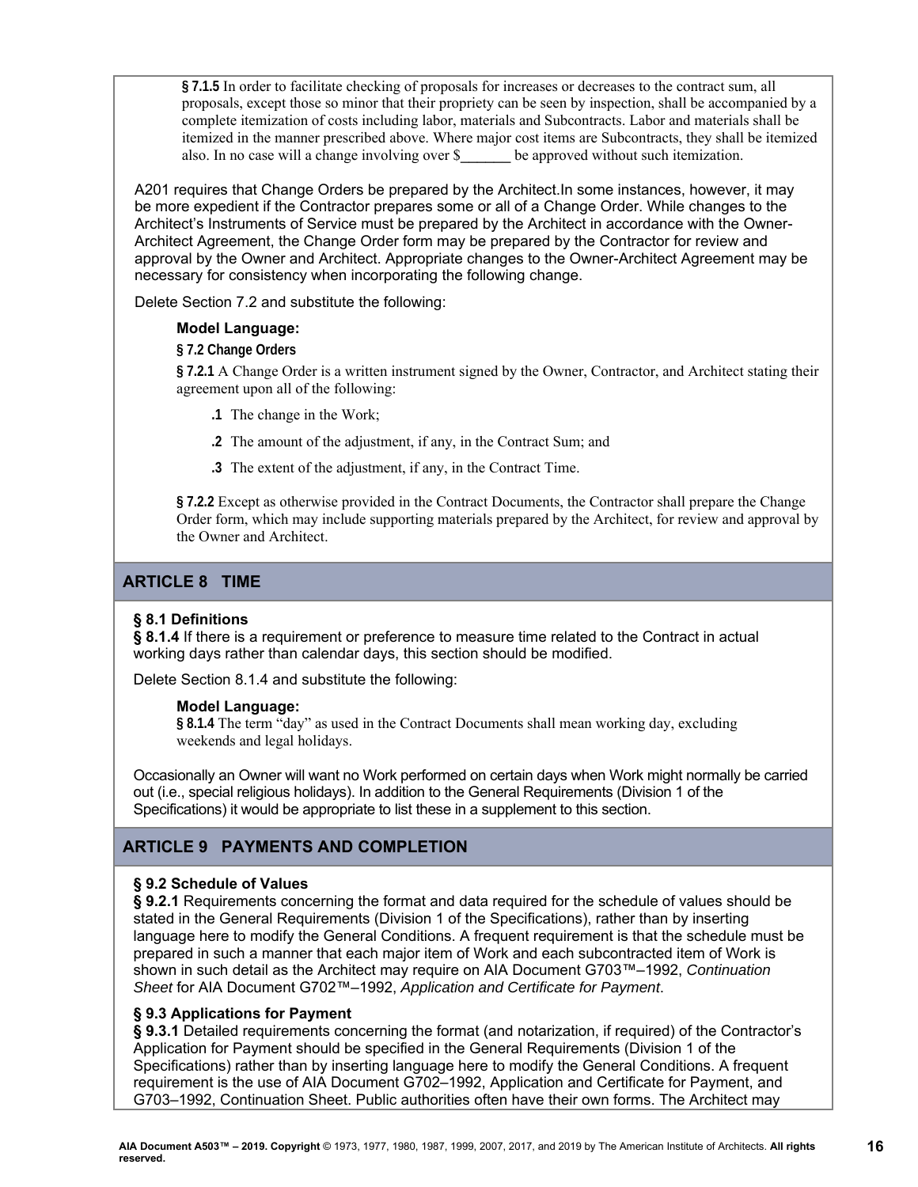**§ 7.1.5** In order to facilitate checking of proposals for increases or decreases to the contract sum, all proposals, except those so minor that their propriety can be seen by inspection, shall be accompanied by a complete itemization of costs including labor, materials and Subcontracts. Labor and materials shall be itemized in the manner prescribed above. Where major cost items are Subcontracts, they shall be itemized also. In no case will a change involving over \$\_\_\_\_\_\_ be approved without such itemization.

A201 requires that Change Orders be prepared by the Architect.In some instances, however, it may be more expedient if the Contractor prepares some or all of a Change Order. While changes to the Architect's Instruments of Service must be prepared by the Architect in accordance with the Owner-Architect Agreement, the Change Order form may be prepared by the Contractor for review and approval by the Owner and Architect. Appropriate changes to the Owner-Architect Agreement may be necessary for consistency when incorporating the following change.

Delete Section 7.2 and substitute the following:

#### **Model Language:**

 **§ 7.2 Change Orders** 

**§ 7.2.1** A Change Order is a written instrument signed by the Owner, Contractor, and Architect stating their agreement upon all of the following:

- **.1** The change in the Work;
- **.2** The amount of the adjustment, if any, in the Contract Sum; and
- **.3** The extent of the adjustment, if any, in the Contract Time.

**§ 7.2.2** Except as otherwise provided in the Contract Documents, the Contractor shall prepare the Change Order form, which may include supporting materials prepared by the Architect, for review and approval by the Owner and Architect.

## **ARTICLE 8 TIME**

#### **§ 8.1 Definitions**

**§ 8.1.4** If there is a requirement or preference to measure time related to the Contract in actual working days rather than calendar days, this section should be modified.

Delete Section 8.1.4 and substitute the following:

#### **Model Language:**

**§ 8.1.4** The term "day" as used in the Contract Documents shall mean working day, excluding weekends and legal holidays.

Occasionally an Owner will want no Work performed on certain days when Work might normally be carried out (i.e., special religious holidays). In addition to the General Requirements (Division 1 of the Specifications) it would be appropriate to list these in a supplement to this section.

## **ARTICLE 9 PAYMENTS AND COMPLETION**

## **§ 9.2 Schedule of Values**

**§ 9.2.1** Requirements concerning the format and data required for the schedule of values should be stated in the General Requirements (Division 1 of the Specifications), rather than by inserting language here to modify the General Conditions. A frequent requirement is that the schedule must be prepared in such a manner that each major item of Work and each subcontracted item of Work is shown in such detail as the Architect may require on AIA Document G703™–1992, *Continuation Sheet* for AIA Document G702™–1992, *Application and Certificate for Payment*.

## **§ 9.3 Applications for Payment**

§ 9.3.1 Detailed requirements concerning the format (and notarization, if required) of the Contractor's Application for Payment should be specified in the General Requirements (Division 1 of the Specifications) rather than by inserting language here to modify the General Conditions. A frequent requirement is the use of AIA Document G702–1992, Application and Certificate for Payment, and G703–1992, Continuation Sheet. Public authorities often have their own forms. The Architect may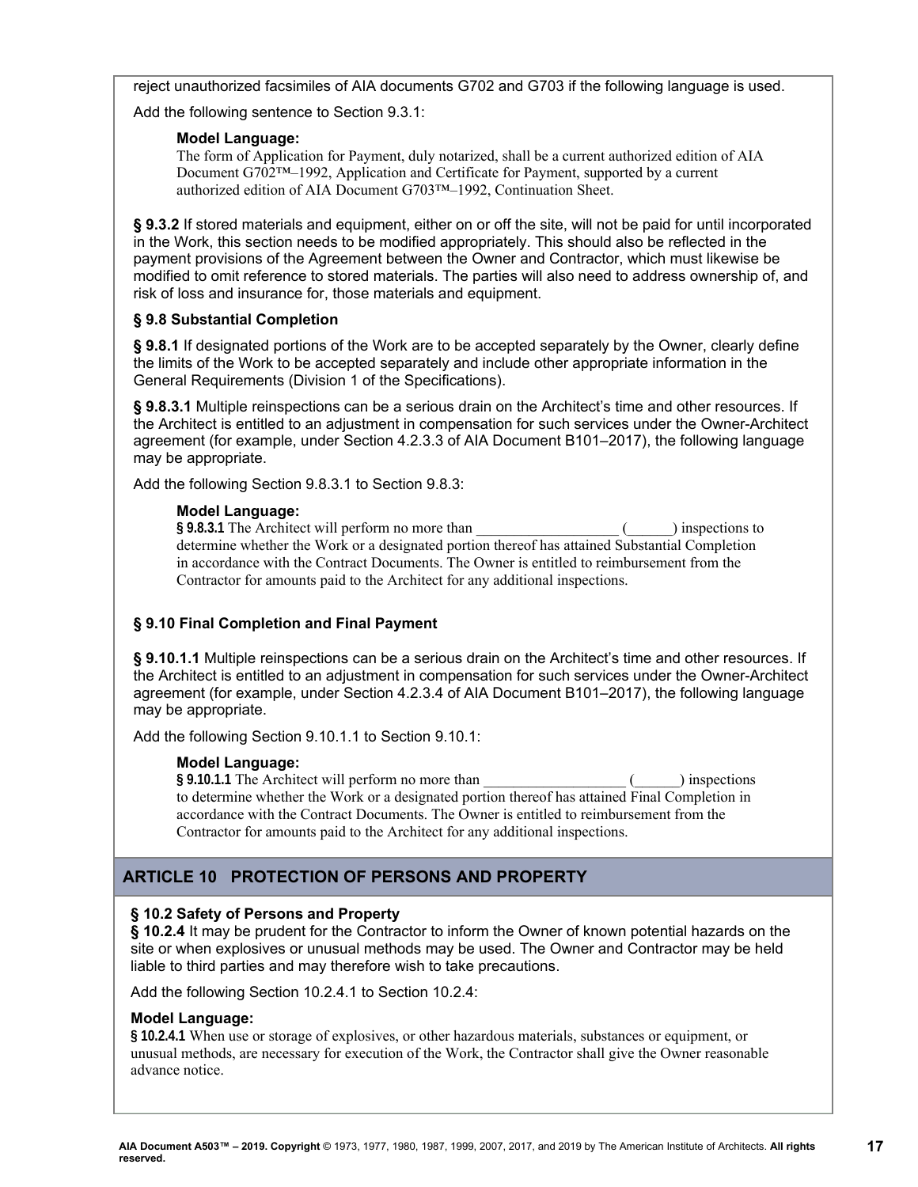reject unauthorized facsimiles of AIA documents G702 and G703 if the following language is used.

Add the following sentence to Section 9.3.1:

#### **Model Language:**

The form of Application for Payment, duly notarized, shall be a current authorized edition of AIA Document G702™–1992, Application and Certificate for Payment, supported by a current authorized edition of AIA Document G703™–1992, Continuation Sheet.

§ 9.3.2 If stored materials and equipment, either on or off the site, will not be paid for until incorporated in the Work, this section needs to be modified appropriately. This should also be reflected in the payment provisions of the Agreement between the Owner and Contractor, which must likewise be modified to omit reference to stored materials. The parties will also need to address ownership of, and risk of loss and insurance for, those materials and equipment.

#### **§ 9.8 Substantial Completion**

**§ 9.8.1** If designated portions of the Work are to be accepted separately by the Owner, clearly define the limits of the Work to be accepted separately and include other appropriate information in the General Requirements (Division 1 of the Specifications).

**§ 9.8.3.1** Multiple reinspections can be a serious drain on the Architect's time and other resources. If the Architect is entitled to an adjustment in compensation for such services under the Owner-Architect agreement (for example, under Section 4.2.3.3 of AIA Document B101–2017), the following language may be appropriate.

Add the following Section 9.8.3.1 to Section 9.8.3:

#### **Model Language:**

**§ 9.8.3.1** The Architect will perform no more than \_\_\_\_\_\_\_\_\_\_\_\_\_\_\_\_\_\_\_ (\_\_\_\_\_\_) inspections to determine whether the Work or a designated portion thereof has attained Substantial Completion in accordance with the Contract Documents. The Owner is entitled to reimbursement from the Contractor for amounts paid to the Architect for any additional inspections.

## **§ 9.10 Final Completion and Final Payment**

**§ 9.10.1.1** Multiple reinspections can be a serious drain on the Architect's time and other resources. If the Architect is entitled to an adjustment in compensation for such services under the Owner-Architect agreement (for example, under Section 4.2.3.4 of AIA Document B101–2017), the following language may be appropriate.

Add the following Section 9.10.1.1 to Section 9.10.1:

## **Model Language:**

**§ 9.10.1.1** The Architect will perform no more than \_\_\_\_\_\_\_\_\_\_\_\_\_\_\_\_\_\_\_ (\_\_\_\_\_\_) inspections to determine whether the Work or a designated portion thereof has attained Final Completion in accordance with the Contract Documents. The Owner is entitled to reimbursement from the Contractor for amounts paid to the Architect for any additional inspections.

## **ARTICLE 10 PROTECTION OF PERSONS AND PROPERTY**

## **§ 10.2 Safety of Persons and Property**

**§ 10.2.4** It may be prudent for the Contractor to inform the Owner of known potential hazards on the site or when explosives or unusual methods may be used. The Owner and Contractor may be held liable to third parties and may therefore wish to take precautions.

Add the following Section 10.2.4.1 to Section 10.2.4:

#### **Model Language:**

**§ 10.2.4.1** When use or storage of explosives, or other hazardous materials, substances or equipment, or unusual methods, are necessary for execution of the Work, the Contractor shall give the Owner reasonable advance notice.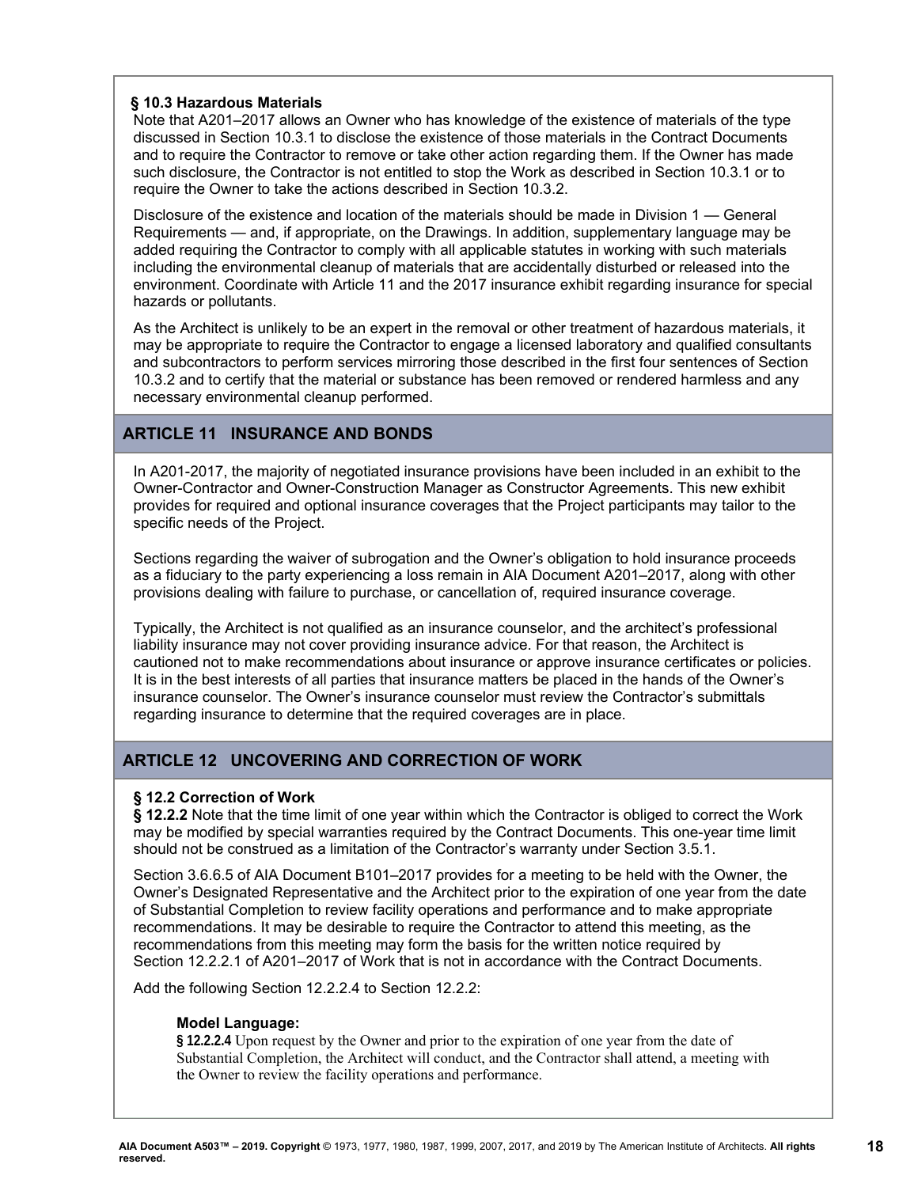## **§ 10.3 Hazardous Materials**

Note that A201–2017 allows an Owner who has knowledge of the existence of materials of the type discussed in Section 10.3.1 to disclose the existence of those materials in the Contract Documents and to require the Contractor to remove or take other action regarding them. If the Owner has made such disclosure, the Contractor is not entitled to stop the Work as described in Section 10.3.1 or to require the Owner to take the actions described in Section 10.3.2.

Disclosure of the existence and location of the materials should be made in Division 1 — General Requirements — and, if appropriate, on the Drawings. In addition, supplementary language may be added requiring the Contractor to comply with all applicable statutes in working with such materials including the environmental cleanup of materials that are accidentally disturbed or released into the environment. Coordinate with Article 11 and the 2017 insurance exhibit regarding insurance for special hazards or pollutants.

As the Architect is unlikely to be an expert in the removal or other treatment of hazardous materials, it may be appropriate to require the Contractor to engage a licensed laboratory and qualified consultants and subcontractors to perform services mirroring those described in the first four sentences of Section 10.3.2 and to certify that the material or substance has been removed or rendered harmless and any necessary environmental cleanup performed.

## **ARTICLE 11 INSURANCE AND BONDS**

In A201-2017, the majority of negotiated insurance provisions have been included in an exhibit to the Owner-Contractor and Owner-Construction Manager as Constructor Agreements. This new exhibit provides for required and optional insurance coverages that the Project participants may tailor to the specific needs of the Project.

Sections regarding the waiver of subrogation and the Owner's obligation to hold insurance proceeds as a fiduciary to the party experiencing a loss remain in AIA Document A201–2017, along with other provisions dealing with failure to purchase, or cancellation of, required insurance coverage.

Typically, the Architect is not qualified as an insurance counselor, and the architect's professional liability insurance may not cover providing insurance advice. For that reason, the Architect is cautioned not to make recommendations about insurance or approve insurance certificates or policies. It is in the best interests of all parties that insurance matters be placed in the hands of the Owner's insurance counselor. The Owner's insurance counselor must review the Contractor's submittals regarding insurance to determine that the required coverages are in place.

## **ARTICLE 12 UNCOVERING AND CORRECTION OF WORK**

#### **§ 12.2 Correction of Work**

**§ 12.2.2** Note that the time limit of one year within which the Contractor is obliged to correct the Work may be modified by special warranties required by the Contract Documents. This one-year time limit should not be construed as a limitation of the Contractor's warranty under Section 3.5.1.

Section 3.6.6.5 of AIA Document B101–2017 provides for a meeting to be held with the Owner, the Owner's Designated Representative and the Architect prior to the expiration of one year from the date of Substantial Completion to review facility operations and performance and to make appropriate recommendations. It may be desirable to require the Contractor to attend this meeting, as the recommendations from this meeting may form the basis for the written notice required by Section 12.2.2.1 of A201–2017 of Work that is not in accordance with the Contract Documents.

Add the following Section 12.2.2.4 to Section 12.2.2:

#### **Model Language:**

**§ 12.2.2.4** Upon request by the Owner and prior to the expiration of one year from the date of Substantial Completion, the Architect will conduct, and the Contractor shall attend, a meeting with the Owner to review the facility operations and performance.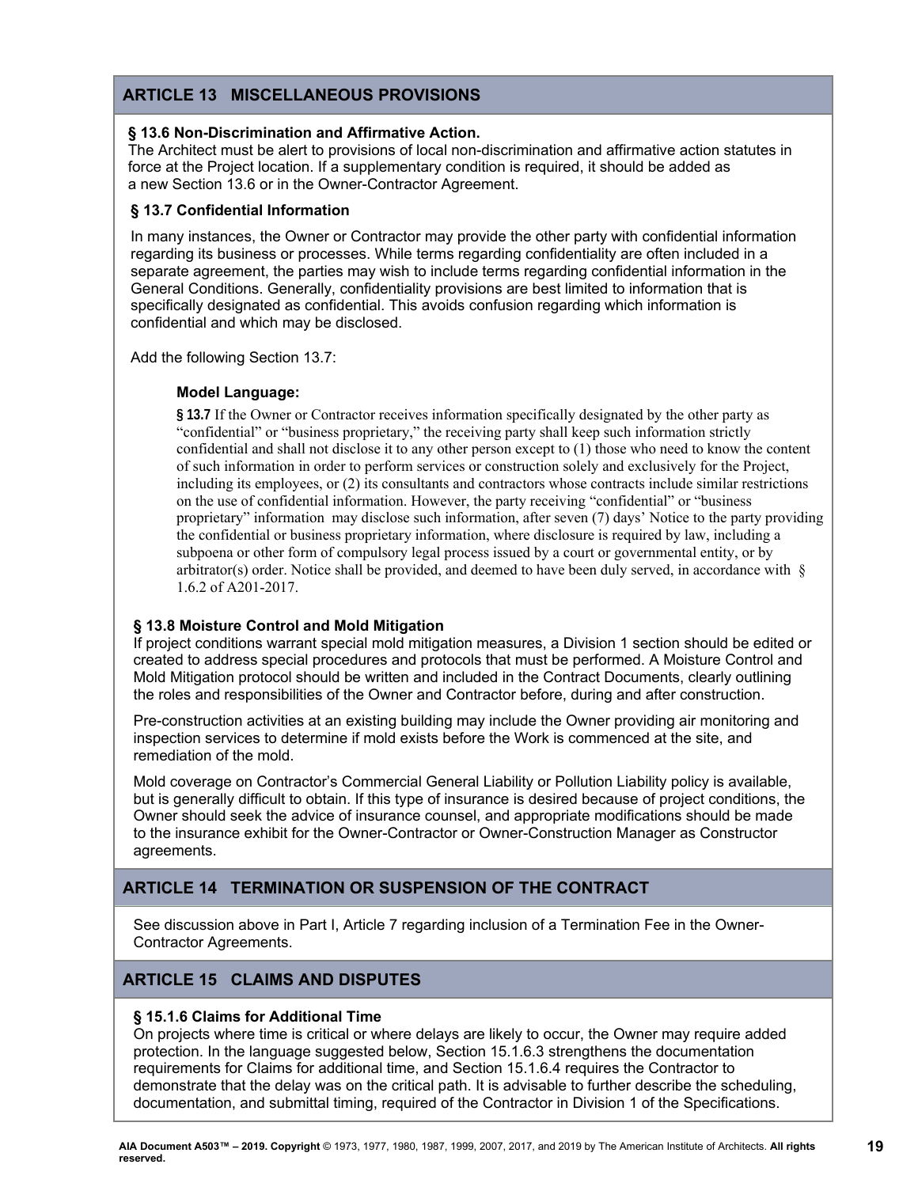## **ARTICLE 13 MISCELLANEOUS PROVISIONS**

#### **§ 13.6 Non-Discrimination and Affirmative Action.**

The Architect must be alert to provisions of local non-discrimination and affirmative action statutes in force at the Project location. If a supplementary condition is required, it should be added as a new Section 13.6 or in the Owner-Contractor Agreement.

#### **§ 13.7 Confidential Information**

In many instances, the Owner or Contractor may provide the other party with confidential information regarding its business or processes. While terms regarding confidentiality are often included in a separate agreement, the parties may wish to include terms regarding confidential information in the General Conditions. Generally, confidentiality provisions are best limited to information that is specifically designated as confidential. This avoids confusion regarding which information is confidential and which may be disclosed.

Add the following Section 13.7:

#### **Model Language:**

**§ 13.7** If the Owner or Contractor receives information specifically designated by the other party as "confidential" or "business proprietary," the receiving party shall keep such information strictly confidential and shall not disclose it to any other person except to (1) those who need to know the content of such information in order to perform services or construction solely and exclusively for the Project, including its employees, or (2) its consultants and contractors whose contracts include similar restrictions on the use of confidential information. However, the party receiving "confidential" or "business proprietary" information may disclose such information, after seven (7) days' Notice to the party providing the confidential or business proprietary information, where disclosure is required by law, including a subpoena or other form of compulsory legal process issued by a court or governmental entity, or by arbitrator(s) order. Notice shall be provided, and deemed to have been duly served, in accordance with § 1.6.2 of A201-2017.

## **§ 13.8 Moisture Control and Mold Mitigation**

If project conditions warrant special mold mitigation measures, a Division 1 section should be edited or created to address special procedures and protocols that must be performed. A Moisture Control and Mold Mitigation protocol should be written and included in the Contract Documents, clearly outlining the roles and responsibilities of the Owner and Contractor before, during and after construction.

Pre-construction activities at an existing building may include the Owner providing air monitoring and inspection services to determine if mold exists before the Work is commenced at the site, and remediation of the mold.

Mold coverage on Contractor's Commercial General Liability or Pollution Liability policy is available, but is generally difficult to obtain. If this type of insurance is desired because of project conditions, the Owner should seek the advice of insurance counsel, and appropriate modifications should be made to the insurance exhibit for the Owner-Contractor or Owner-Construction Manager as Constructor agreements.

## **ARTICLE 14 TERMINATION OR SUSPENSION OF THE CONTRACT**

See discussion above in Part I, Article 7 regarding inclusion of a Termination Fee in the Owner-Contractor Agreements.

## **ARTICLE 15 CLAIMS AND DISPUTES**

## **§ 15.1.6 Claims for Additional Time**

On projects where time is critical or where delays are likely to occur, the Owner may require added protection. In the language suggested below, Section 15.1.6.3 strengthens the documentation requirements for Claims for additional time, and Section 15.1.6.4 requires the Contractor to demonstrate that the delay was on the critical path. It is advisable to further describe the scheduling, documentation, and submittal timing, required of the Contractor in Division 1 of the Specifications.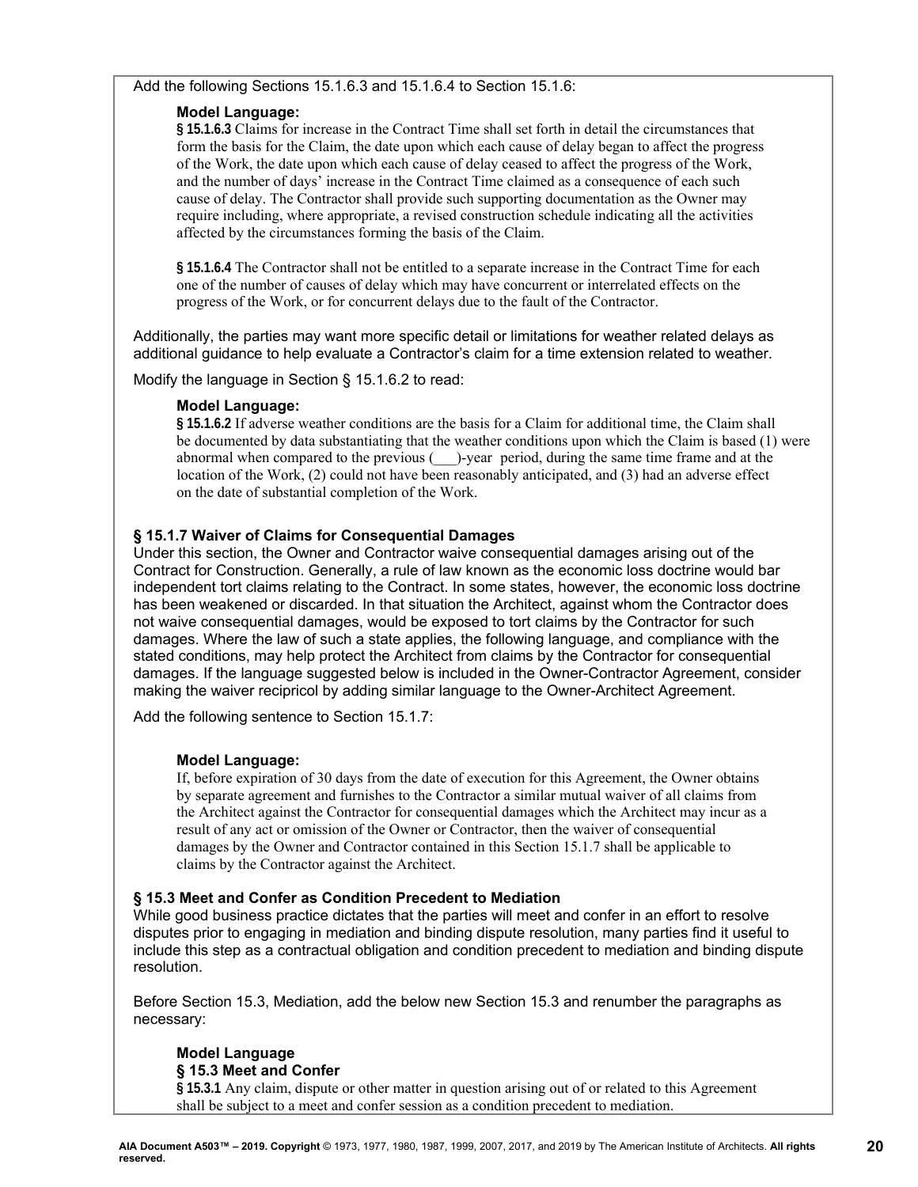#### Add the following Sections 15.1.6.3 and 15.1.6.4 to Section 15.1.6:

#### **Model Language:**

**§ 15.1.6.3** Claims for increase in the Contract Time shall set forth in detail the circumstances that form the basis for the Claim, the date upon which each cause of delay began to affect the progress of the Work, the date upon which each cause of delay ceased to affect the progress of the Work, and the number of days' increase in the Contract Time claimed as a consequence of each such cause of delay. The Contractor shall provide such supporting documentation as the Owner may require including, where appropriate, a revised construction schedule indicating all the activities affected by the circumstances forming the basis of the Claim.

**§ 15.1.6.4** The Contractor shall not be entitled to a separate increase in the Contract Time for each one of the number of causes of delay which may have concurrent or interrelated effects on the progress of the Work, or for concurrent delays due to the fault of the Contractor.

Additionally, the parties may want more specific detail or limitations for weather related delays as additional guidance to help evaluate a Contractor's claim for a time extension related to weather.

Modify the language in Section § 15.1.6.2 to read:

#### **Model Language:**

**§ 15.1.6.2** If adverse weather conditions are the basis for a Claim for additional time, the Claim shall be documented by data substantiating that the weather conditions upon which the Claim is based (1) were abnormal when compared to the previous (\_\_\_)-year period, during the same time frame and at the location of the Work, (2) could not have been reasonably anticipated, and (3) had an adverse effect on the date of substantial completion of the Work.

## **§ 15.1.7 Waiver of Claims for Consequential Damages**

Under this section, the Owner and Contractor waive consequential damages arising out of the Contract for Construction. Generally, a rule of law known as the economic loss doctrine would bar independent tort claims relating to the Contract. In some states, however, the economic loss doctrine has been weakened or discarded. In that situation the Architect, against whom the Contractor does not waive consequential damages, would be exposed to tort claims by the Contractor for such damages. Where the law of such a state applies, the following language, and compliance with the stated conditions, may help protect the Architect from claims by the Contractor for consequential damages. If the language suggested below is included in the Owner-Contractor Agreement, consider making the waiver recipricol by adding similar language to the Owner-Architect Agreement.

Add the following sentence to Section 15.1.7:

## **Model Language:**

If, before expiration of 30 days from the date of execution for this Agreement, the Owner obtains by separate agreement and furnishes to the Contractor a similar mutual waiver of all claims from the Architect against the Contractor for consequential damages which the Architect may incur as a result of any act or omission of the Owner or Contractor, then the waiver of consequential damages by the Owner and Contractor contained in this Section 15.1.7 shall be applicable to claims by the Contractor against the Architect.

## **§ 15.3 Meet and Confer as Condition Precedent to Mediation**

While good business practice dictates that the parties will meet and confer in an effort to resolve disputes prior to engaging in mediation and binding dispute resolution, many parties find it useful to include this step as a contractual obligation and condition precedent to mediation and binding dispute resolution.

Before Section 15.3, Mediation, add the below new Section 15.3 and renumber the paragraphs as necessary:

#### **Model Language § 15.3 Meet and Confer**

**§ 15.3.1** Any claim, dispute or other matter in question arising out of or related to this Agreement shall be subject to a meet and confer session as a condition precedent to mediation.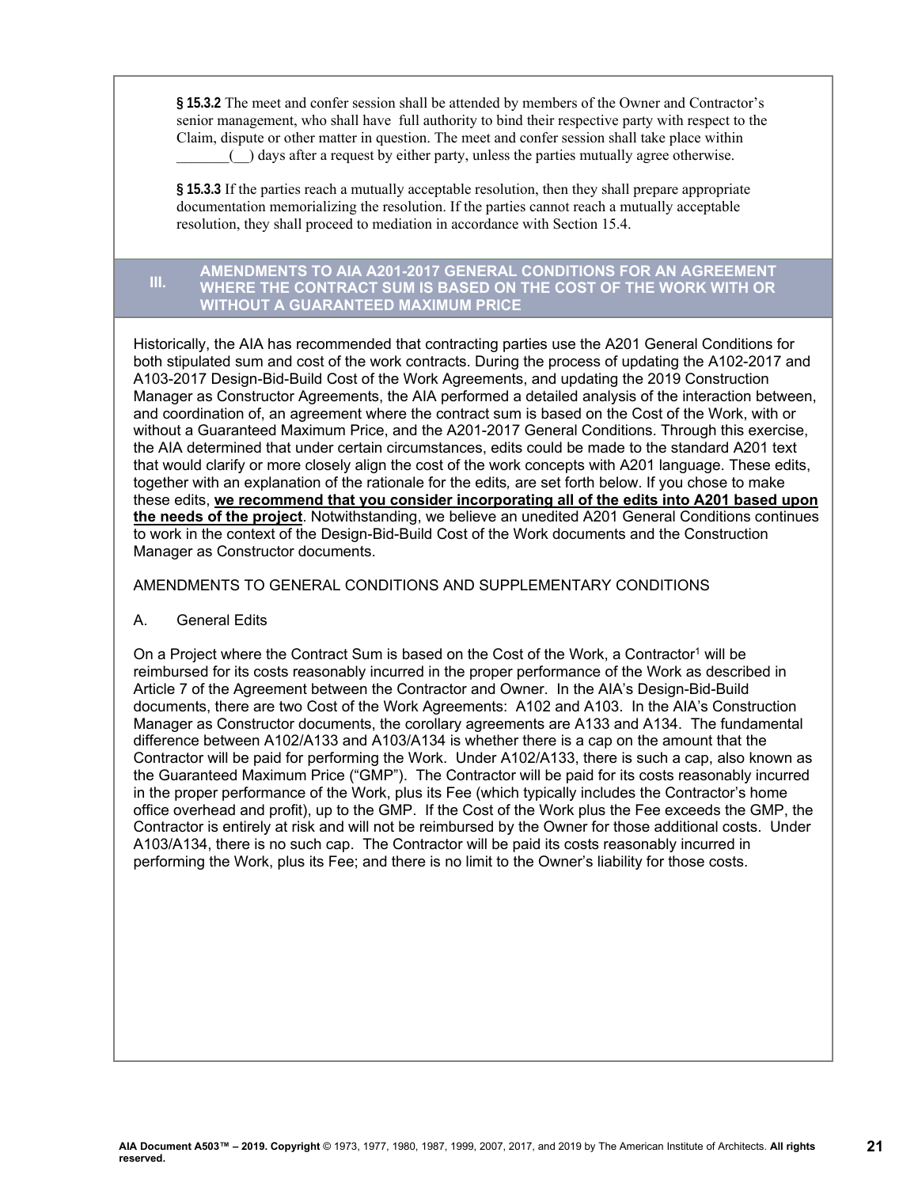**§ 15.3.2** The meet and confer session shall be attended by members of the Owner and Contractor's senior management, who shall have full authority to bind their respective party with respect to the Claim, dispute or other matter in question. The meet and confer session shall take place within  $\phi$  days after a request by either party, unless the parties mutually agree otherwise.

**§ 15.3.3** If the parties reach a mutually acceptable resolution, then they shall prepare appropriate documentation memorializing the resolution. If the parties cannot reach a mutually acceptable resolution, they shall proceed to mediation in accordance with Section 15.4.

#### **III. AMENDMENTS TO AIA A201-2017 GENERAL CONDITIONS FOR AN AGREEMENT WHERE THE CONTRACT SUM IS BASED ON THE COST OF THE WORK WITH OR WITHOUT A GUARANTEED MAXIMUM PRICE**

Historically, the AIA has recommended that contracting parties use the A201 General Conditions for both stipulated sum and cost of the work contracts. During the process of updating the A102-2017 and A103-2017 Design-Bid-Build Cost of the Work Agreements, and updating the 2019 Construction Manager as Constructor Agreements, the AIA performed a detailed analysis of the interaction between, and coordination of, an agreement where the contract sum is based on the Cost of the Work, with or without a Guaranteed Maximum Price, and the A201-2017 General Conditions. Through this exercise, the AIA determined that under certain circumstances, edits could be made to the standard A201 text that would clarify or more closely align the cost of the work concepts with A201 language. These edits, together with an explanation of the rationale for the edits*,* are set forth below. If you chose to make these edits, **we recommend that you consider incorporating all of the edits into A201 based upon the needs of the project**. Notwithstanding, we believe an unedited A201 General Conditions continues to work in the context of the Design-Bid-Build Cost of the Work documents and the Construction Manager as Constructor documents.

AMENDMENTS TO GENERAL CONDITIONS AND SUPPLEMENTARY CONDITIONS

## A. General Edits

On a Project where the Contract Sum is based on the Cost of the Work, a Contractor<sup>1</sup> will be reimbursed for its costs reasonably incurred in the proper performance of the Work as described in Article 7 of the Agreement between the Contractor and Owner. In the AIA's Design-Bid-Build documents, there are two Cost of the Work Agreements: A102 and A103. In the AIA's Construction Manager as Constructor documents, the corollary agreements are A133 and A134. The fundamental difference between A102/A133 and A103/A134 is whether there is a cap on the amount that the Contractor will be paid for performing the Work. Under A102/A133, there is such a cap, also known as the Guaranteed Maximum Price ("GMP"). The Contractor will be paid for its costs reasonably incurred in the proper performance of the Work, plus its Fee (which typically includes the Contractor's home office overhead and profit), up to the GMP. If the Cost of the Work plus the Fee exceeds the GMP, the Contractor is entirely at risk and will not be reimbursed by the Owner for those additional costs. Under A103/A134, there is no such cap. The Contractor will be paid its costs reasonably incurred in performing the Work, plus its Fee; and there is no limit to the Owner's liability for those costs.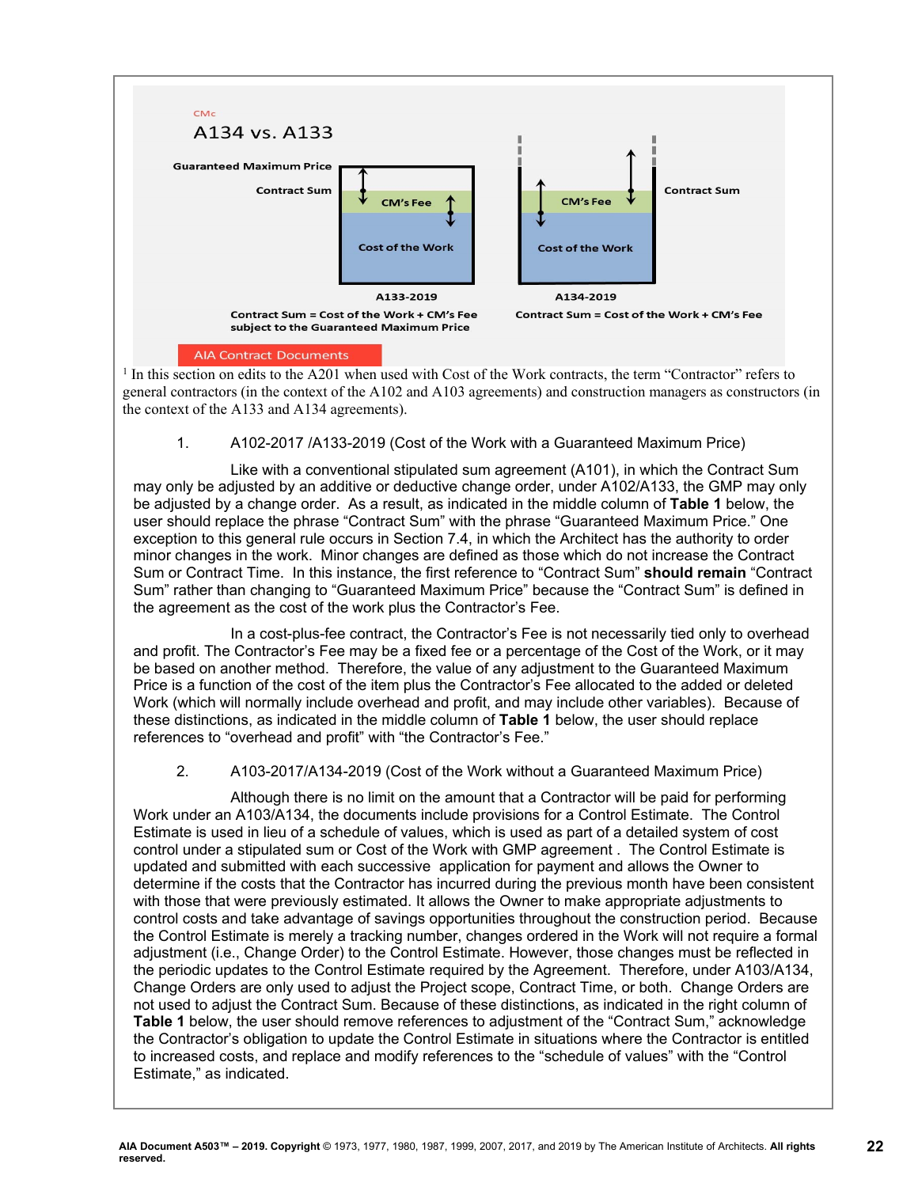

<sup>1</sup> In this section on edits to the A201 when used with Cost of the Work contracts, the term "Contractor" refers to general contractors (in the context of the A102 and A103 agreements) and construction managers as constructors (in the context of the A133 and A134 agreements).

## 1. A102-2017 /A133-2019 (Cost of the Work with a Guaranteed Maximum Price)

Like with a conventional stipulated sum agreement (A101), in which the Contract Sum may only be adjusted by an additive or deductive change order, under A102/A133, the GMP may only be adjusted by a change order. As a result, as indicated in the middle column of **Table 1** below, the user should replace the phrase "Contract Sum" with the phrase "Guaranteed Maximum Price." One exception to this general rule occurs in Section 7.4, in which the Architect has the authority to order minor changes in the work. Minor changes are defined as those which do not increase the Contract Sum or Contract Time. In this instance, the first reference to "Contract Sum" **should remain** "Contract Sum" rather than changing to "Guaranteed Maximum Price" because the "Contract Sum" is defined in the agreement as the cost of the work plus the Contractor's Fee.

In a cost-plus-fee contract, the Contractor's Fee is not necessarily tied only to overhead and profit. The Contractor's Fee may be a fixed fee or a percentage of the Cost of the Work, or it may be based on another method. Therefore, the value of any adjustment to the Guaranteed Maximum Price is a function of the cost of the item plus the Contractor's Fee allocated to the added or deleted Work (which will normally include overhead and profit, and may include other variables). Because of these distinctions, as indicated in the middle column of **Table 1** below, the user should replace references to "overhead and profit" with "the Contractor's Fee."

2. A103-2017/A134-2019 (Cost of the Work without a Guaranteed Maximum Price)

Although there is no limit on the amount that a Contractor will be paid for performing Work under an A103/A134, the documents include provisions for a Control Estimate. The Control Estimate is used in lieu of a schedule of values, which is used as part of a detailed system of cost control under a stipulated sum or Cost of the Work with GMP agreement . The Control Estimate is updated and submitted with each successive application for payment and allows the Owner to determine if the costs that the Contractor has incurred during the previous month have been consistent with those that were previously estimated. It allows the Owner to make appropriate adjustments to control costs and take advantage of savings opportunities throughout the construction period. Because the Control Estimate is merely a tracking number, changes ordered in the Work will not require a formal adjustment (i.e., Change Order) to the Control Estimate. However, those changes must be reflected in the periodic updates to the Control Estimate required by the Agreement. Therefore, under A103/A134, Change Orders are only used to adjust the Project scope, Contract Time, or both. Change Orders are not used to adjust the Contract Sum. Because of these distinctions, as indicated in the right column of **Table 1** below, the user should remove references to adjustment of the "Contract Sum," acknowledge the Contractor's obligation to update the Control Estimate in situations where the Contractor is entitled to increased costs, and replace and modify references to the "schedule of values" with the "Control Estimate," as indicated.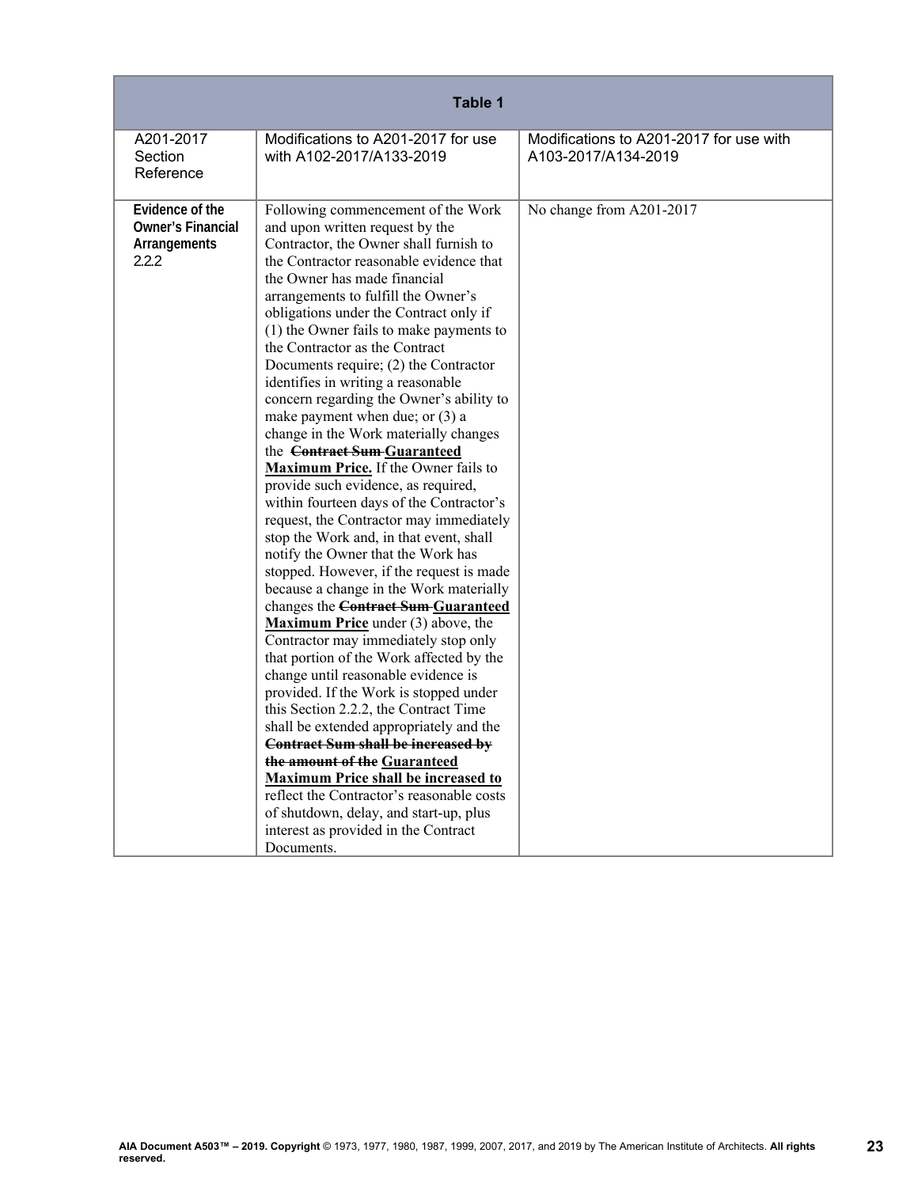|                                                                      | Table 1                                                                                                                                                                                                                                                                                                                                                                                                                                                                                                                                                                                                                                                                                                                                                                                                                                                                                                                                                                                                                                                                                                                                                                                                                                                                                                                                                                                                                                                                                                                                                      |                                                                |
|----------------------------------------------------------------------|--------------------------------------------------------------------------------------------------------------------------------------------------------------------------------------------------------------------------------------------------------------------------------------------------------------------------------------------------------------------------------------------------------------------------------------------------------------------------------------------------------------------------------------------------------------------------------------------------------------------------------------------------------------------------------------------------------------------------------------------------------------------------------------------------------------------------------------------------------------------------------------------------------------------------------------------------------------------------------------------------------------------------------------------------------------------------------------------------------------------------------------------------------------------------------------------------------------------------------------------------------------------------------------------------------------------------------------------------------------------------------------------------------------------------------------------------------------------------------------------------------------------------------------------------------------|----------------------------------------------------------------|
| A201-2017<br>Section<br>Reference                                    | Modifications to A201-2017 for use<br>with A102-2017/A133-2019                                                                                                                                                                                                                                                                                                                                                                                                                                                                                                                                                                                                                                                                                                                                                                                                                                                                                                                                                                                                                                                                                                                                                                                                                                                                                                                                                                                                                                                                                               | Modifications to A201-2017 for use with<br>A103-2017/A134-2019 |
| Evidence of the<br><b>Owner's Financial</b><br>Arrangements<br>2.2.2 | Following commencement of the Work<br>and upon written request by the<br>Contractor, the Owner shall furnish to<br>the Contractor reasonable evidence that<br>the Owner has made financial<br>arrangements to fulfill the Owner's<br>obligations under the Contract only if<br>(1) the Owner fails to make payments to<br>the Contractor as the Contract<br>Documents require; (2) the Contractor<br>identifies in writing a reasonable<br>concern regarding the Owner's ability to<br>make payment when due; or $(3)$ a<br>change in the Work materially changes<br>the Contract Sum-Guaranteed<br>Maximum Price. If the Owner fails to<br>provide such evidence, as required,<br>within fourteen days of the Contractor's<br>request, the Contractor may immediately<br>stop the Work and, in that event, shall<br>notify the Owner that the Work has<br>stopped. However, if the request is made<br>because a change in the Work materially<br>changes the Contract Sum-Guaranteed<br><b>Maximum Price</b> under (3) above, the<br>Contractor may immediately stop only<br>that portion of the Work affected by the<br>change until reasonable evidence is<br>provided. If the Work is stopped under<br>this Section 2.2.2, the Contract Time<br>shall be extended appropriately and the<br><b>Contract Sum shall be increased by</b><br>the amount of the Guaranteed<br>Maximum Price shall be increased to<br>reflect the Contractor's reasonable costs<br>of shutdown, delay, and start-up, plus<br>interest as provided in the Contract<br>Documents. | No change from A201-2017                                       |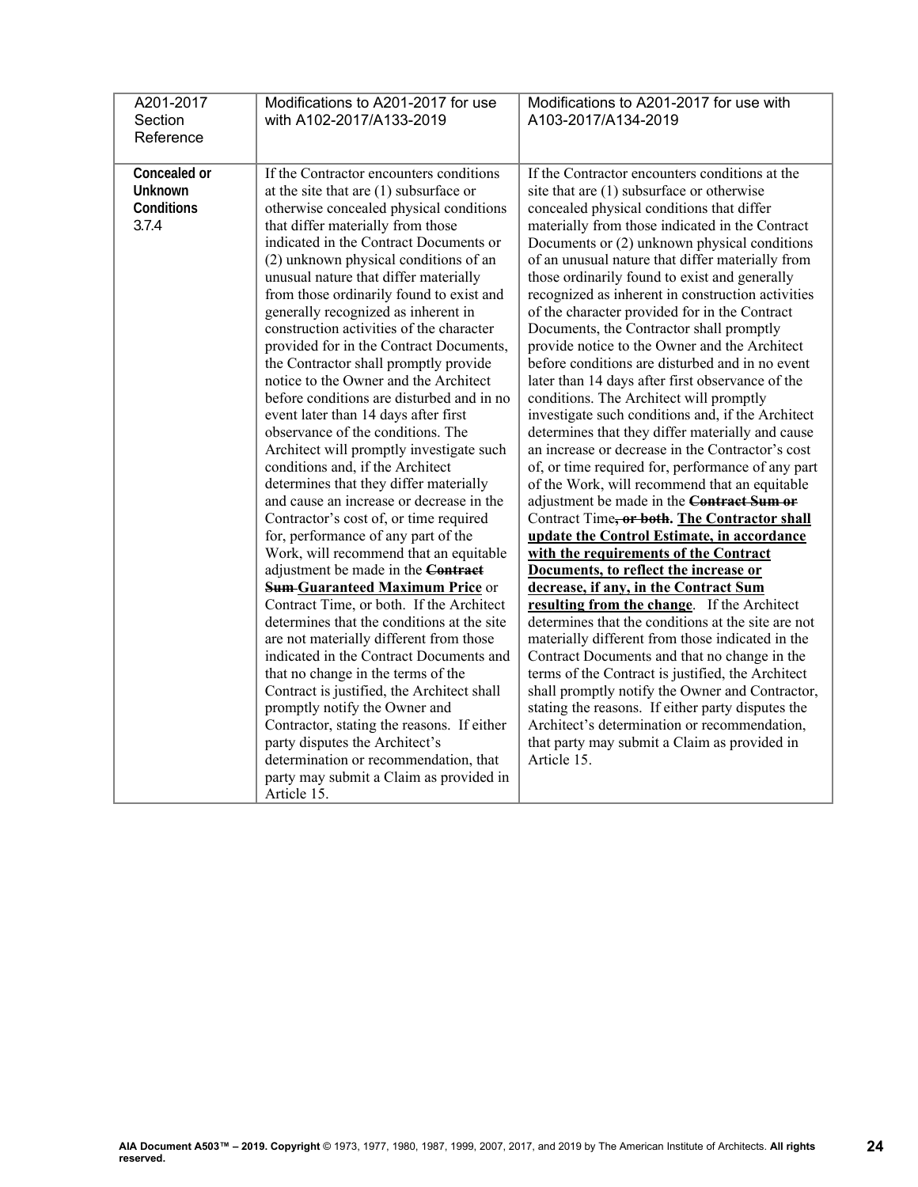| A201-2017<br>Section<br>Reference              | Modifications to A201-2017 for use<br>with A102-2017/A133-2019                                                                                                                                                                                                                                                                                                                                                                                                                                                                                                                                                                                                                                                                                                                                                                                                                                                                                                                                                                                                                                                                                                                                                                                                                                                                                                                                                                                                                                                                                  | Modifications to A201-2017 for use with<br>A103-2017/A134-2019                                                                                                                                                                                                                                                                                                                                                                                                                                                                                                                                                                                                                                                                                                                                                                                                                                                                                                                                                                                                                                                                                                                                                                                                                                                                                                                                                                                                                                                                                                                                                                                                                                                                      |
|------------------------------------------------|-------------------------------------------------------------------------------------------------------------------------------------------------------------------------------------------------------------------------------------------------------------------------------------------------------------------------------------------------------------------------------------------------------------------------------------------------------------------------------------------------------------------------------------------------------------------------------------------------------------------------------------------------------------------------------------------------------------------------------------------------------------------------------------------------------------------------------------------------------------------------------------------------------------------------------------------------------------------------------------------------------------------------------------------------------------------------------------------------------------------------------------------------------------------------------------------------------------------------------------------------------------------------------------------------------------------------------------------------------------------------------------------------------------------------------------------------------------------------------------------------------------------------------------------------|-------------------------------------------------------------------------------------------------------------------------------------------------------------------------------------------------------------------------------------------------------------------------------------------------------------------------------------------------------------------------------------------------------------------------------------------------------------------------------------------------------------------------------------------------------------------------------------------------------------------------------------------------------------------------------------------------------------------------------------------------------------------------------------------------------------------------------------------------------------------------------------------------------------------------------------------------------------------------------------------------------------------------------------------------------------------------------------------------------------------------------------------------------------------------------------------------------------------------------------------------------------------------------------------------------------------------------------------------------------------------------------------------------------------------------------------------------------------------------------------------------------------------------------------------------------------------------------------------------------------------------------------------------------------------------------------------------------------------------------|
| Concealed or<br>Unknown<br>Conditions<br>3.7.4 | If the Contractor encounters conditions<br>at the site that are $(1)$ subsurface or<br>otherwise concealed physical conditions<br>that differ materially from those<br>indicated in the Contract Documents or<br>(2) unknown physical conditions of an<br>unusual nature that differ materially<br>from those ordinarily found to exist and<br>generally recognized as inherent in<br>construction activities of the character<br>provided for in the Contract Documents,<br>the Contractor shall promptly provide<br>notice to the Owner and the Architect<br>before conditions are disturbed and in no<br>event later than 14 days after first<br>observance of the conditions. The<br>Architect will promptly investigate such<br>conditions and, if the Architect<br>determines that they differ materially<br>and cause an increase or decrease in the<br>Contractor's cost of, or time required<br>for, performance of any part of the<br>Work, will recommend that an equitable<br>adjustment be made in the Contract<br><b>Sum-Guaranteed Maximum Price or</b><br>Contract Time, or both. If the Architect<br>determines that the conditions at the site<br>are not materially different from those<br>indicated in the Contract Documents and<br>that no change in the terms of the<br>Contract is justified, the Architect shall<br>promptly notify the Owner and<br>Contractor, stating the reasons. If either<br>party disputes the Architect's<br>determination or recommendation, that<br>party may submit a Claim as provided in | If the Contractor encounters conditions at the<br>site that are (1) subsurface or otherwise<br>concealed physical conditions that differ<br>materially from those indicated in the Contract<br>Documents or (2) unknown physical conditions<br>of an unusual nature that differ materially from<br>those ordinarily found to exist and generally<br>recognized as inherent in construction activities<br>of the character provided for in the Contract<br>Documents, the Contractor shall promptly<br>provide notice to the Owner and the Architect<br>before conditions are disturbed and in no event<br>later than 14 days after first observance of the<br>conditions. The Architect will promptly<br>investigate such conditions and, if the Architect<br>determines that they differ materially and cause<br>an increase or decrease in the Contractor's cost<br>of, or time required for, performance of any part<br>of the Work, will recommend that an equitable<br>adjustment be made in the Contract Sum or<br>Contract Time, or both. The Contractor shall<br>update the Control Estimate, in accordance<br>with the requirements of the Contract<br>Documents, to reflect the increase or<br>decrease, if any, in the Contract Sum<br>resulting from the change. If the Architect<br>determines that the conditions at the site are not<br>materially different from those indicated in the<br>Contract Documents and that no change in the<br>terms of the Contract is justified, the Architect<br>shall promptly notify the Owner and Contractor,<br>stating the reasons. If either party disputes the<br>Architect's determination or recommendation,<br>that party may submit a Claim as provided in<br>Article 15. |
|                                                | Article 15.                                                                                                                                                                                                                                                                                                                                                                                                                                                                                                                                                                                                                                                                                                                                                                                                                                                                                                                                                                                                                                                                                                                                                                                                                                                                                                                                                                                                                                                                                                                                     |                                                                                                                                                                                                                                                                                                                                                                                                                                                                                                                                                                                                                                                                                                                                                                                                                                                                                                                                                                                                                                                                                                                                                                                                                                                                                                                                                                                                                                                                                                                                                                                                                                                                                                                                     |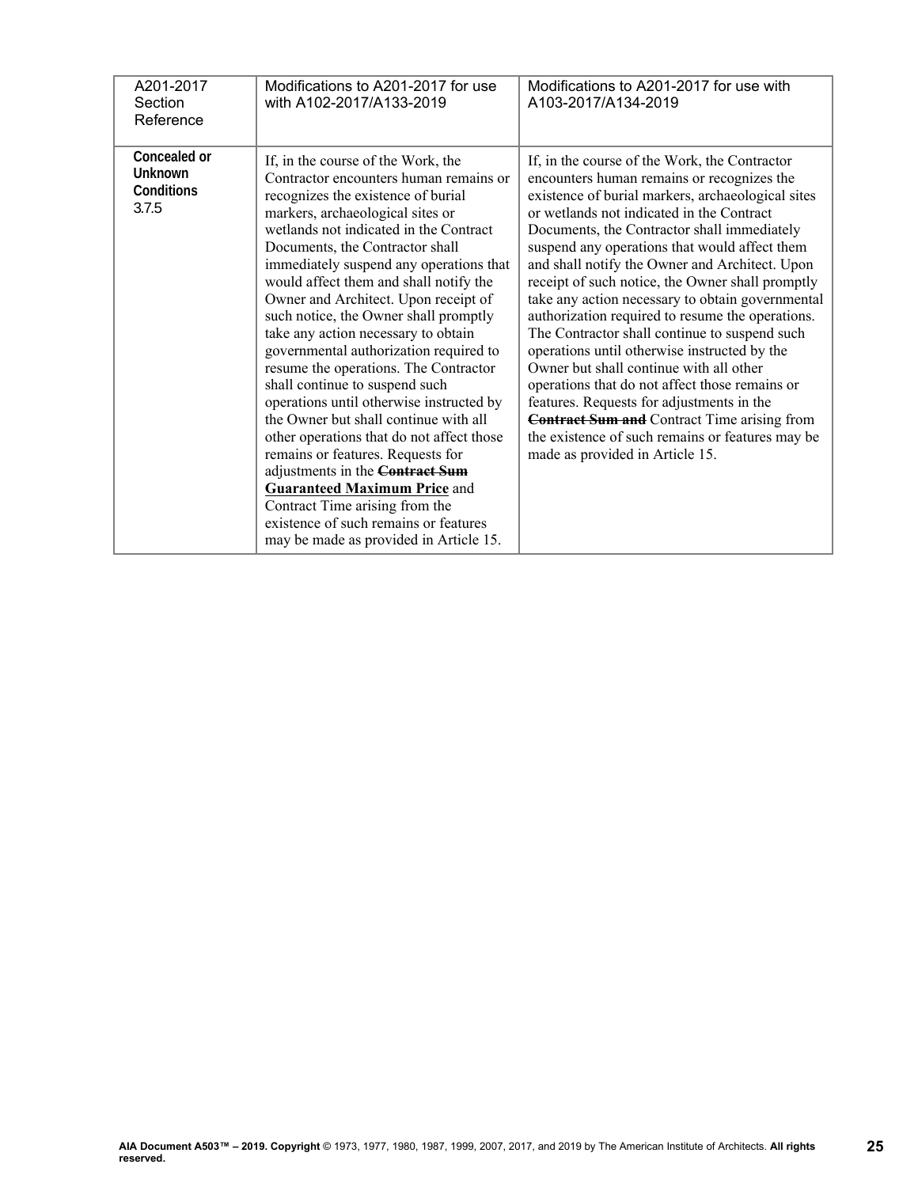| A201-2017<br>Section<br>Reference                     | Modifications to A201-2017 for use<br>with A102-2017/A133-2019                                                                                                                                                                                                                                                                                                                                                                                                                                                                                                                                                                                                                                                                                                                                                                                                                                                                              | Modifications to A201-2017 for use with<br>A103-2017/A134-2019                                                                                                                                                                                                                                                                                                                                                                                                                                                                                                                                                                                                                                                                                                                                                                                                                                      |
|-------------------------------------------------------|---------------------------------------------------------------------------------------------------------------------------------------------------------------------------------------------------------------------------------------------------------------------------------------------------------------------------------------------------------------------------------------------------------------------------------------------------------------------------------------------------------------------------------------------------------------------------------------------------------------------------------------------------------------------------------------------------------------------------------------------------------------------------------------------------------------------------------------------------------------------------------------------------------------------------------------------|-----------------------------------------------------------------------------------------------------------------------------------------------------------------------------------------------------------------------------------------------------------------------------------------------------------------------------------------------------------------------------------------------------------------------------------------------------------------------------------------------------------------------------------------------------------------------------------------------------------------------------------------------------------------------------------------------------------------------------------------------------------------------------------------------------------------------------------------------------------------------------------------------------|
| Concealed or<br><b>Unknown</b><br>Conditions<br>3.7.5 | If, in the course of the Work, the<br>Contractor encounters human remains or<br>recognizes the existence of burial<br>markers, archaeological sites or<br>wetlands not indicated in the Contract<br>Documents, the Contractor shall<br>immediately suspend any operations that<br>would affect them and shall notify the<br>Owner and Architect. Upon receipt of<br>such notice, the Owner shall promptly<br>take any action necessary to obtain<br>governmental authorization required to<br>resume the operations. The Contractor<br>shall continue to suspend such<br>operations until otherwise instructed by<br>the Owner but shall continue with all<br>other operations that do not affect those<br>remains or features. Requests for<br>adjustments in the Contract Sum<br><b>Guaranteed Maximum Price and</b><br>Contract Time arising from the<br>existence of such remains or features<br>may be made as provided in Article 15. | If, in the course of the Work, the Contractor<br>encounters human remains or recognizes the<br>existence of burial markers, archaeological sites<br>or wetlands not indicated in the Contract<br>Documents, the Contractor shall immediately<br>suspend any operations that would affect them<br>and shall notify the Owner and Architect. Upon<br>receipt of such notice, the Owner shall promptly<br>take any action necessary to obtain governmental<br>authorization required to resume the operations.<br>The Contractor shall continue to suspend such<br>operations until otherwise instructed by the<br>Owner but shall continue with all other<br>operations that do not affect those remains or<br>features. Requests for adjustments in the<br><b>Contract Sum and Contract Time arising from</b><br>the existence of such remains or features may be<br>made as provided in Article 15. |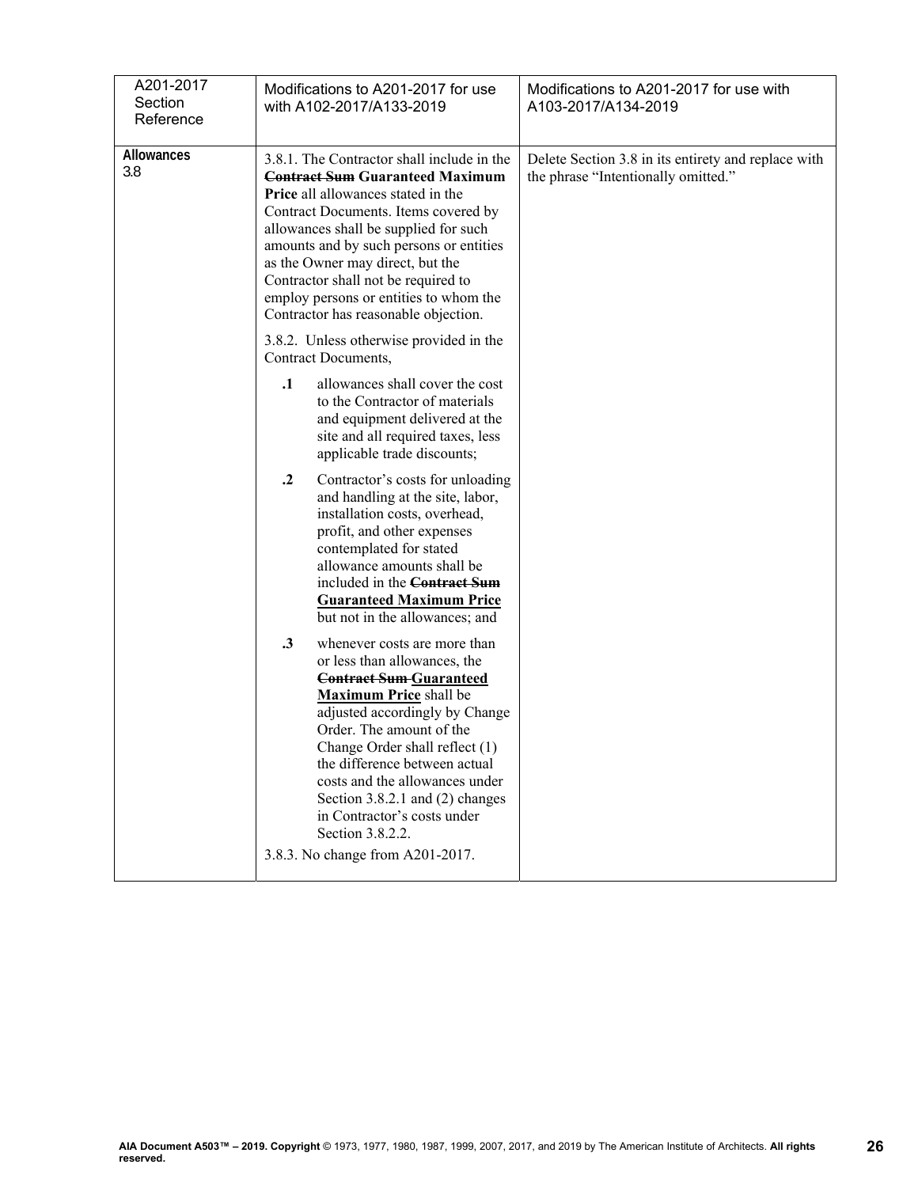| A201-2017<br>Section<br>Reference | Modifications to A201-2017 for use<br>with A102-2017/A133-2019                                                                                                                                                                                                                                                                                                                                                                                                                               | Modifications to A201-2017 for use with<br>A103-2017/A134-2019                             |
|-----------------------------------|----------------------------------------------------------------------------------------------------------------------------------------------------------------------------------------------------------------------------------------------------------------------------------------------------------------------------------------------------------------------------------------------------------------------------------------------------------------------------------------------|--------------------------------------------------------------------------------------------|
| <b>Allowances</b><br>3.8          | 3.8.1. The Contractor shall include in the<br><b>Contract Sum Guaranteed Maximum</b><br><b>Price</b> all allowances stated in the<br>Contract Documents. Items covered by<br>allowances shall be supplied for such<br>amounts and by such persons or entities<br>as the Owner may direct, but the<br>Contractor shall not be required to<br>employ persons or entities to whom the<br>Contractor has reasonable objection.<br>3.8.2. Unless otherwise provided in the<br>Contract Documents, | Delete Section 3.8 in its entirety and replace with<br>the phrase "Intentionally omitted." |
|                                   | allowances shall cover the cost<br>$\cdot$<br>to the Contractor of materials<br>and equipment delivered at the<br>site and all required taxes, less<br>applicable trade discounts;                                                                                                                                                                                                                                                                                                           |                                                                                            |
|                                   | $\cdot$<br>Contractor's costs for unloading<br>and handling at the site, labor,<br>installation costs, overhead,<br>profit, and other expenses<br>contemplated for stated<br>allowance amounts shall be<br>included in the Contract Sum<br><b>Guaranteed Maximum Price</b><br>but not in the allowances; and                                                                                                                                                                                 |                                                                                            |
|                                   | $\cdot$ 3<br>whenever costs are more than<br>or less than allowances, the<br><b>Contract Sum-Guaranteed</b><br>Maximum Price shall be<br>adjusted accordingly by Change<br>Order. The amount of the<br>Change Order shall reflect (1)<br>the difference between actual<br>costs and the allowances under<br>Section $3.8.2.1$ and $(2)$ changes<br>in Contractor's costs under<br>Section 3.8.2.2.<br>3.8.3. No change from A201-2017.                                                       |                                                                                            |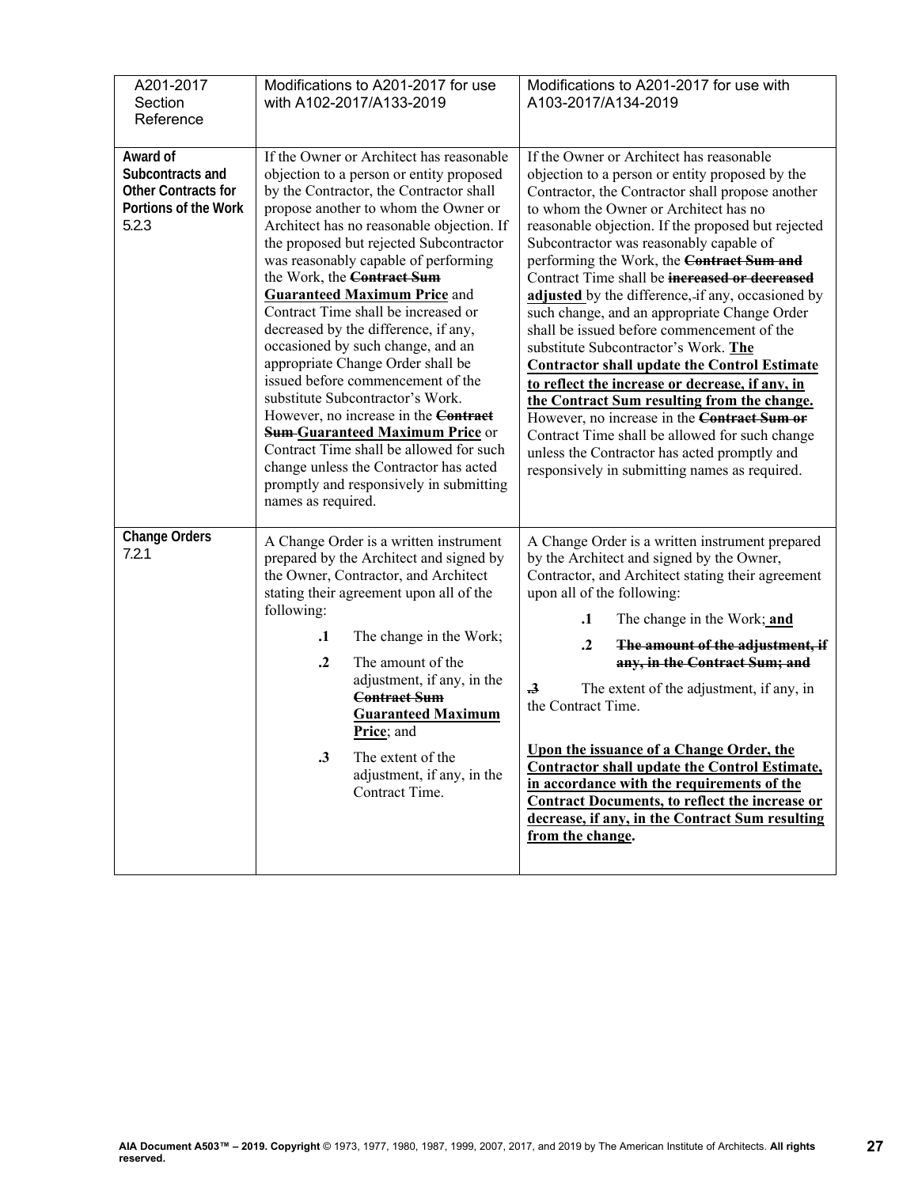| Modifications to A201-2017 for use<br>with A102-2017/A133-2019                                                                                                                                                                                                                                                                                                                                                                                                                                                                                                                                                                                                                                                                                                                                                                                                | Modifications to A201-2017 for use with<br>A103-2017/A134-2019                                                                                                                                                                                                                                                                                                                                                                                                                                                                                                                                                                                                                                                                                                                                                                                                                                                                                              |
|---------------------------------------------------------------------------------------------------------------------------------------------------------------------------------------------------------------------------------------------------------------------------------------------------------------------------------------------------------------------------------------------------------------------------------------------------------------------------------------------------------------------------------------------------------------------------------------------------------------------------------------------------------------------------------------------------------------------------------------------------------------------------------------------------------------------------------------------------------------|-------------------------------------------------------------------------------------------------------------------------------------------------------------------------------------------------------------------------------------------------------------------------------------------------------------------------------------------------------------------------------------------------------------------------------------------------------------------------------------------------------------------------------------------------------------------------------------------------------------------------------------------------------------------------------------------------------------------------------------------------------------------------------------------------------------------------------------------------------------------------------------------------------------------------------------------------------------|
| If the Owner or Architect has reasonable<br>objection to a person or entity proposed<br>by the Contractor, the Contractor shall<br>propose another to whom the Owner or<br>Architect has no reasonable objection. If<br>the proposed but rejected Subcontractor<br>was reasonably capable of performing<br>the Work, the Contract Sum<br><b>Guaranteed Maximum Price and</b><br>Contract Time shall be increased or<br>decreased by the difference, if any,<br>occasioned by such change, and an<br>appropriate Change Order shall be<br>issued before commencement of the<br>substitute Subcontractor's Work.<br>However, no increase in the <b>Contract</b><br><b>Sum-Guaranteed Maximum Price or</b><br>Contract Time shall be allowed for such<br>change unless the Contractor has acted<br>promptly and responsively in submitting<br>names as required. | If the Owner or Architect has reasonable<br>objection to a person or entity proposed by the<br>Contractor, the Contractor shall propose another<br>to whom the Owner or Architect has no<br>reasonable objection. If the proposed but rejected<br>Subcontractor was reasonably capable of<br>performing the Work, the <b>Contract Sum and</b><br>Contract Time shall be increased or decreased<br>adjusted by the difference, if any, occasioned by<br>such change, and an appropriate Change Order<br>shall be issued before commencement of the<br>substitute Subcontractor's Work. The<br><b>Contractor shall update the Control Estimate</b><br>to reflect the increase or decrease, if any, in<br>the Contract Sum resulting from the change.<br>However, no increase in the <b>Contract Sum or</b><br>Contract Time shall be allowed for such change<br>unless the Contractor has acted promptly and<br>responsively in submitting names as required. |
| A Change Order is a written instrument<br>prepared by the Architect and signed by<br>the Owner, Contractor, and Architect<br>stating their agreement upon all of the<br>following:<br>$\cdot$<br>The change in the Work;<br>$\cdot$ <sup>2</sup><br>The amount of the<br>adjustment, if any, in the<br><b>Contract Sum</b><br><b>Guaranteed Maximum</b><br>Price; and<br>$\cdot$ 3<br>The extent of the<br>adjustment, if any, in the<br>Contract Time.                                                                                                                                                                                                                                                                                                                                                                                                       | A Change Order is a written instrument prepared<br>by the Architect and signed by the Owner,<br>Contractor, and Architect stating their agreement<br>upon all of the following:<br>$\cdot$<br>The change in the Work; and<br>$\cdot$ <sup>2</sup><br>The amount of the adjustment, if<br>any, in the Contract Sum; and<br>$\mathbf{.3}$<br>The extent of the adjustment, if any, in<br>the Contract Time.<br>Upon the issuance of a Change Order, the<br>Contractor shall update the Control Estimate,<br>in accordance with the requirements of the<br><b>Contract Documents, to reflect the increase or</b><br>decrease, if any, in the Contract Sum resulting<br>from the change.                                                                                                                                                                                                                                                                        |
|                                                                                                                                                                                                                                                                                                                                                                                                                                                                                                                                                                                                                                                                                                                                                                                                                                                               |                                                                                                                                                                                                                                                                                                                                                                                                                                                                                                                                                                                                                                                                                                                                                                                                                                                                                                                                                             |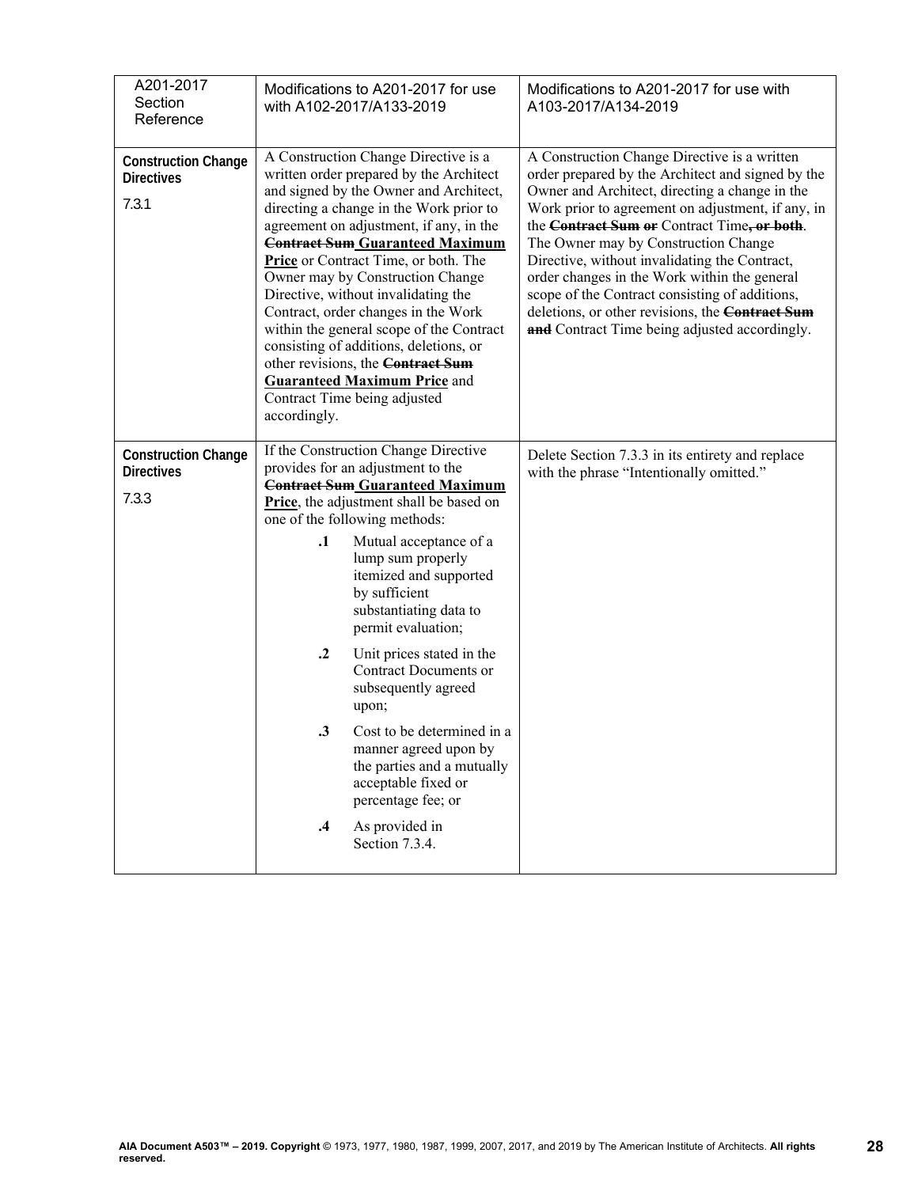| A201-2017<br>Section<br>Reference                        | Modifications to A201-2017 for use<br>with A102-2017/A133-2019                                                                                                                                                                                                                                                                                                                                                                                                                                                                                                                                                                        | Modifications to A201-2017 for use with<br>A103-2017/A134-2019                                                                                                                                                                                                                                                                                                                                                                                                                                                                                                |
|----------------------------------------------------------|---------------------------------------------------------------------------------------------------------------------------------------------------------------------------------------------------------------------------------------------------------------------------------------------------------------------------------------------------------------------------------------------------------------------------------------------------------------------------------------------------------------------------------------------------------------------------------------------------------------------------------------|---------------------------------------------------------------------------------------------------------------------------------------------------------------------------------------------------------------------------------------------------------------------------------------------------------------------------------------------------------------------------------------------------------------------------------------------------------------------------------------------------------------------------------------------------------------|
| <b>Construction Change</b><br><b>Directives</b><br>7.3.1 | A Construction Change Directive is a<br>written order prepared by the Architect<br>and signed by the Owner and Architect,<br>directing a change in the Work prior to<br>agreement on adjustment, if any, in the<br><b>Contract Sum Guaranteed Maximum</b><br>Price or Contract Time, or both. The<br>Owner may by Construction Change<br>Directive, without invalidating the<br>Contract, order changes in the Work<br>within the general scope of the Contract<br>consisting of additions, deletions, or<br>other revisions, the Contract Sum<br><b>Guaranteed Maximum Price and</b><br>Contract Time being adjusted<br>accordingly. | A Construction Change Directive is a written<br>order prepared by the Architect and signed by the<br>Owner and Architect, directing a change in the<br>Work prior to agreement on adjustment, if any, in<br>the Contract Sum or Contract Time, or both.<br>The Owner may by Construction Change<br>Directive, without invalidating the Contract,<br>order changes in the Work within the general<br>scope of the Contract consisting of additions,<br>deletions, or other revisions, the Contract Sum<br><b>and</b> Contract Time being adjusted accordingly. |
| <b>Construction Change</b><br><b>Directives</b><br>7.3.3 | If the Construction Change Directive<br>provides for an adjustment to the<br><b>Contract Sum Guaranteed Maximum</b><br>Price, the adjustment shall be based on<br>one of the following methods:                                                                                                                                                                                                                                                                                                                                                                                                                                       | Delete Section 7.3.3 in its entirety and replace<br>with the phrase "Intentionally omitted."                                                                                                                                                                                                                                                                                                                                                                                                                                                                  |
|                                                          | $\mathbf{.1}$<br>Mutual acceptance of a<br>lump sum properly<br>itemized and supported<br>by sufficient<br>substantiating data to<br>permit evaluation;                                                                                                                                                                                                                                                                                                                                                                                                                                                                               |                                                                                                                                                                                                                                                                                                                                                                                                                                                                                                                                                               |
|                                                          | $\cdot$ <sup>2</sup><br>Unit prices stated in the<br><b>Contract Documents or</b><br>subsequently agreed<br>upon;                                                                                                                                                                                                                                                                                                                                                                                                                                                                                                                     |                                                                                                                                                                                                                                                                                                                                                                                                                                                                                                                                                               |
|                                                          | Cost to be determined in a<br>$\cdot$ 3<br>manner agreed upon by<br>the parties and a mutually<br>acceptable fixed or<br>percentage fee; or                                                                                                                                                                                                                                                                                                                                                                                                                                                                                           |                                                                                                                                                                                                                                                                                                                                                                                                                                                                                                                                                               |
|                                                          | As provided in<br>$\cdot$ 4<br>Section 7.3.4.                                                                                                                                                                                                                                                                                                                                                                                                                                                                                                                                                                                         |                                                                                                                                                                                                                                                                                                                                                                                                                                                                                                                                                               |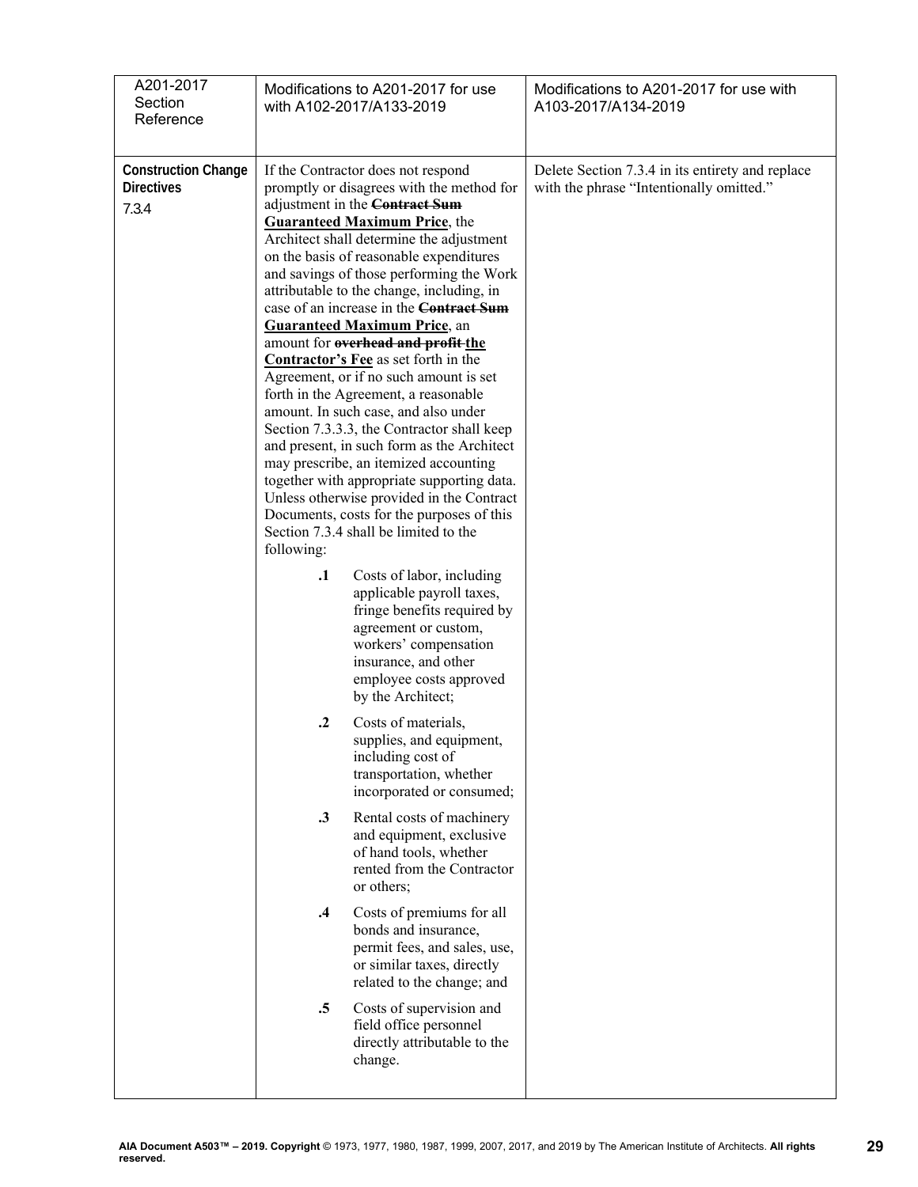| A201-2017<br>Section<br>Reference                        | Modifications to A201-2017 for use<br>with A102-2017/A133-2019                                                                                                                                                                                                                                                                                                                                                                                                                                                                                                                                                                                                                                                                                                                                                                                                                                                                                                                                                                                                                                                                                                                                                                                                                                                                                                                                                                                                                                                                                                                                                                                   | Modifications to A201-2017 for use with<br>A103-2017/A134-2019                               |
|----------------------------------------------------------|--------------------------------------------------------------------------------------------------------------------------------------------------------------------------------------------------------------------------------------------------------------------------------------------------------------------------------------------------------------------------------------------------------------------------------------------------------------------------------------------------------------------------------------------------------------------------------------------------------------------------------------------------------------------------------------------------------------------------------------------------------------------------------------------------------------------------------------------------------------------------------------------------------------------------------------------------------------------------------------------------------------------------------------------------------------------------------------------------------------------------------------------------------------------------------------------------------------------------------------------------------------------------------------------------------------------------------------------------------------------------------------------------------------------------------------------------------------------------------------------------------------------------------------------------------------------------------------------------------------------------------------------------|----------------------------------------------------------------------------------------------|
| <b>Construction Change</b><br><b>Directives</b><br>7.3.4 | If the Contractor does not respond<br>promptly or disagrees with the method for<br>adjustment in the <b>Contract Sum</b><br><b>Guaranteed Maximum Price</b> , the<br>Architect shall determine the adjustment<br>on the basis of reasonable expenditures<br>and savings of those performing the Work<br>attributable to the change, including, in<br>case of an increase in the Contract Sum<br><b>Guaranteed Maximum Price</b> , an<br>amount for <b>everhead and profit the</b><br><b>Contractor's Fee</b> as set forth in the<br>Agreement, or if no such amount is set<br>forth in the Agreement, a reasonable<br>amount. In such case, and also under<br>Section 7.3.3.3, the Contractor shall keep<br>and present, in such form as the Architect<br>may prescribe, an itemized accounting<br>together with appropriate supporting data.<br>Unless otherwise provided in the Contract<br>Documents, costs for the purposes of this<br>Section 7.3.4 shall be limited to the<br>following:<br>$\cdot$<br>Costs of labor, including<br>applicable payroll taxes,<br>fringe benefits required by<br>agreement or custom,<br>workers' compensation<br>insurance, and other<br>employee costs approved<br>by the Architect;<br>$\cdot$<br>Costs of materials,<br>supplies, and equipment,<br>including cost of<br>transportation, whether<br>incorporated or consumed;<br>$\cdot$ 3<br>Rental costs of machinery<br>and equipment, exclusive<br>of hand tools, whether<br>rented from the Contractor<br>or others;<br>Costs of premiums for all<br>$\cdot$<br>bonds and insurance,<br>permit fees, and sales, use,<br>or similar taxes, directly | Delete Section 7.3.4 in its entirety and replace<br>with the phrase "Intentionally omitted." |
|                                                          | related to the change; and<br>$\cdot$ 5<br>Costs of supervision and<br>field office personnel<br>directly attributable to the<br>change.                                                                                                                                                                                                                                                                                                                                                                                                                                                                                                                                                                                                                                                                                                                                                                                                                                                                                                                                                                                                                                                                                                                                                                                                                                                                                                                                                                                                                                                                                                         |                                                                                              |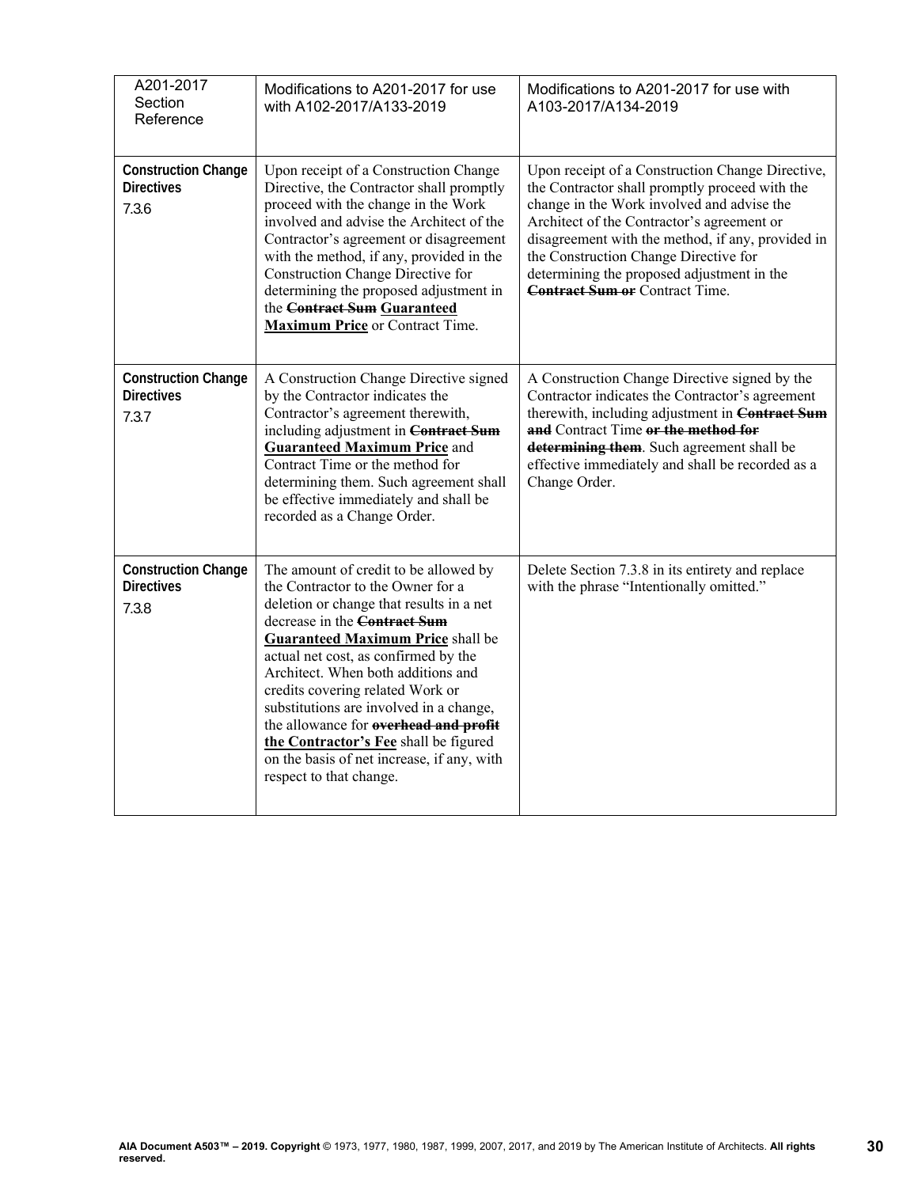| A201-2017<br>Section<br>Reference                        | Modifications to A201-2017 for use<br>with A102-2017/A133-2019                                                                                                                                                                                                                                                                                                                                                                                                                                                                    | Modifications to A201-2017 for use with<br>A103-2017/A134-2019                                                                                                                                                                                                                                                                                                                      |
|----------------------------------------------------------|-----------------------------------------------------------------------------------------------------------------------------------------------------------------------------------------------------------------------------------------------------------------------------------------------------------------------------------------------------------------------------------------------------------------------------------------------------------------------------------------------------------------------------------|-------------------------------------------------------------------------------------------------------------------------------------------------------------------------------------------------------------------------------------------------------------------------------------------------------------------------------------------------------------------------------------|
| <b>Construction Change</b><br><b>Directives</b><br>7.3.6 | Upon receipt of a Construction Change<br>Directive, the Contractor shall promptly<br>proceed with the change in the Work<br>involved and advise the Architect of the<br>Contractor's agreement or disagreement<br>with the method, if any, provided in the<br>Construction Change Directive for<br>determining the proposed adjustment in<br>the Contract Sum Guaranteed<br><b>Maximum Price</b> or Contract Time.                                                                                                                | Upon receipt of a Construction Change Directive,<br>the Contractor shall promptly proceed with the<br>change in the Work involved and advise the<br>Architect of the Contractor's agreement or<br>disagreement with the method, if any, provided in<br>the Construction Change Directive for<br>determining the proposed adjustment in the<br><b>Contract Sum or</b> Contract Time. |
| <b>Construction Change</b><br><b>Directives</b><br>7.3.7 | A Construction Change Directive signed<br>by the Contractor indicates the<br>Contractor's agreement therewith,<br>including adjustment in Contract Sum<br><b>Guaranteed Maximum Price and</b><br>Contract Time or the method for<br>determining them. Such agreement shall<br>be effective immediately and shall be<br>recorded as a Change Order.                                                                                                                                                                                | A Construction Change Directive signed by the<br>Contractor indicates the Contractor's agreement<br>therewith, including adjustment in Contract Sum<br>and Contract Time or the method for<br>determining them. Such agreement shall be<br>effective immediately and shall be recorded as a<br>Change Order.                                                                        |
| <b>Construction Change</b><br><b>Directives</b><br>7.3.8 | The amount of credit to be allowed by<br>the Contractor to the Owner for a<br>deletion or change that results in a net<br>decrease in the Contract Sum<br><b>Guaranteed Maximum Price shall be</b><br>actual net cost, as confirmed by the<br>Architect. When both additions and<br>credits covering related Work or<br>substitutions are involved in a change,<br>the allowance for <b>overhead and profit</b><br>the Contractor's Fee shall be figured<br>on the basis of net increase, if any, with<br>respect to that change. | Delete Section 7.3.8 in its entirety and replace<br>with the phrase "Intentionally omitted."                                                                                                                                                                                                                                                                                        |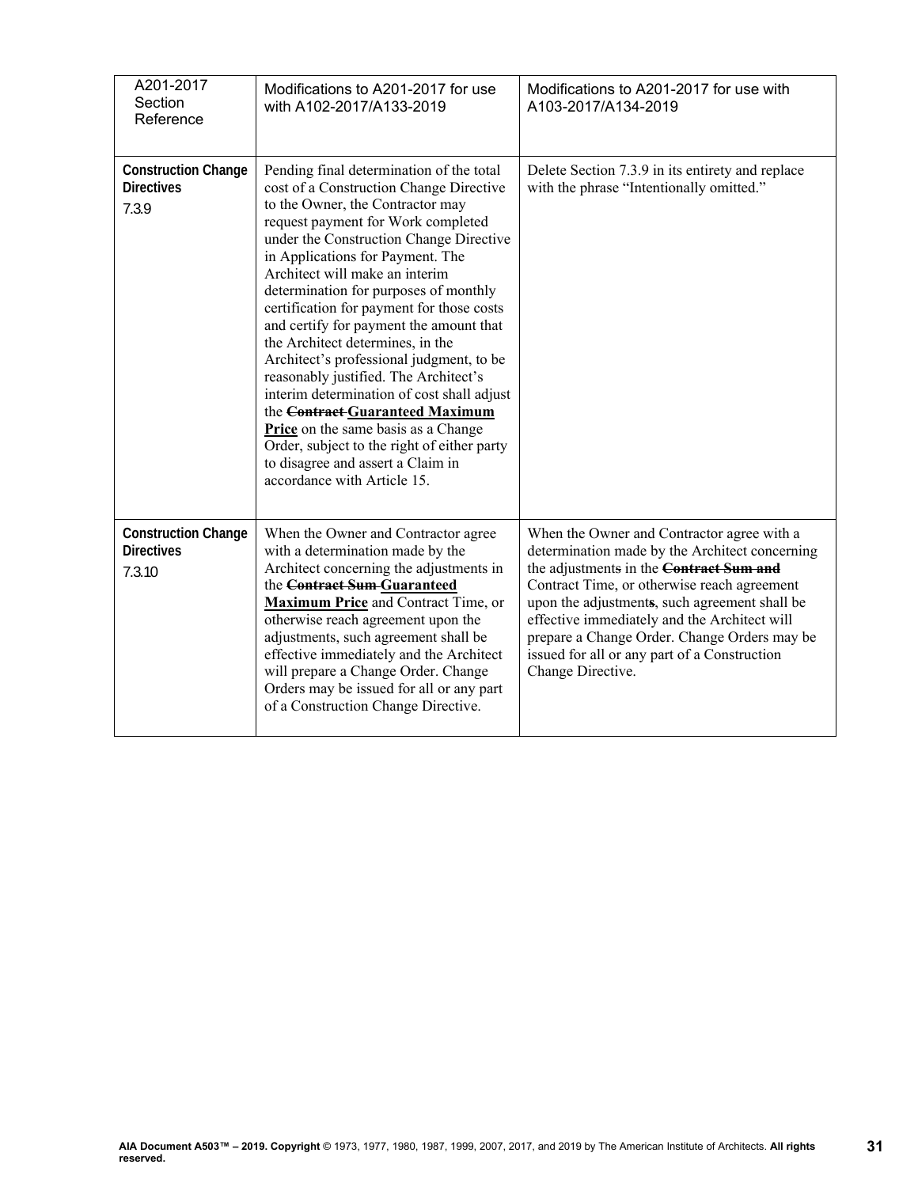| A201-2017<br>Section<br>Reference                         | Modifications to A201-2017 for use<br>with A102-2017/A133-2019                                                                                                                                                                                                                                                                                                                                                                                                                                                                                                                                                                                                                                                                                                                      | Modifications to A201-2017 for use with<br>A103-2017/A134-2019                                                                                                                                                                                                                                                                                                                                                      |
|-----------------------------------------------------------|-------------------------------------------------------------------------------------------------------------------------------------------------------------------------------------------------------------------------------------------------------------------------------------------------------------------------------------------------------------------------------------------------------------------------------------------------------------------------------------------------------------------------------------------------------------------------------------------------------------------------------------------------------------------------------------------------------------------------------------------------------------------------------------|---------------------------------------------------------------------------------------------------------------------------------------------------------------------------------------------------------------------------------------------------------------------------------------------------------------------------------------------------------------------------------------------------------------------|
| <b>Construction Change</b><br><b>Directives</b><br>7.3.9  | Pending final determination of the total<br>cost of a Construction Change Directive<br>to the Owner, the Contractor may<br>request payment for Work completed<br>under the Construction Change Directive<br>in Applications for Payment. The<br>Architect will make an interim<br>determination for purposes of monthly<br>certification for payment for those costs<br>and certify for payment the amount that<br>the Architect determines, in the<br>Architect's professional judgment, to be<br>reasonably justified. The Architect's<br>interim determination of cost shall adjust<br>the Contract Guaranteed Maximum<br>Price on the same basis as a Change<br>Order, subject to the right of either party<br>to disagree and assert a Claim in<br>accordance with Article 15. | Delete Section 7.3.9 in its entirety and replace<br>with the phrase "Intentionally omitted."                                                                                                                                                                                                                                                                                                                        |
| <b>Construction Change</b><br><b>Directives</b><br>7.3.10 | When the Owner and Contractor agree<br>with a determination made by the<br>Architect concerning the adjustments in<br>the Contract Sum-Guaranteed<br><b>Maximum Price</b> and Contract Time, or<br>otherwise reach agreement upon the<br>adjustments, such agreement shall be<br>effective immediately and the Architect<br>will prepare a Change Order. Change<br>Orders may be issued for all or any part<br>of a Construction Change Directive.                                                                                                                                                                                                                                                                                                                                  | When the Owner and Contractor agree with a<br>determination made by the Architect concerning<br>the adjustments in the <b>Contract Sum and</b><br>Contract Time, or otherwise reach agreement<br>upon the adjustments, such agreement shall be<br>effective immediately and the Architect will<br>prepare a Change Order. Change Orders may be<br>issued for all or any part of a Construction<br>Change Directive. |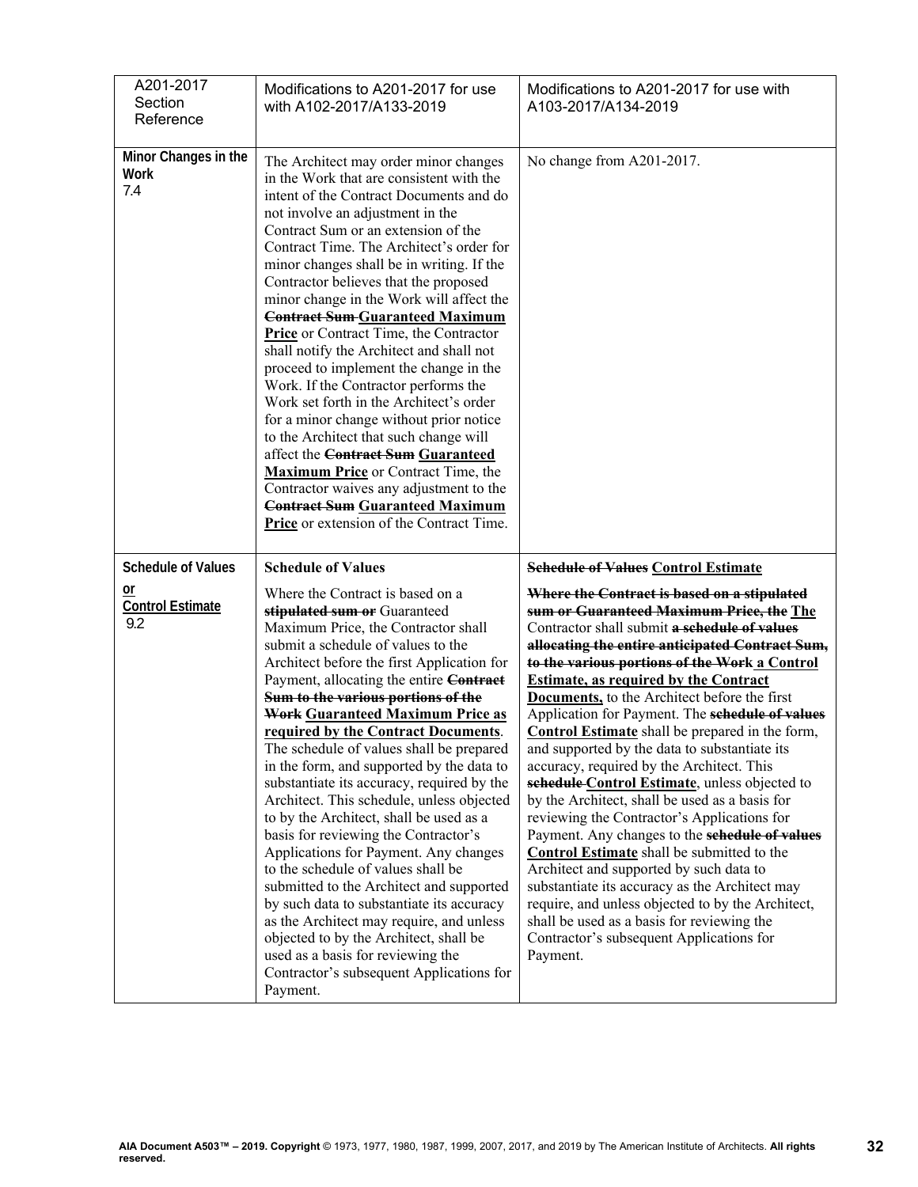| A201-2017<br>Section<br>Reference                                 | Modifications to A201-2017 for use<br>with A102-2017/A133-2019                                                                                                                                                                                                                                                                                                                                                                                                                                                                                                                                                                                                                                                                                                                                                                                                                                                                                                                                                                | Modifications to A201-2017 for use with<br>A103-2017/A134-2019                                                                                                                                                                                                                                                                                                                                                                                                                                                                                                                                                                                                                                                                                                                                                                                                                                                                                                                                                                                                                                                         |
|-------------------------------------------------------------------|-------------------------------------------------------------------------------------------------------------------------------------------------------------------------------------------------------------------------------------------------------------------------------------------------------------------------------------------------------------------------------------------------------------------------------------------------------------------------------------------------------------------------------------------------------------------------------------------------------------------------------------------------------------------------------------------------------------------------------------------------------------------------------------------------------------------------------------------------------------------------------------------------------------------------------------------------------------------------------------------------------------------------------|------------------------------------------------------------------------------------------------------------------------------------------------------------------------------------------------------------------------------------------------------------------------------------------------------------------------------------------------------------------------------------------------------------------------------------------------------------------------------------------------------------------------------------------------------------------------------------------------------------------------------------------------------------------------------------------------------------------------------------------------------------------------------------------------------------------------------------------------------------------------------------------------------------------------------------------------------------------------------------------------------------------------------------------------------------------------------------------------------------------------|
| Minor Changes in the<br><b>Work</b><br>7.4                        | The Architect may order minor changes<br>in the Work that are consistent with the<br>intent of the Contract Documents and do<br>not involve an adjustment in the<br>Contract Sum or an extension of the<br>Contract Time. The Architect's order for<br>minor changes shall be in writing. If the<br>Contractor believes that the proposed<br>minor change in the Work will affect the<br><b>Contract Sum Guaranteed Maximum</b><br><b>Price</b> or Contract Time, the Contractor<br>shall notify the Architect and shall not<br>proceed to implement the change in the<br>Work. If the Contractor performs the<br>Work set forth in the Architect's order<br>for a minor change without prior notice<br>to the Architect that such change will<br>affect the Contract Sum Guaranteed<br><b>Maximum Price</b> or Contract Time, the<br>Contractor waives any adjustment to the<br><b>Contract Sum Guaranteed Maximum</b><br><b>Price</b> or extension of the Contract Time.                                                    | No change from A201-2017.                                                                                                                                                                                                                                                                                                                                                                                                                                                                                                                                                                                                                                                                                                                                                                                                                                                                                                                                                                                                                                                                                              |
| <b>Schedule of Values</b><br>or<br><b>Control Estimate</b><br>9.2 | <b>Schedule of Values</b><br>Where the Contract is based on a<br>stipulated sum or Guaranteed<br>Maximum Price, the Contractor shall<br>submit a schedule of values to the<br>Architect before the first Application for<br>Payment, allocating the entire Contract<br>Sum to the various portions of the<br><b>Work Guaranteed Maximum Price as</b><br>required by the Contract Documents.<br>The schedule of values shall be prepared<br>in the form, and supported by the data to<br>substantiate its accuracy, required by the<br>Architect. This schedule, unless objected<br>to by the Architect, shall be used as a<br>basis for reviewing the Contractor's<br>Applications for Payment. Any changes<br>to the schedule of values shall be<br>submitted to the Architect and supported<br>by such data to substantiate its accuracy<br>as the Architect may require, and unless<br>objected to by the Architect, shall be<br>used as a basis for reviewing the<br>Contractor's subsequent Applications for<br>Payment. | <b>Schedule of Values Control Estimate</b><br>Where the Contract is based on a stipulated<br>sum or Guaranteed Maximum Price, the The<br>Contractor shall submit a schedule of values<br>allocating the entire anticipated Contract Sum,<br>to the various portions of the Work a Control<br><b>Estimate, as required by the Contract</b><br><b>Documents</b> , to the Architect before the first<br>Application for Payment. The sehedule of values<br><b>Control Estimate</b> shall be prepared in the form,<br>and supported by the data to substantiate its<br>accuracy, required by the Architect. This<br>schedule Control Estimate, unless objected to<br>by the Architect, shall be used as a basis for<br>reviewing the Contractor's Applications for<br>Payment. Any changes to the schedule of values<br>Control Estimate shall be submitted to the<br>Architect and supported by such data to<br>substantiate its accuracy as the Architect may<br>require, and unless objected to by the Architect,<br>shall be used as a basis for reviewing the<br>Contractor's subsequent Applications for<br>Payment. |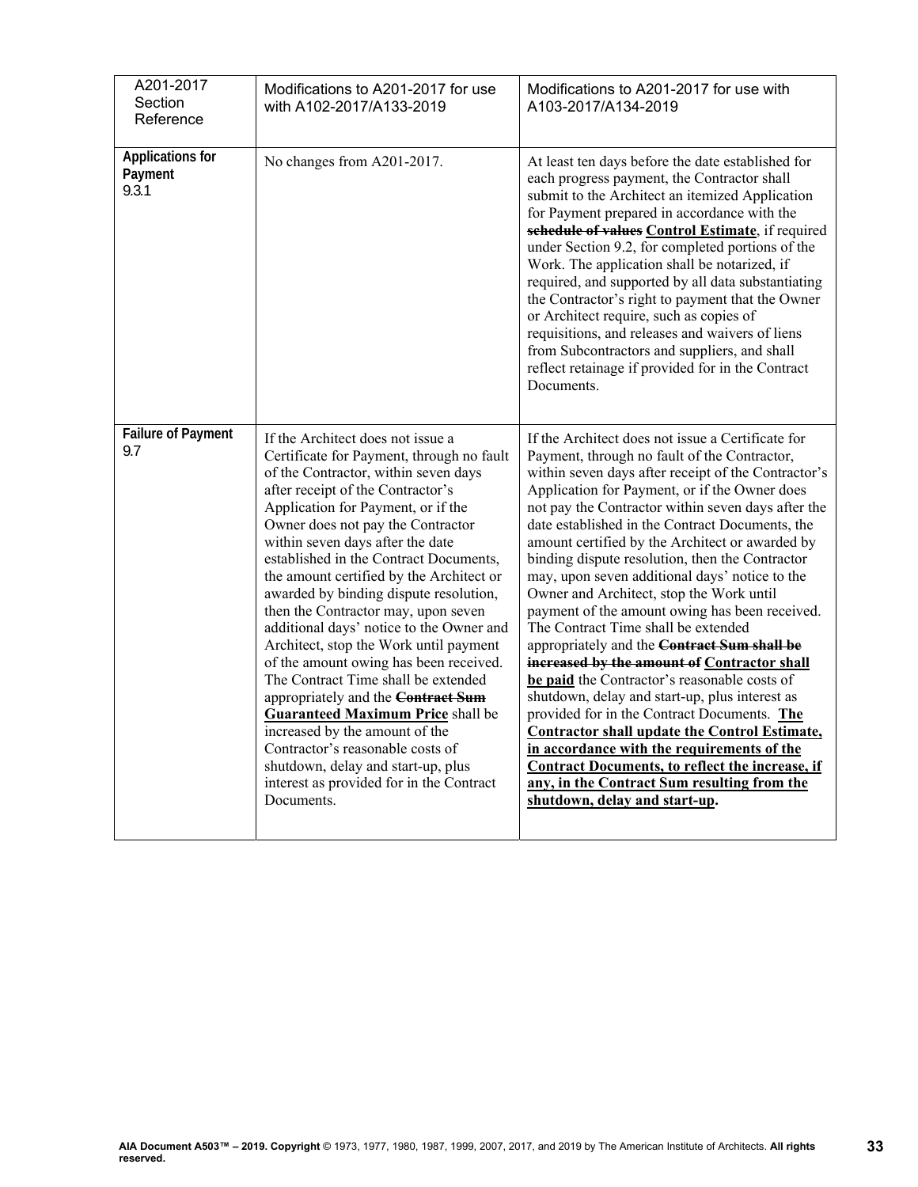| A201-2017<br>Section<br>Reference           | Modifications to A201-2017 for use<br>with A102-2017/A133-2019                                                                                                                                                                                                                                                                                                                                                                                                                                                                                                                                                                                                                                                                                                                                                                                                                   | Modifications to A201-2017 for use with<br>A103-2017/A134-2019                                                                                                                                                                                                                                                                                                                                                                                                                                                                                                                                                                                                                                                                                                                                                                                                                                                                                                                                                                                                                                                        |
|---------------------------------------------|----------------------------------------------------------------------------------------------------------------------------------------------------------------------------------------------------------------------------------------------------------------------------------------------------------------------------------------------------------------------------------------------------------------------------------------------------------------------------------------------------------------------------------------------------------------------------------------------------------------------------------------------------------------------------------------------------------------------------------------------------------------------------------------------------------------------------------------------------------------------------------|-----------------------------------------------------------------------------------------------------------------------------------------------------------------------------------------------------------------------------------------------------------------------------------------------------------------------------------------------------------------------------------------------------------------------------------------------------------------------------------------------------------------------------------------------------------------------------------------------------------------------------------------------------------------------------------------------------------------------------------------------------------------------------------------------------------------------------------------------------------------------------------------------------------------------------------------------------------------------------------------------------------------------------------------------------------------------------------------------------------------------|
| <b>Applications for</b><br>Payment<br>9.3.1 | No changes from A201-2017.                                                                                                                                                                                                                                                                                                                                                                                                                                                                                                                                                                                                                                                                                                                                                                                                                                                       | At least ten days before the date established for<br>each progress payment, the Contractor shall<br>submit to the Architect an itemized Application<br>for Payment prepared in accordance with the<br>schedule of values Control Estimate, if required<br>under Section 9.2, for completed portions of the<br>Work. The application shall be notarized, if<br>required, and supported by all data substantiating<br>the Contractor's right to payment that the Owner<br>or Architect require, such as copies of<br>requisitions, and releases and waivers of liens<br>from Subcontractors and suppliers, and shall<br>reflect retainage if provided for in the Contract<br>Documents.                                                                                                                                                                                                                                                                                                                                                                                                                                 |
| <b>Failure of Payment</b><br>9.7            | If the Architect does not issue a<br>Certificate for Payment, through no fault<br>of the Contractor, within seven days<br>after receipt of the Contractor's<br>Application for Payment, or if the<br>Owner does not pay the Contractor<br>within seven days after the date<br>established in the Contract Documents,<br>the amount certified by the Architect or<br>awarded by binding dispute resolution,<br>then the Contractor may, upon seven<br>additional days' notice to the Owner and<br>Architect, stop the Work until payment<br>of the amount owing has been received.<br>The Contract Time shall be extended<br>appropriately and the Contract Sum<br><b>Guaranteed Maximum Price shall be</b><br>increased by the amount of the<br>Contractor's reasonable costs of<br>shutdown, delay and start-up, plus<br>interest as provided for in the Contract<br>Documents. | If the Architect does not issue a Certificate for<br>Payment, through no fault of the Contractor,<br>within seven days after receipt of the Contractor's<br>Application for Payment, or if the Owner does<br>not pay the Contractor within seven days after the<br>date established in the Contract Documents, the<br>amount certified by the Architect or awarded by<br>binding dispute resolution, then the Contractor<br>may, upon seven additional days' notice to the<br>Owner and Architect, stop the Work until<br>payment of the amount owing has been received.<br>The Contract Time shall be extended<br>appropriately and the <b>Contract Sum shall be</b><br>increased by the amount of Contractor shall<br>be paid the Contractor's reasonable costs of<br>shutdown, delay and start-up, plus interest as<br>provided for in the Contract Documents. The<br><b>Contractor shall update the Control Estimate,</b><br>in accordance with the requirements of the<br><b>Contract Documents, to reflect the increase, if</b><br>any, in the Contract Sum resulting from the<br>shutdown, delay and start-up. |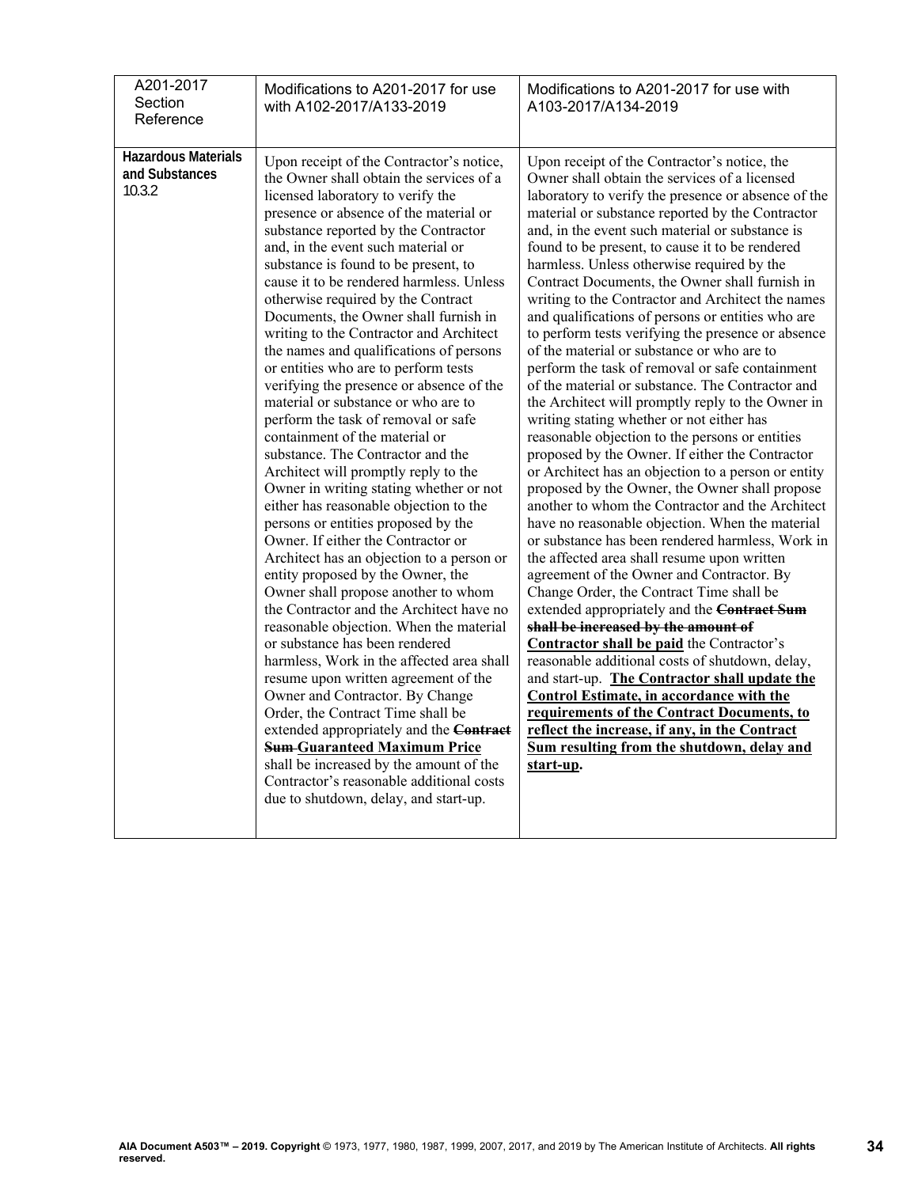| A201-2017<br>Section<br>Reference                      | Modifications to A201-2017 for use<br>with A102-2017/A133-2019                                                                                                                                                                                                                                                                                                                                                                                                                                                                                                                                                                                                                                                                                                                                                                                                                                                                                                                                                                                                                                                                                                                                                                                                                                                                                                                                                                                                                                                                                                                                 | Modifications to A201-2017 for use with<br>A103-2017/A134-2019                                                                                                                                                                                                                                                                                                                                                                                                                                                                                                                                                                                                                                                                                                                                                                                                                                                                                                                                                                                                                                                                                                                                                                                                                                                                                                                                                                                                                                                                                                                                                                                                                                                                                                                                                     |
|--------------------------------------------------------|------------------------------------------------------------------------------------------------------------------------------------------------------------------------------------------------------------------------------------------------------------------------------------------------------------------------------------------------------------------------------------------------------------------------------------------------------------------------------------------------------------------------------------------------------------------------------------------------------------------------------------------------------------------------------------------------------------------------------------------------------------------------------------------------------------------------------------------------------------------------------------------------------------------------------------------------------------------------------------------------------------------------------------------------------------------------------------------------------------------------------------------------------------------------------------------------------------------------------------------------------------------------------------------------------------------------------------------------------------------------------------------------------------------------------------------------------------------------------------------------------------------------------------------------------------------------------------------------|--------------------------------------------------------------------------------------------------------------------------------------------------------------------------------------------------------------------------------------------------------------------------------------------------------------------------------------------------------------------------------------------------------------------------------------------------------------------------------------------------------------------------------------------------------------------------------------------------------------------------------------------------------------------------------------------------------------------------------------------------------------------------------------------------------------------------------------------------------------------------------------------------------------------------------------------------------------------------------------------------------------------------------------------------------------------------------------------------------------------------------------------------------------------------------------------------------------------------------------------------------------------------------------------------------------------------------------------------------------------------------------------------------------------------------------------------------------------------------------------------------------------------------------------------------------------------------------------------------------------------------------------------------------------------------------------------------------------------------------------------------------------------------------------------------------------|
| <b>Hazardous Materials</b><br>and Substances<br>10.3.2 | Upon receipt of the Contractor's notice,<br>the Owner shall obtain the services of a<br>licensed laboratory to verify the<br>presence or absence of the material or<br>substance reported by the Contractor<br>and, in the event such material or<br>substance is found to be present, to<br>cause it to be rendered harmless. Unless<br>otherwise required by the Contract<br>Documents, the Owner shall furnish in<br>writing to the Contractor and Architect<br>the names and qualifications of persons<br>or entities who are to perform tests<br>verifying the presence or absence of the<br>material or substance or who are to<br>perform the task of removal or safe<br>containment of the material or<br>substance. The Contractor and the<br>Architect will promptly reply to the<br>Owner in writing stating whether or not<br>either has reasonable objection to the<br>persons or entities proposed by the<br>Owner. If either the Contractor or<br>Architect has an objection to a person or<br>entity proposed by the Owner, the<br>Owner shall propose another to whom<br>the Contractor and the Architect have no<br>reasonable objection. When the material<br>or substance has been rendered<br>harmless, Work in the affected area shall<br>resume upon written agreement of the<br>Owner and Contractor. By Change<br>Order, the Contract Time shall be<br>extended appropriately and the Contract<br><b>Sum-Guaranteed Maximum Price</b><br>shall be increased by the amount of the<br>Contractor's reasonable additional costs<br>due to shutdown, delay, and start-up. | Upon receipt of the Contractor's notice, the<br>Owner shall obtain the services of a licensed<br>laboratory to verify the presence or absence of the<br>material or substance reported by the Contractor<br>and, in the event such material or substance is<br>found to be present, to cause it to be rendered<br>harmless. Unless otherwise required by the<br>Contract Documents, the Owner shall furnish in<br>writing to the Contractor and Architect the names<br>and qualifications of persons or entities who are<br>to perform tests verifying the presence or absence<br>of the material or substance or who are to<br>perform the task of removal or safe containment<br>of the material or substance. The Contractor and<br>the Architect will promptly reply to the Owner in<br>writing stating whether or not either has<br>reasonable objection to the persons or entities<br>proposed by the Owner. If either the Contractor<br>or Architect has an objection to a person or entity<br>proposed by the Owner, the Owner shall propose<br>another to whom the Contractor and the Architect<br>have no reasonable objection. When the material<br>or substance has been rendered harmless, Work in<br>the affected area shall resume upon written<br>agreement of the Owner and Contractor. By<br>Change Order, the Contract Time shall be<br>extended appropriately and the Contract Sum<br>shall be increased by the amount of<br><b>Contractor shall be paid the Contractor's</b><br>reasonable additional costs of shutdown, delay,<br>and start-up. The Contractor shall update the<br><b>Control Estimate, in accordance with the</b><br>requirements of the Contract Documents, to<br>reflect the increase, if any, in the Contract<br>Sum resulting from the shutdown, delay and<br>start-up. |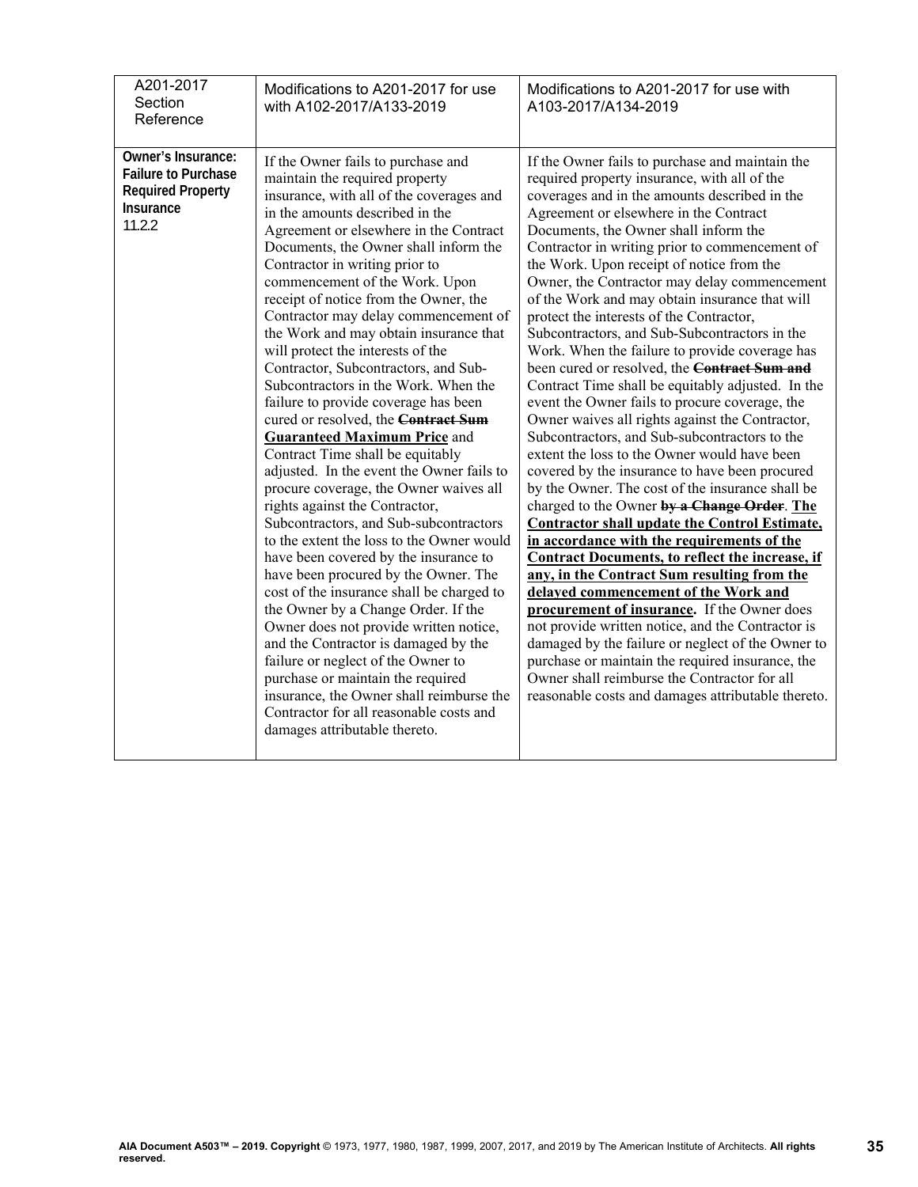| A201-2017<br>Section<br>Reference                                                                   | Modifications to A201-2017 for use<br>with A102-2017/A133-2019                                                                                                                                                                                                                                                                                                                                                                                                                                                                                                                                                                                                                                                                                                                                                                                                                                                                                                                                                                                                                                                                                                                                                                                                                                                                                                                                 | Modifications to A201-2017 for use with<br>A103-2017/A134-2019                                                                                                                                                                                                                                                                                                                                                                                                                                                                                                                                                                                                                                                                                                                                                                                                                                                                                                                                                                                                                                                                                                                                                                                                                                                                                                                                                                                                                                                                                                                                                                       |
|-----------------------------------------------------------------------------------------------------|------------------------------------------------------------------------------------------------------------------------------------------------------------------------------------------------------------------------------------------------------------------------------------------------------------------------------------------------------------------------------------------------------------------------------------------------------------------------------------------------------------------------------------------------------------------------------------------------------------------------------------------------------------------------------------------------------------------------------------------------------------------------------------------------------------------------------------------------------------------------------------------------------------------------------------------------------------------------------------------------------------------------------------------------------------------------------------------------------------------------------------------------------------------------------------------------------------------------------------------------------------------------------------------------------------------------------------------------------------------------------------------------|--------------------------------------------------------------------------------------------------------------------------------------------------------------------------------------------------------------------------------------------------------------------------------------------------------------------------------------------------------------------------------------------------------------------------------------------------------------------------------------------------------------------------------------------------------------------------------------------------------------------------------------------------------------------------------------------------------------------------------------------------------------------------------------------------------------------------------------------------------------------------------------------------------------------------------------------------------------------------------------------------------------------------------------------------------------------------------------------------------------------------------------------------------------------------------------------------------------------------------------------------------------------------------------------------------------------------------------------------------------------------------------------------------------------------------------------------------------------------------------------------------------------------------------------------------------------------------------------------------------------------------------|
| Owner's Insurance:<br><b>Failure to Purchase</b><br><b>Required Property</b><br>Insurance<br>11.2.2 | If the Owner fails to purchase and<br>maintain the required property<br>insurance, with all of the coverages and<br>in the amounts described in the<br>Agreement or elsewhere in the Contract<br>Documents, the Owner shall inform the<br>Contractor in writing prior to<br>commencement of the Work. Upon<br>receipt of notice from the Owner, the<br>Contractor may delay commencement of<br>the Work and may obtain insurance that<br>will protect the interests of the<br>Contractor, Subcontractors, and Sub-<br>Subcontractors in the Work. When the<br>failure to provide coverage has been<br>cured or resolved, the Contract Sum<br><b>Guaranteed Maximum Price and</b><br>Contract Time shall be equitably<br>adjusted. In the event the Owner fails to<br>procure coverage, the Owner waives all<br>rights against the Contractor,<br>Subcontractors, and Sub-subcontractors<br>to the extent the loss to the Owner would<br>have been covered by the insurance to<br>have been procured by the Owner. The<br>cost of the insurance shall be charged to<br>the Owner by a Change Order. If the<br>Owner does not provide written notice,<br>and the Contractor is damaged by the<br>failure or neglect of the Owner to<br>purchase or maintain the required<br>insurance, the Owner shall reimburse the<br>Contractor for all reasonable costs and<br>damages attributable thereto. | If the Owner fails to purchase and maintain the<br>required property insurance, with all of the<br>coverages and in the amounts described in the<br>Agreement or elsewhere in the Contract<br>Documents, the Owner shall inform the<br>Contractor in writing prior to commencement of<br>the Work. Upon receipt of notice from the<br>Owner, the Contractor may delay commencement<br>of the Work and may obtain insurance that will<br>protect the interests of the Contractor,<br>Subcontractors, and Sub-Subcontractors in the<br>Work. When the failure to provide coverage has<br>been cured or resolved, the <b>Contract Sum and</b><br>Contract Time shall be equitably adjusted. In the<br>event the Owner fails to procure coverage, the<br>Owner waives all rights against the Contractor,<br>Subcontractors, and Sub-subcontractors to the<br>extent the loss to the Owner would have been<br>covered by the insurance to have been procured<br>by the Owner. The cost of the insurance shall be<br>charged to the Owner by a Change Order. The<br><b>Contractor shall update the Control Estimate,</b><br>in accordance with the requirements of the<br><b>Contract Documents, to reflect the increase, if</b><br>any, in the Contract Sum resulting from the<br>delayed commencement of the Work and<br>procurement of insurance. If the Owner does<br>not provide written notice, and the Contractor is<br>damaged by the failure or neglect of the Owner to<br>purchase or maintain the required insurance, the<br>Owner shall reimburse the Contractor for all<br>reasonable costs and damages attributable thereto. |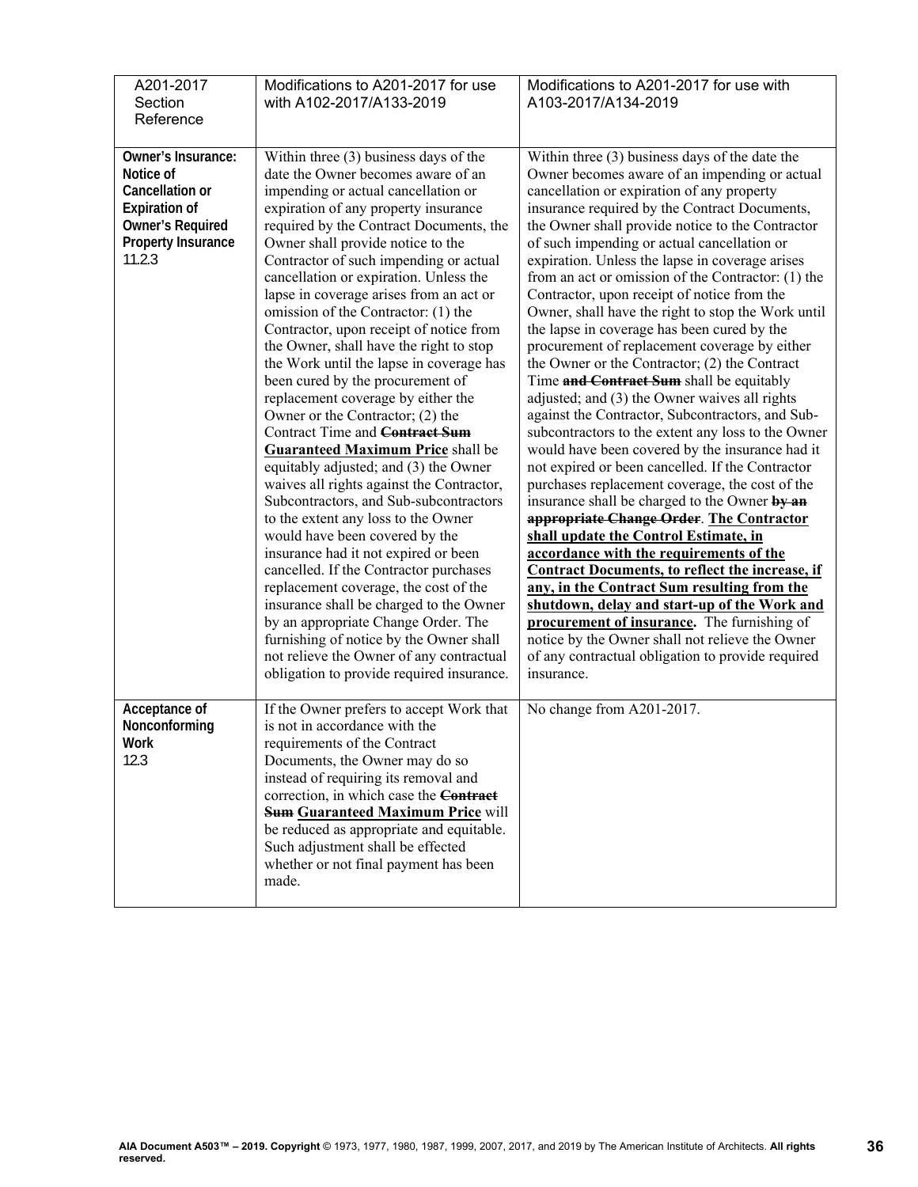| A201-2017<br>Section<br>Reference                                                                                                            | Modifications to A201-2017 for use<br>with A102-2017/A133-2019                                                                                                                                                                                                                                                                                                                                                                                                                                                                                                                                                                                                                                                                                                                                                                                                                                                                                                                                                                                                                                                                                                                                                                                                                                                    | Modifications to A201-2017 for use with<br>A103-2017/A134-2019                                                                                                                                                                                                                                                                                                                                                                                                                                                                                                                                                                                                                                                                                                                                                                                                                                                                                                                                                                                                                                                                                                                                                                                                                                                                                                                                                                                                                                                                                            |
|----------------------------------------------------------------------------------------------------------------------------------------------|-------------------------------------------------------------------------------------------------------------------------------------------------------------------------------------------------------------------------------------------------------------------------------------------------------------------------------------------------------------------------------------------------------------------------------------------------------------------------------------------------------------------------------------------------------------------------------------------------------------------------------------------------------------------------------------------------------------------------------------------------------------------------------------------------------------------------------------------------------------------------------------------------------------------------------------------------------------------------------------------------------------------------------------------------------------------------------------------------------------------------------------------------------------------------------------------------------------------------------------------------------------------------------------------------------------------|-----------------------------------------------------------------------------------------------------------------------------------------------------------------------------------------------------------------------------------------------------------------------------------------------------------------------------------------------------------------------------------------------------------------------------------------------------------------------------------------------------------------------------------------------------------------------------------------------------------------------------------------------------------------------------------------------------------------------------------------------------------------------------------------------------------------------------------------------------------------------------------------------------------------------------------------------------------------------------------------------------------------------------------------------------------------------------------------------------------------------------------------------------------------------------------------------------------------------------------------------------------------------------------------------------------------------------------------------------------------------------------------------------------------------------------------------------------------------------------------------------------------------------------------------------------|
| Owner's Insurance:<br>Notice of<br>Cancellation or<br><b>Expiration of</b><br><b>Owner's Required</b><br><b>Property Insurance</b><br>11.2.3 | Within three $(3)$ business days of the<br>date the Owner becomes aware of an<br>impending or actual cancellation or<br>expiration of any property insurance<br>required by the Contract Documents, the<br>Owner shall provide notice to the<br>Contractor of such impending or actual<br>cancellation or expiration. Unless the<br>lapse in coverage arises from an act or<br>omission of the Contractor: (1) the<br>Contractor, upon receipt of notice from<br>the Owner, shall have the right to stop<br>the Work until the lapse in coverage has<br>been cured by the procurement of<br>replacement coverage by either the<br>Owner or the Contractor; (2) the<br>Contract Time and <b>Contract Sum</b><br><b>Guaranteed Maximum Price</b> shall be<br>equitably adjusted; and (3) the Owner<br>waives all rights against the Contractor,<br>Subcontractors, and Sub-subcontractors<br>to the extent any loss to the Owner<br>would have been covered by the<br>insurance had it not expired or been<br>cancelled. If the Contractor purchases<br>replacement coverage, the cost of the<br>insurance shall be charged to the Owner<br>by an appropriate Change Order. The<br>furnishing of notice by the Owner shall<br>not relieve the Owner of any contractual<br>obligation to provide required insurance. | Within three (3) business days of the date the<br>Owner becomes aware of an impending or actual<br>cancellation or expiration of any property<br>insurance required by the Contract Documents,<br>the Owner shall provide notice to the Contractor<br>of such impending or actual cancellation or<br>expiration. Unless the lapse in coverage arises<br>from an act or omission of the Contractor: $(1)$ the<br>Contractor, upon receipt of notice from the<br>Owner, shall have the right to stop the Work until<br>the lapse in coverage has been cured by the<br>procurement of replacement coverage by either<br>the Owner or the Contractor; (2) the Contract<br>Time <b>and Contract Sum</b> shall be equitably<br>adjusted; and (3) the Owner waives all rights<br>against the Contractor, Subcontractors, and Sub-<br>subcontractors to the extent any loss to the Owner<br>would have been covered by the insurance had it<br>not expired or been cancelled. If the Contractor<br>purchases replacement coverage, the cost of the<br>insurance shall be charged to the Owner by an<br>appropriate Change Order. The Contractor<br>shall update the Control Estimate, in<br>accordance with the requirements of the<br><b>Contract Documents, to reflect the increase, if</b><br>any, in the Contract Sum resulting from the<br>shutdown, delay and start-up of the Work and<br>procurement of insurance. The furnishing of<br>notice by the Owner shall not relieve the Owner<br>of any contractual obligation to provide required<br>insurance. |
| Acceptance of<br>Nonconforming<br>Work<br>12.3                                                                                               | If the Owner prefers to accept Work that<br>is not in accordance with the<br>requirements of the Contract<br>Documents, the Owner may do so<br>instead of requiring its removal and<br>correction, in which case the Contract<br><b>Sum Guaranteed Maximum Price will</b><br>be reduced as appropriate and equitable.<br>Such adjustment shall be effected<br>whether or not final payment has been<br>made.                                                                                                                                                                                                                                                                                                                                                                                                                                                                                                                                                                                                                                                                                                                                                                                                                                                                                                      | No change from A201-2017.                                                                                                                                                                                                                                                                                                                                                                                                                                                                                                                                                                                                                                                                                                                                                                                                                                                                                                                                                                                                                                                                                                                                                                                                                                                                                                                                                                                                                                                                                                                                 |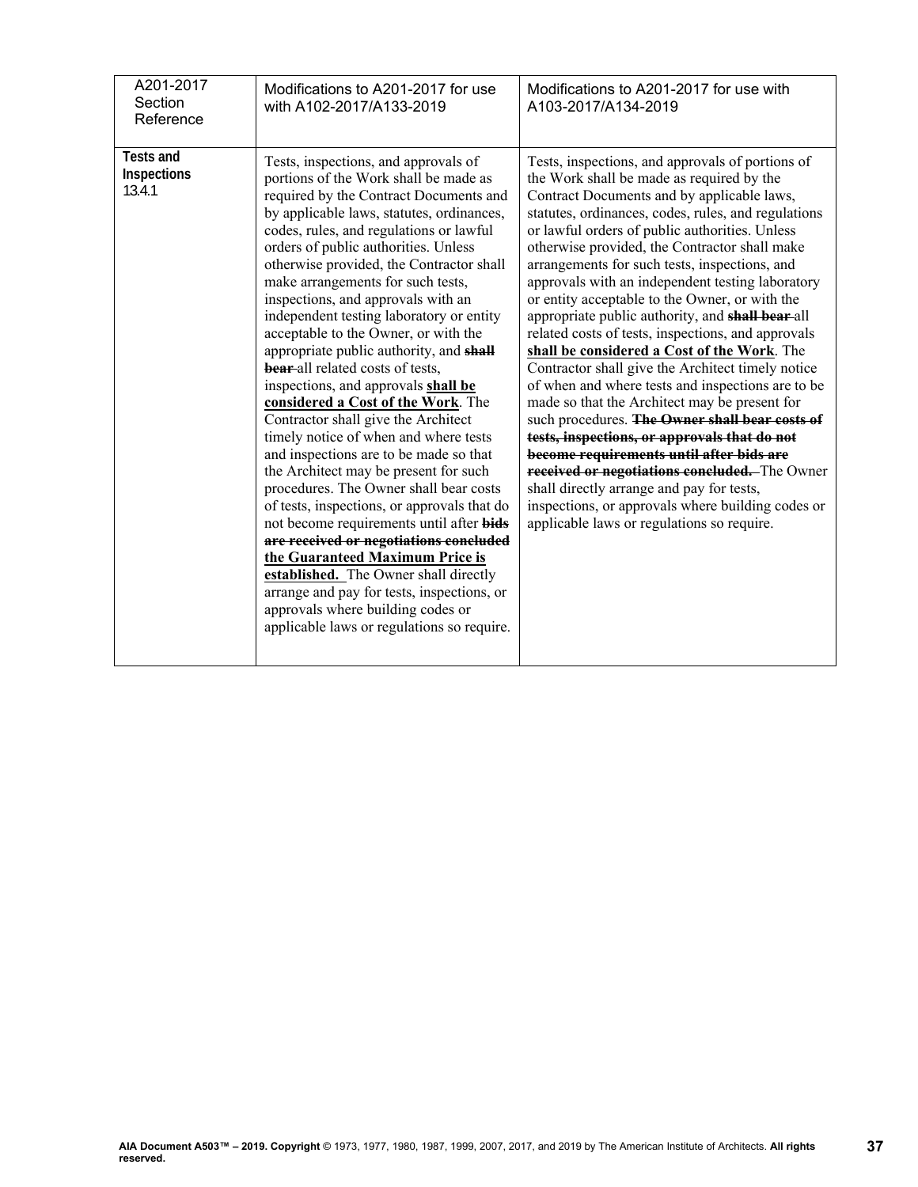| A201-2017<br>Section<br>Reference         | Modifications to A201-2017 for use<br>with A102-2017/A133-2019                                                                                                                                                                                                                                                                                                                                                                                                                                                                                                                                                                                                                                                                                                                                                                                                                                                                                                                                                                                                                                                                                                                                        | Modifications to A201-2017 for use with<br>A103-2017/A134-2019                                                                                                                                                                                                                                                                                                                                                                                                                                                                                                                                                                                                                                                                                                                                                                                                                                                                                                                                                                                                                                                                          |
|-------------------------------------------|-------------------------------------------------------------------------------------------------------------------------------------------------------------------------------------------------------------------------------------------------------------------------------------------------------------------------------------------------------------------------------------------------------------------------------------------------------------------------------------------------------------------------------------------------------------------------------------------------------------------------------------------------------------------------------------------------------------------------------------------------------------------------------------------------------------------------------------------------------------------------------------------------------------------------------------------------------------------------------------------------------------------------------------------------------------------------------------------------------------------------------------------------------------------------------------------------------|-----------------------------------------------------------------------------------------------------------------------------------------------------------------------------------------------------------------------------------------------------------------------------------------------------------------------------------------------------------------------------------------------------------------------------------------------------------------------------------------------------------------------------------------------------------------------------------------------------------------------------------------------------------------------------------------------------------------------------------------------------------------------------------------------------------------------------------------------------------------------------------------------------------------------------------------------------------------------------------------------------------------------------------------------------------------------------------------------------------------------------------------|
| <b>Tests and</b><br>Inspections<br>13.4.1 | Tests, inspections, and approvals of<br>portions of the Work shall be made as<br>required by the Contract Documents and<br>by applicable laws, statutes, ordinances,<br>codes, rules, and regulations or lawful<br>orders of public authorities. Unless<br>otherwise provided, the Contractor shall<br>make arrangements for such tests,<br>inspections, and approvals with an<br>independent testing laboratory or entity<br>acceptable to the Owner, or with the<br>appropriate public authority, and shall<br><b>bear-</b> all related costs of tests,<br>inspections, and approvals shall be<br>considered a Cost of the Work. The<br>Contractor shall give the Architect<br>timely notice of when and where tests<br>and inspections are to be made so that<br>the Architect may be present for such<br>procedures. The Owner shall bear costs<br>of tests, inspections, or approvals that do<br>not become requirements until after bids<br>are received or negotiations concluded<br>the Guaranteed Maximum Price is<br>established. The Owner shall directly<br>arrange and pay for tests, inspections, or<br>approvals where building codes or<br>applicable laws or regulations so require. | Tests, inspections, and approvals of portions of<br>the Work shall be made as required by the<br>Contract Documents and by applicable laws,<br>statutes, ordinances, codes, rules, and regulations<br>or lawful orders of public authorities. Unless<br>otherwise provided, the Contractor shall make<br>arrangements for such tests, inspections, and<br>approvals with an independent testing laboratory<br>or entity acceptable to the Owner, or with the<br>appropriate public authority, and <b>shall bear</b> -all<br>related costs of tests, inspections, and approvals<br>shall be considered a Cost of the Work. The<br>Contractor shall give the Architect timely notice<br>of when and where tests and inspections are to be<br>made so that the Architect may be present for<br>such procedures. The Owner shall bear costs of<br>tests, inspections, or approvals that do not<br>become requirements until after bids are<br>received or negotiations concluded. The Owner<br>shall directly arrange and pay for tests,<br>inspections, or approvals where building codes or<br>applicable laws or regulations so require. |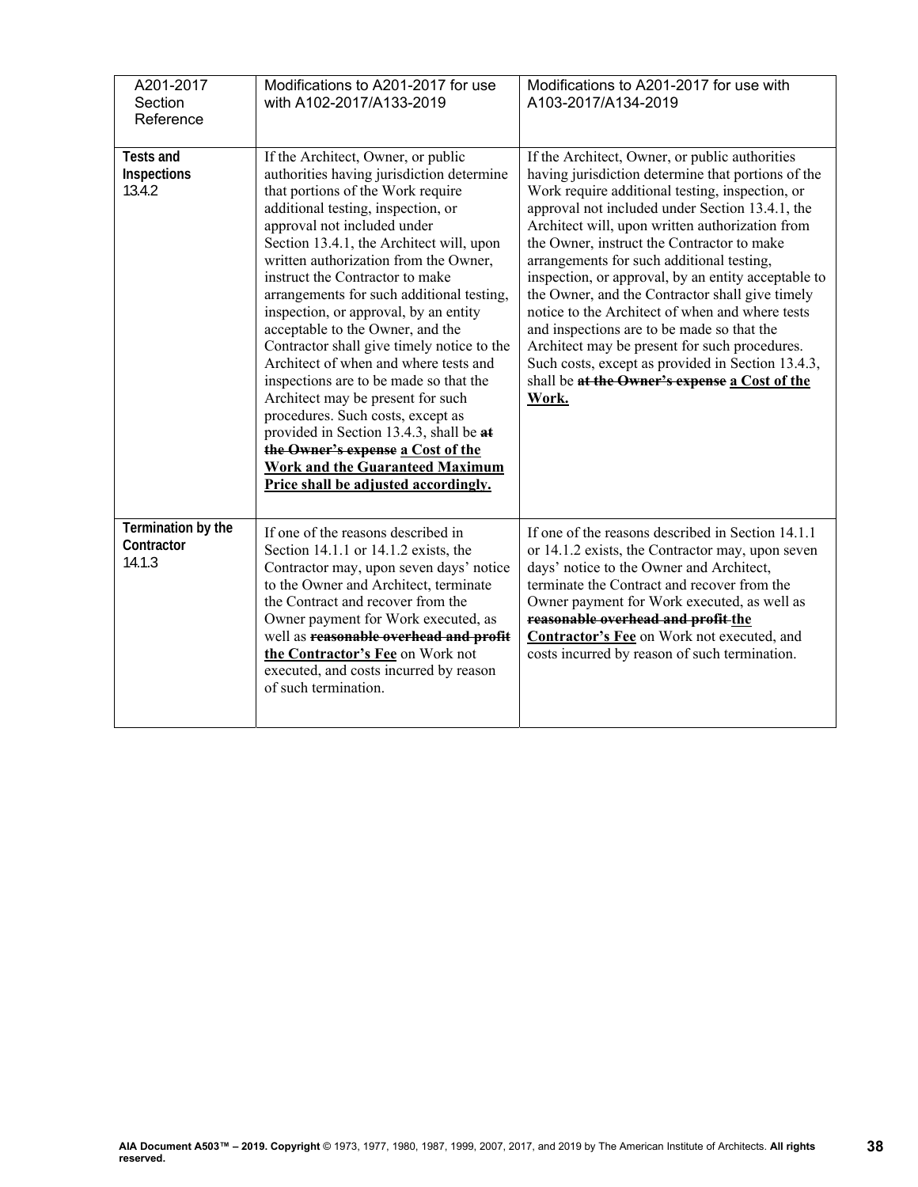| A201-2017<br>Section<br>Reference          | Modifications to A201-2017 for use<br>with A102-2017/A133-2019                                                                                                                                                                                                                                                                                                                                                                                                                                                                                                                                                                                                                                                                                                                                                           | Modifications to A201-2017 for use with<br>A103-2017/A134-2019                                                                                                                                                                                                                                                                                                                                                                                                                                                                                                                                                                                                                                                                      |
|--------------------------------------------|--------------------------------------------------------------------------------------------------------------------------------------------------------------------------------------------------------------------------------------------------------------------------------------------------------------------------------------------------------------------------------------------------------------------------------------------------------------------------------------------------------------------------------------------------------------------------------------------------------------------------------------------------------------------------------------------------------------------------------------------------------------------------------------------------------------------------|-------------------------------------------------------------------------------------------------------------------------------------------------------------------------------------------------------------------------------------------------------------------------------------------------------------------------------------------------------------------------------------------------------------------------------------------------------------------------------------------------------------------------------------------------------------------------------------------------------------------------------------------------------------------------------------------------------------------------------------|
| <b>Tests and</b><br>Inspections<br>13.4.2  | If the Architect, Owner, or public<br>authorities having jurisdiction determine<br>that portions of the Work require<br>additional testing, inspection, or<br>approval not included under<br>Section 13.4.1, the Architect will, upon<br>written authorization from the Owner,<br>instruct the Contractor to make<br>arrangements for such additional testing,<br>inspection, or approval, by an entity<br>acceptable to the Owner, and the<br>Contractor shall give timely notice to the<br>Architect of when and where tests and<br>inspections are to be made so that the<br>Architect may be present for such<br>procedures. Such costs, except as<br>provided in Section 13.4.3, shall be at<br>the Owner's expense a Cost of the<br><b>Work and the Guaranteed Maximum</b><br>Price shall be adjusted accordingly. | If the Architect, Owner, or public authorities<br>having jurisdiction determine that portions of the<br>Work require additional testing, inspection, or<br>approval not included under Section 13.4.1, the<br>Architect will, upon written authorization from<br>the Owner, instruct the Contractor to make<br>arrangements for such additional testing,<br>inspection, or approval, by an entity acceptable to<br>the Owner, and the Contractor shall give timely<br>notice to the Architect of when and where tests<br>and inspections are to be made so that the<br>Architect may be present for such procedures.<br>Such costs, except as provided in Section 13.4.3,<br>shall be at the Owner's expense a Cost of the<br>Work. |
| Termination by the<br>Contractor<br>14.1.3 | If one of the reasons described in<br>Section 14.1.1 or 14.1.2 exists, the<br>Contractor may, upon seven days' notice<br>to the Owner and Architect, terminate<br>the Contract and recover from the<br>Owner payment for Work executed, as<br>well as reasonable overhead and profit<br>the Contractor's Fee on Work not<br>executed, and costs incurred by reason<br>of such termination.                                                                                                                                                                                                                                                                                                                                                                                                                               | If one of the reasons described in Section 14.1.1<br>or 14.1.2 exists, the Contractor may, upon seven<br>days' notice to the Owner and Architect,<br>terminate the Contract and recover from the<br>Owner payment for Work executed, as well as<br>reasonable overhead and profit the<br>Contractor's Fee on Work not executed, and<br>costs incurred by reason of such termination.                                                                                                                                                                                                                                                                                                                                                |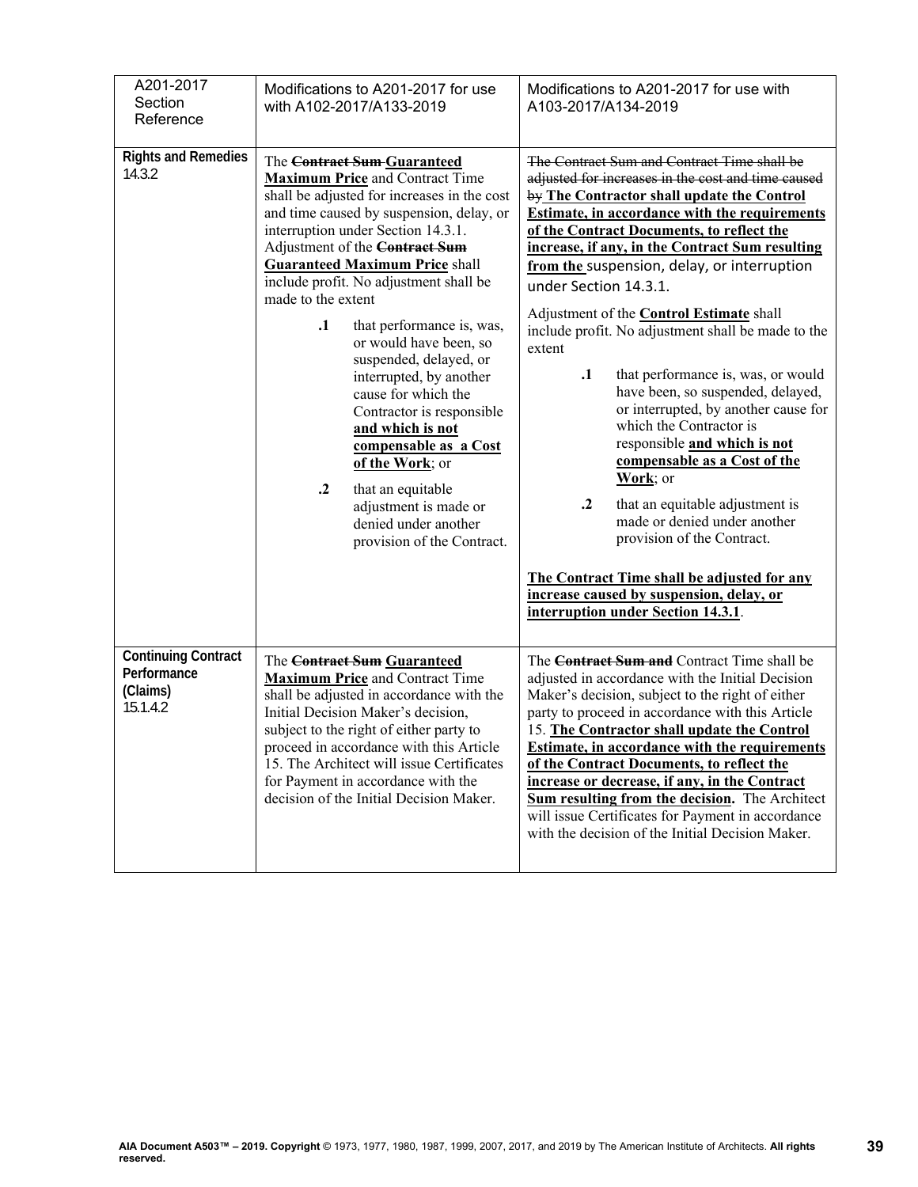| A201-2017<br>Section<br>Reference                                 | Modifications to A201-2017 for use<br>with A102-2017/A133-2019                                                                                                                                                                                                                                                                                                                                                                                                                                                                                                                                                                                                                                                                        | Modifications to A201-2017 for use with<br>A103-2017/A134-2019                                                                                                                                                                                                                                                                                                                                                                                                                                                                                                                                                                                                                                                                                                                                                                                                                                                                                                                                    |
|-------------------------------------------------------------------|---------------------------------------------------------------------------------------------------------------------------------------------------------------------------------------------------------------------------------------------------------------------------------------------------------------------------------------------------------------------------------------------------------------------------------------------------------------------------------------------------------------------------------------------------------------------------------------------------------------------------------------------------------------------------------------------------------------------------------------|---------------------------------------------------------------------------------------------------------------------------------------------------------------------------------------------------------------------------------------------------------------------------------------------------------------------------------------------------------------------------------------------------------------------------------------------------------------------------------------------------------------------------------------------------------------------------------------------------------------------------------------------------------------------------------------------------------------------------------------------------------------------------------------------------------------------------------------------------------------------------------------------------------------------------------------------------------------------------------------------------|
| <b>Rights and Remedies</b><br>14.3.2                              | The Contract Sum Guaranteed<br><b>Maximum Price</b> and Contract Time<br>shall be adjusted for increases in the cost<br>and time caused by suspension, delay, or<br>interruption under Section 14.3.1.<br>Adjustment of the <b>Contract Sum</b><br><b>Guaranteed Maximum Price shall</b><br>include profit. No adjustment shall be<br>made to the extent<br>$\mathbf{.1}$<br>that performance is, was,<br>or would have been, so<br>suspended, delayed, or<br>interrupted, by another<br>cause for which the<br>Contractor is responsible<br>and which is not<br>compensable as a Cost<br>of the Work; or<br>$\cdot$ <sup>2</sup><br>that an equitable<br>adjustment is made or<br>denied under another<br>provision of the Contract. | The Contract Sum and Contract Time shall be<br>adjusted for increases in the cost and time caused<br>by The Contractor shall update the Control<br><b>Estimate, in accordance with the requirements</b><br>of the Contract Documents, to reflect the<br>increase, if any, in the Contract Sum resulting<br>from the suspension, delay, or interruption<br>under Section 14.3.1.<br>Adjustment of the <b>Control Estimate</b> shall<br>include profit. No adjustment shall be made to the<br>extent<br>that performance is, was, or would<br>$\cdot$<br>have been, so suspended, delayed,<br>or interrupted, by another cause for<br>which the Contractor is<br>responsible and which is not<br>compensable as a Cost of the<br>Work; or<br>$\cdot$ <sup>2</sup><br>that an equitable adjustment is<br>made or denied under another<br>provision of the Contract.<br>The Contract Time shall be adjusted for any<br>increase caused by suspension, delay, or<br>interruption under Section 14.3.1. |
| <b>Continuing Contract</b><br>Performance<br>(Claims)<br>15.1.4.2 | The Contract Sum Guaranteed<br><b>Maximum Price and Contract Time</b><br>shall be adjusted in accordance with the<br>Initial Decision Maker's decision,<br>subject to the right of either party to<br>proceed in accordance with this Article<br>15. The Architect will issue Certificates<br>for Payment in accordance with the<br>decision of the Initial Decision Maker.                                                                                                                                                                                                                                                                                                                                                           | The <b>Contract Sum and</b> Contract Time shall be<br>adjusted in accordance with the Initial Decision<br>Maker's decision, subject to the right of either<br>party to proceed in accordance with this Article<br>15. The Contractor shall update the Control<br><b>Estimate, in accordance with the requirements</b><br>of the Contract Documents, to reflect the<br>increase or decrease, if any, in the Contract<br>Sum resulting from the decision. The Architect<br>will issue Certificates for Payment in accordance<br>with the decision of the Initial Decision Maker.                                                                                                                                                                                                                                                                                                                                                                                                                    |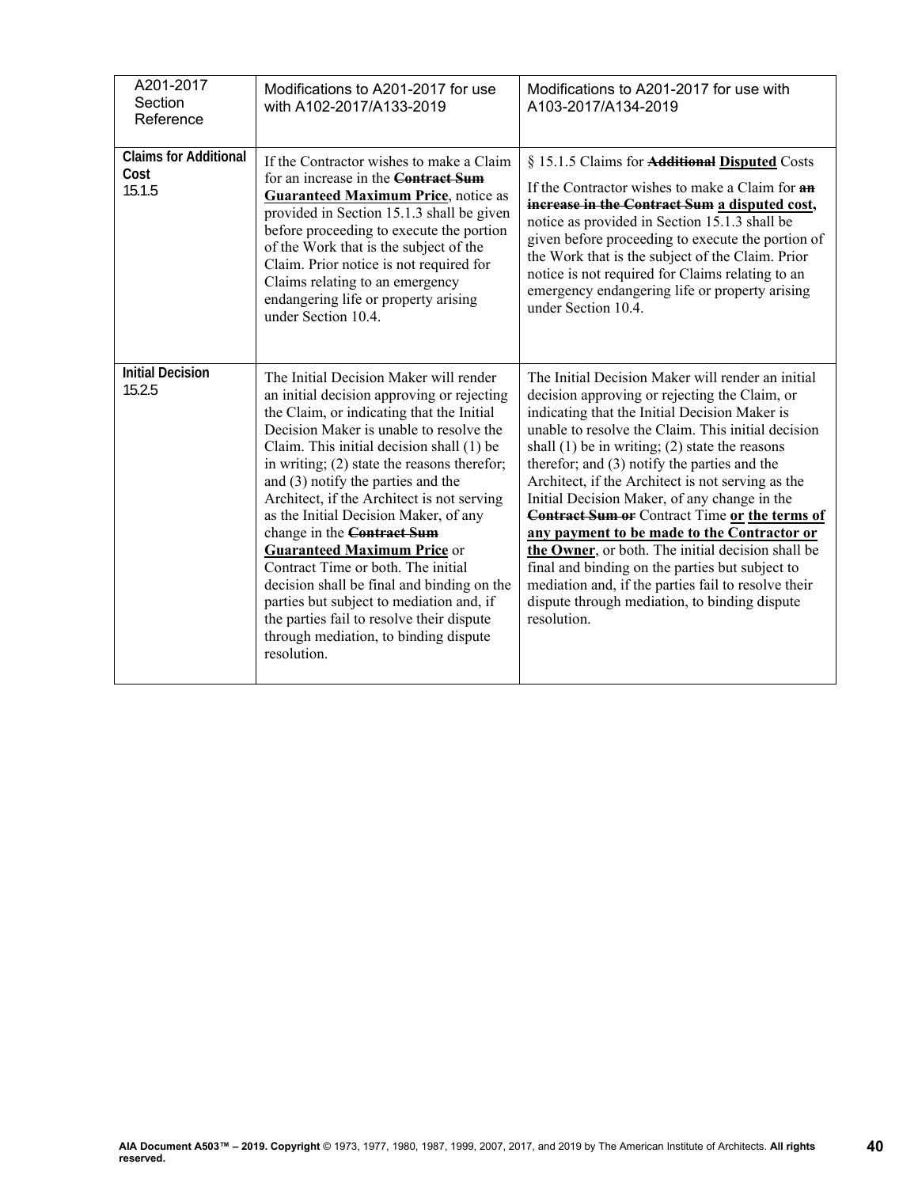| A201-2017<br>Section<br>Reference              | Modifications to A201-2017 for use<br>with A102-2017/A133-2019                                                                                                                                                                                                                                                                                                                                                                                                                                                                                                                                                                                                                                                   | Modifications to A201-2017 for use with<br>A103-2017/A134-2019                                                                                                                                                                                                                                                                                                                                                                                                                                                                                                                                                                                                                                                                                             |
|------------------------------------------------|------------------------------------------------------------------------------------------------------------------------------------------------------------------------------------------------------------------------------------------------------------------------------------------------------------------------------------------------------------------------------------------------------------------------------------------------------------------------------------------------------------------------------------------------------------------------------------------------------------------------------------------------------------------------------------------------------------------|------------------------------------------------------------------------------------------------------------------------------------------------------------------------------------------------------------------------------------------------------------------------------------------------------------------------------------------------------------------------------------------------------------------------------------------------------------------------------------------------------------------------------------------------------------------------------------------------------------------------------------------------------------------------------------------------------------------------------------------------------------|
| <b>Claims for Additional</b><br>Cost<br>15.1.5 | If the Contractor wishes to make a Claim<br>for an increase in the <b>Contract Sum</b><br><b>Guaranteed Maximum Price</b> , notice as<br>provided in Section 15.1.3 shall be given<br>before proceeding to execute the portion<br>of the Work that is the subject of the<br>Claim. Prior notice is not required for<br>Claims relating to an emergency<br>endangering life or property arising<br>under Section 10.4.                                                                                                                                                                                                                                                                                            | § 15.1.5 Claims for <b>Additional Disputed</b> Costs<br>If the Contractor wishes to make a Claim for an<br>increase in the Contract Sum a disputed cost,<br>notice as provided in Section 15.1.3 shall be<br>given before proceeding to execute the portion of<br>the Work that is the subject of the Claim. Prior<br>notice is not required for Claims relating to an<br>emergency endangering life or property arising<br>under Section 10.4.                                                                                                                                                                                                                                                                                                            |
| <b>Initial Decision</b><br>15.2.5              | The Initial Decision Maker will render<br>an initial decision approving or rejecting<br>the Claim, or indicating that the Initial<br>Decision Maker is unable to resolve the<br>Claim. This initial decision shall (1) be<br>in writing; (2) state the reasons therefor;<br>and $(3)$ notify the parties and the<br>Architect, if the Architect is not serving<br>as the Initial Decision Maker, of any<br>change in the Contract Sum<br><b>Guaranteed Maximum Price or</b><br>Contract Time or both. The initial<br>decision shall be final and binding on the<br>parties but subject to mediation and, if<br>the parties fail to resolve their dispute<br>through mediation, to binding dispute<br>resolution. | The Initial Decision Maker will render an initial<br>decision approving or rejecting the Claim, or<br>indicating that the Initial Decision Maker is<br>unable to resolve the Claim. This initial decision<br>shall $(1)$ be in writing; $(2)$ state the reasons<br>therefor; and (3) notify the parties and the<br>Architect, if the Architect is not serving as the<br>Initial Decision Maker, of any change in the<br><b>Contract Sum or</b> Contract Time or the terms of<br>any payment to be made to the Contractor or<br>the Owner, or both. The initial decision shall be<br>final and binding on the parties but subject to<br>mediation and, if the parties fail to resolve their<br>dispute through mediation, to binding dispute<br>resolution. |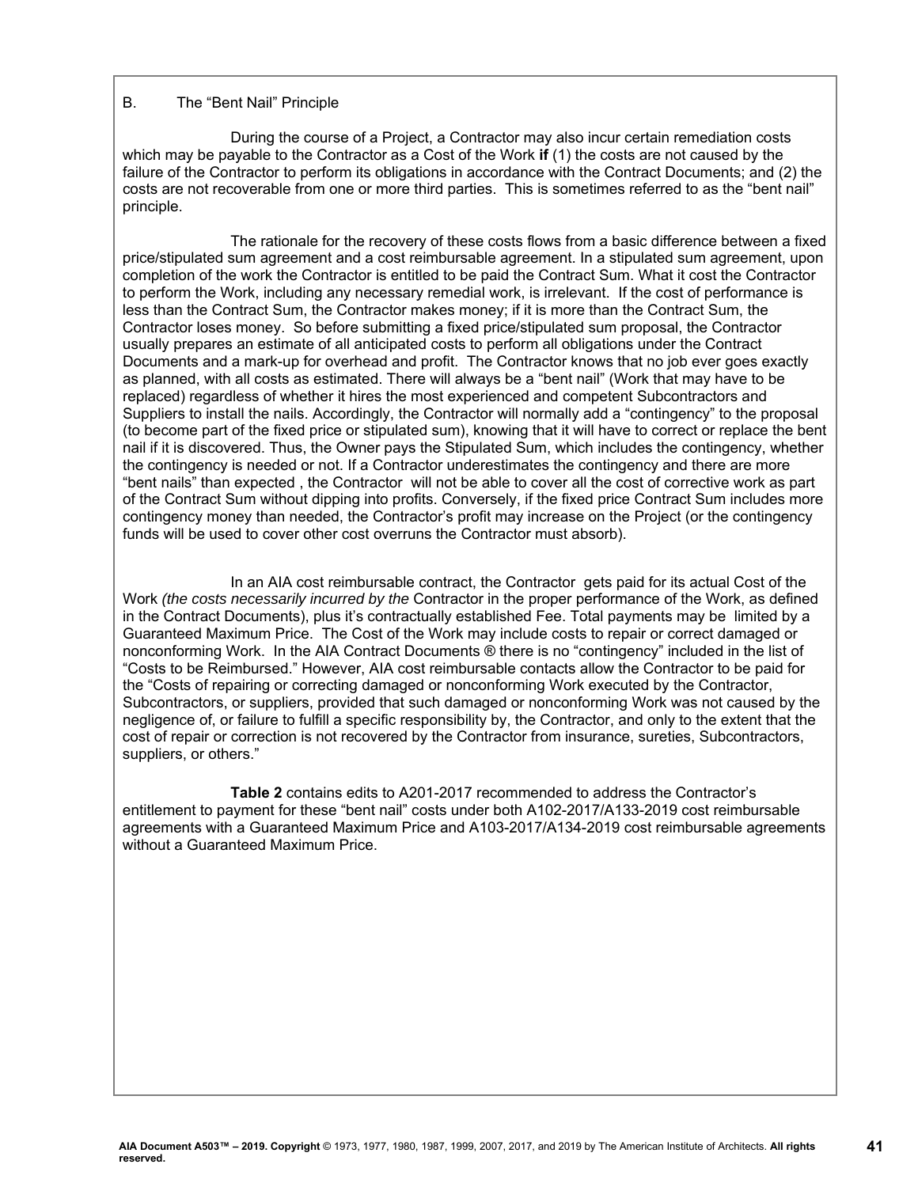## B. The "Bent Nail" Principle

During the course of a Project, a Contractor may also incur certain remediation costs which may be payable to the Contractor as a Cost of the Work **if** (1) the costs are not caused by the failure of the Contractor to perform its obligations in accordance with the Contract Documents; and (2) the costs are not recoverable from one or more third parties. This is sometimes referred to as the "bent nail" principle.

The rationale for the recovery of these costs flows from a basic difference between a fixed price/stipulated sum agreement and a cost reimbursable agreement. In a stipulated sum agreement, upon completion of the work the Contractor is entitled to be paid the Contract Sum. What it cost the Contractor to perform the Work, including any necessary remedial work, is irrelevant. If the cost of performance is less than the Contract Sum, the Contractor makes money; if it is more than the Contract Sum, the Contractor loses money. So before submitting a fixed price/stipulated sum proposal, the Contractor usually prepares an estimate of all anticipated costs to perform all obligations under the Contract Documents and a mark-up for overhead and profit. The Contractor knows that no job ever goes exactly as planned, with all costs as estimated. There will always be a "bent nail" (Work that may have to be replaced) regardless of whether it hires the most experienced and competent Subcontractors and Suppliers to install the nails. Accordingly, the Contractor will normally add a "contingency" to the proposal (to become part of the fixed price or stipulated sum), knowing that it will have to correct or replace the bent nail if it is discovered. Thus, the Owner pays the Stipulated Sum, which includes the contingency, whether the contingency is needed or not. If a Contractor underestimates the contingency and there are more "bent nails" than expected , the Contractor will not be able to cover all the cost of corrective work as part of the Contract Sum without dipping into profits. Conversely, if the fixed price Contract Sum includes more contingency money than needed, the Contractor's profit may increase on the Project (or the contingency funds will be used to cover other cost overruns the Contractor must absorb).

In an AIA cost reimbursable contract, the Contractor gets paid for its actual Cost of the Work *(the costs necessarily incurred by the* Contractor in the proper performance of the Work, as defined in the Contract Documents), plus it's contractually established Fee. Total payments may be limited by a Guaranteed Maximum Price. The Cost of the Work may include costs to repair or correct damaged or nonconforming Work. In the AIA Contract Documents ® there is no "contingency" included in the list of "Costs to be Reimbursed." However, AIA cost reimbursable contacts allow the Contractor to be paid for the "Costs of repairing or correcting damaged or nonconforming Work executed by the Contractor, Subcontractors, or suppliers, provided that such damaged or nonconforming Work was not caused by the negligence of, or failure to fulfill a specific responsibility by, the Contractor, and only to the extent that the cost of repair or correction is not recovered by the Contractor from insurance, sureties, Subcontractors, suppliers, or others."

**Table 2** contains edits to A201-2017 recommended to address the Contractor's entitlement to payment for these "bent nail" costs under both A102-2017/A133-2019 cost reimbursable agreements with a Guaranteed Maximum Price and A103-2017/A134-2019 cost reimbursable agreements without a Guaranteed Maximum Price.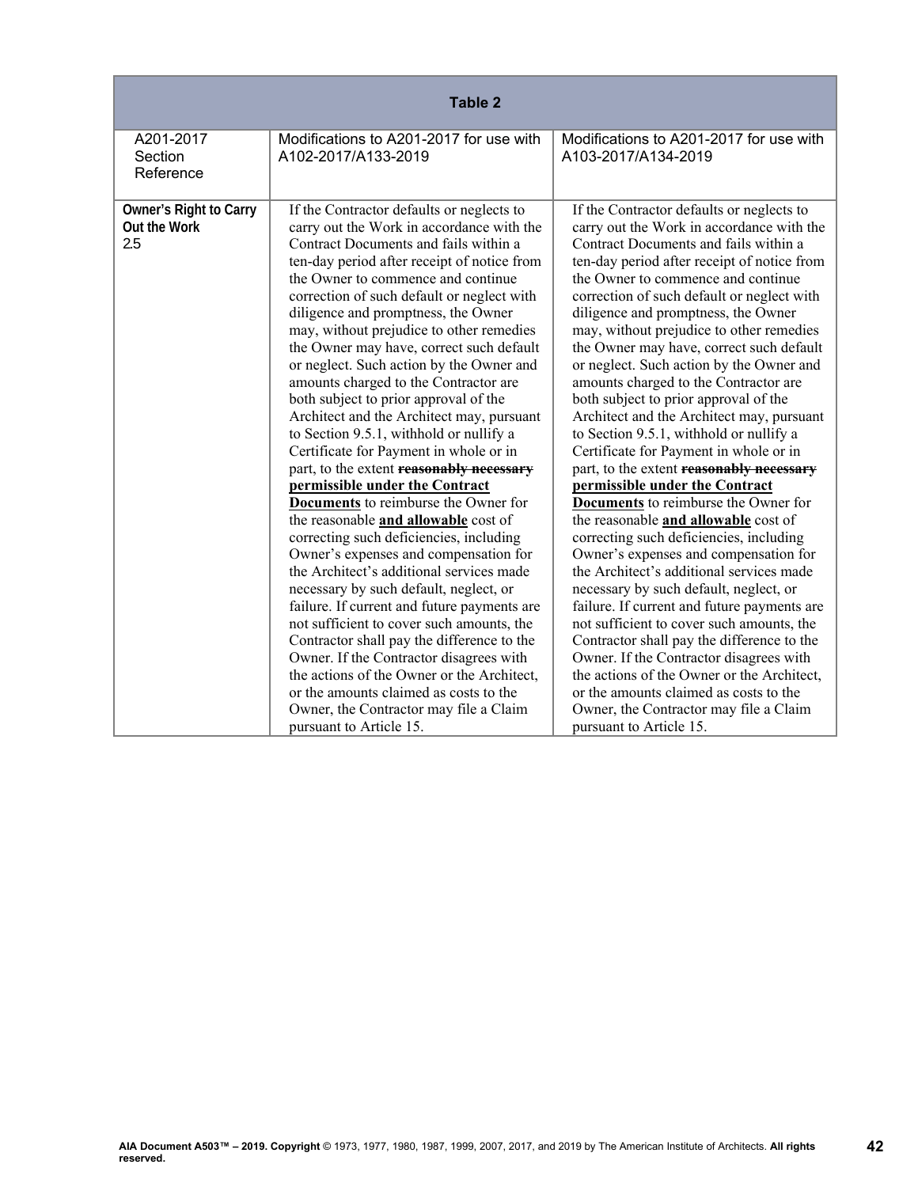|                                               | <b>Table 2</b>                                                                                                                                                                                                                                                                                                                                                                                                                                                                                                                                                                                                                                                                                                                                                                                                                                                                                                                                                                                                                                                                                                                                                                                                                                                                                                                                              |                                                                                                                                                                                                                                                                                                                                                                                                                                                                                                                                                                                                                                                                                                                                                                                                                                                                                                                                                                                                                                                                                                                                                                                                                                                                                                                                                                    |
|-----------------------------------------------|-------------------------------------------------------------------------------------------------------------------------------------------------------------------------------------------------------------------------------------------------------------------------------------------------------------------------------------------------------------------------------------------------------------------------------------------------------------------------------------------------------------------------------------------------------------------------------------------------------------------------------------------------------------------------------------------------------------------------------------------------------------------------------------------------------------------------------------------------------------------------------------------------------------------------------------------------------------------------------------------------------------------------------------------------------------------------------------------------------------------------------------------------------------------------------------------------------------------------------------------------------------------------------------------------------------------------------------------------------------|--------------------------------------------------------------------------------------------------------------------------------------------------------------------------------------------------------------------------------------------------------------------------------------------------------------------------------------------------------------------------------------------------------------------------------------------------------------------------------------------------------------------------------------------------------------------------------------------------------------------------------------------------------------------------------------------------------------------------------------------------------------------------------------------------------------------------------------------------------------------------------------------------------------------------------------------------------------------------------------------------------------------------------------------------------------------------------------------------------------------------------------------------------------------------------------------------------------------------------------------------------------------------------------------------------------------------------------------------------------------|
| A201-2017<br>Section<br>Reference             | Modifications to A201-2017 for use with<br>A102-2017/A133-2019                                                                                                                                                                                                                                                                                                                                                                                                                                                                                                                                                                                                                                                                                                                                                                                                                                                                                                                                                                                                                                                                                                                                                                                                                                                                                              | Modifications to A201-2017 for use with<br>A103-2017/A134-2019                                                                                                                                                                                                                                                                                                                                                                                                                                                                                                                                                                                                                                                                                                                                                                                                                                                                                                                                                                                                                                                                                                                                                                                                                                                                                                     |
| Owner's Right to Carry<br>Out the Work<br>2.5 | If the Contractor defaults or neglects to<br>carry out the Work in accordance with the<br>Contract Documents and fails within a<br>ten-day period after receipt of notice from<br>the Owner to commence and continue<br>correction of such default or neglect with<br>diligence and promptness, the Owner<br>may, without prejudice to other remedies<br>the Owner may have, correct such default<br>or neglect. Such action by the Owner and<br>amounts charged to the Contractor are<br>both subject to prior approval of the<br>Architect and the Architect may, pursuant<br>to Section 9.5.1, withhold or nullify a<br>Certificate for Payment in whole or in<br>part, to the extent reasonably necessary<br>permissible under the Contract<br>Documents to reimburse the Owner for<br>the reasonable and allowable cost of<br>correcting such deficiencies, including<br>Owner's expenses and compensation for<br>the Architect's additional services made<br>necessary by such default, neglect, or<br>failure. If current and future payments are<br>not sufficient to cover such amounts, the<br>Contractor shall pay the difference to the<br>Owner. If the Contractor disagrees with<br>the actions of the Owner or the Architect,<br>or the amounts claimed as costs to the<br>Owner, the Contractor may file a Claim<br>pursuant to Article 15. | If the Contractor defaults or neglects to<br>carry out the Work in accordance with the<br>Contract Documents and fails within a<br>ten-day period after receipt of notice from<br>the Owner to commence and continue<br>correction of such default or neglect with<br>diligence and promptness, the Owner<br>may, without prejudice to other remedies<br>the Owner may have, correct such default<br>or neglect. Such action by the Owner and<br>amounts charged to the Contractor are<br>both subject to prior approval of the<br>Architect and the Architect may, pursuant<br>to Section 9.5.1, withhold or nullify a<br>Certificate for Payment in whole or in<br>part, to the extent reasonably necessary<br>permissible under the Contract<br><b>Documents</b> to reimburse the Owner for<br>the reasonable and allowable cost of<br>correcting such deficiencies, including<br>Owner's expenses and compensation for<br>the Architect's additional services made<br>necessary by such default, neglect, or<br>failure. If current and future payments are<br>not sufficient to cover such amounts, the<br>Contractor shall pay the difference to the<br>Owner. If the Contractor disagrees with<br>the actions of the Owner or the Architect,<br>or the amounts claimed as costs to the<br>Owner, the Contractor may file a Claim<br>pursuant to Article 15. |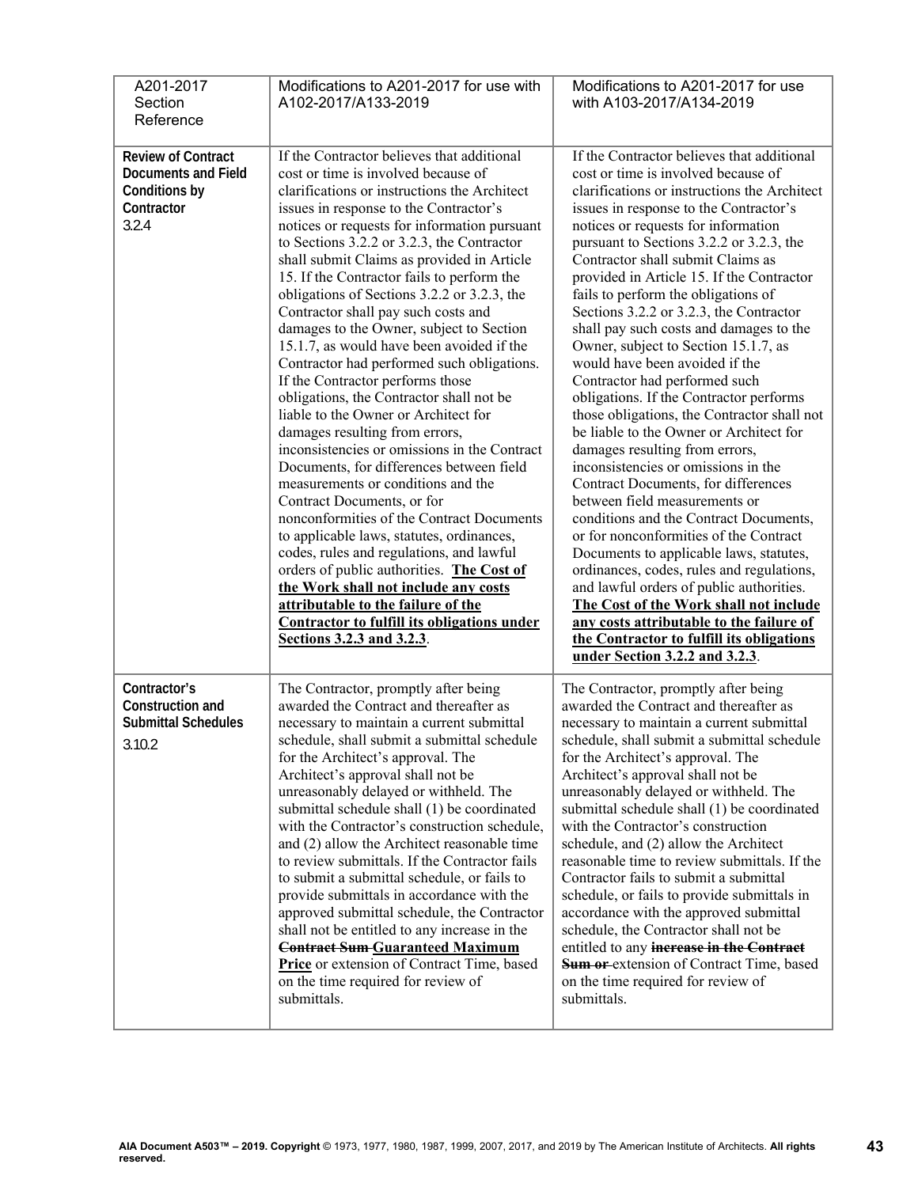| A201-2017<br>Section<br>Reference                                                               | Modifications to A201-2017 for use with<br>A102-2017/A133-2019                                                                                                                                                                                                                                                                                                                                                                                                                                                                                                                                                                                                                                                                                                                                                                                                                                                                                                                                                                                                                                                                                                                                                                                                                   | Modifications to A201-2017 for use<br>with A103-2017/A134-2019                                                                                                                                                                                                                                                                                                                                                                                                                                                                                                                                                                                                                                                                                                                                                                                                                                                                                                                                                                                                                                                                                                                                                                                                              |
|-------------------------------------------------------------------------------------------------|----------------------------------------------------------------------------------------------------------------------------------------------------------------------------------------------------------------------------------------------------------------------------------------------------------------------------------------------------------------------------------------------------------------------------------------------------------------------------------------------------------------------------------------------------------------------------------------------------------------------------------------------------------------------------------------------------------------------------------------------------------------------------------------------------------------------------------------------------------------------------------------------------------------------------------------------------------------------------------------------------------------------------------------------------------------------------------------------------------------------------------------------------------------------------------------------------------------------------------------------------------------------------------|-----------------------------------------------------------------------------------------------------------------------------------------------------------------------------------------------------------------------------------------------------------------------------------------------------------------------------------------------------------------------------------------------------------------------------------------------------------------------------------------------------------------------------------------------------------------------------------------------------------------------------------------------------------------------------------------------------------------------------------------------------------------------------------------------------------------------------------------------------------------------------------------------------------------------------------------------------------------------------------------------------------------------------------------------------------------------------------------------------------------------------------------------------------------------------------------------------------------------------------------------------------------------------|
| <b>Review of Contract</b><br><b>Documents and Field</b><br>Conditions by<br>Contractor<br>3.2.4 | If the Contractor believes that additional<br>cost or time is involved because of<br>clarifications or instructions the Architect<br>issues in response to the Contractor's<br>notices or requests for information pursuant<br>to Sections 3.2.2 or 3.2.3, the Contractor<br>shall submit Claims as provided in Article<br>15. If the Contractor fails to perform the<br>obligations of Sections 3.2.2 or 3.2.3, the<br>Contractor shall pay such costs and<br>damages to the Owner, subject to Section<br>15.1.7, as would have been avoided if the<br>Contractor had performed such obligations.<br>If the Contractor performs those<br>obligations, the Contractor shall not be<br>liable to the Owner or Architect for<br>damages resulting from errors,<br>inconsistencies or omissions in the Contract<br>Documents, for differences between field<br>measurements or conditions and the<br>Contract Documents, or for<br>nonconformities of the Contract Documents<br>to applicable laws, statutes, ordinances,<br>codes, rules and regulations, and lawful<br>orders of public authorities. The Cost of<br>the Work shall not include any costs<br>attributable to the failure of the<br>Contractor to fulfill its obligations under<br><b>Sections 3.2.3 and 3.2.3.</b> | If the Contractor believes that additional<br>cost or time is involved because of<br>clarifications or instructions the Architect<br>issues in response to the Contractor's<br>notices or requests for information<br>pursuant to Sections 3.2.2 or 3.2.3, the<br>Contractor shall submit Claims as<br>provided in Article 15. If the Contractor<br>fails to perform the obligations of<br>Sections 3.2.2 or 3.2.3, the Contractor<br>shall pay such costs and damages to the<br>Owner, subject to Section 15.1.7, as<br>would have been avoided if the<br>Contractor had performed such<br>obligations. If the Contractor performs<br>those obligations, the Contractor shall not<br>be liable to the Owner or Architect for<br>damages resulting from errors,<br>inconsistencies or omissions in the<br>Contract Documents, for differences<br>between field measurements or<br>conditions and the Contract Documents,<br>or for nonconformities of the Contract<br>Documents to applicable laws, statutes,<br>ordinances, codes, rules and regulations,<br>and lawful orders of public authorities.<br>The Cost of the Work shall not include<br>any costs attributable to the failure of<br>the Contractor to fulfill its obligations<br>under Section 3.2.2 and 3.2.3. |
| Contractor's<br>Construction and<br><b>Submittal Schedules</b><br>3.10.2                        | The Contractor, promptly after being<br>awarded the Contract and thereafter as<br>necessary to maintain a current submittal<br>schedule, shall submit a submittal schedule<br>for the Architect's approval. The<br>Architect's approval shall not be<br>unreasonably delayed or withheld. The<br>submittal schedule shall (1) be coordinated<br>with the Contractor's construction schedule,<br>and (2) allow the Architect reasonable time<br>to review submittals. If the Contractor fails<br>to submit a submittal schedule, or fails to<br>provide submittals in accordance with the<br>approved submittal schedule, the Contractor<br>shall not be entitled to any increase in the<br><b>Contract Sum-Guaranteed Maximum</b><br>Price or extension of Contract Time, based<br>on the time required for review of<br>submittals.                                                                                                                                                                                                                                                                                                                                                                                                                                             | The Contractor, promptly after being<br>awarded the Contract and thereafter as<br>necessary to maintain a current submittal<br>schedule, shall submit a submittal schedule<br>for the Architect's approval. The<br>Architect's approval shall not be<br>unreasonably delayed or withheld. The<br>submittal schedule shall (1) be coordinated<br>with the Contractor's construction<br>schedule, and (2) allow the Architect<br>reasonable time to review submittals. If the<br>Contractor fails to submit a submittal<br>schedule, or fails to provide submittals in<br>accordance with the approved submittal<br>schedule, the Contractor shall not be<br>entitled to any increase in the Contract<br><b>Sum or</b> -extension of Contract Time, based<br>on the time required for review of<br>submittals.                                                                                                                                                                                                                                                                                                                                                                                                                                                                |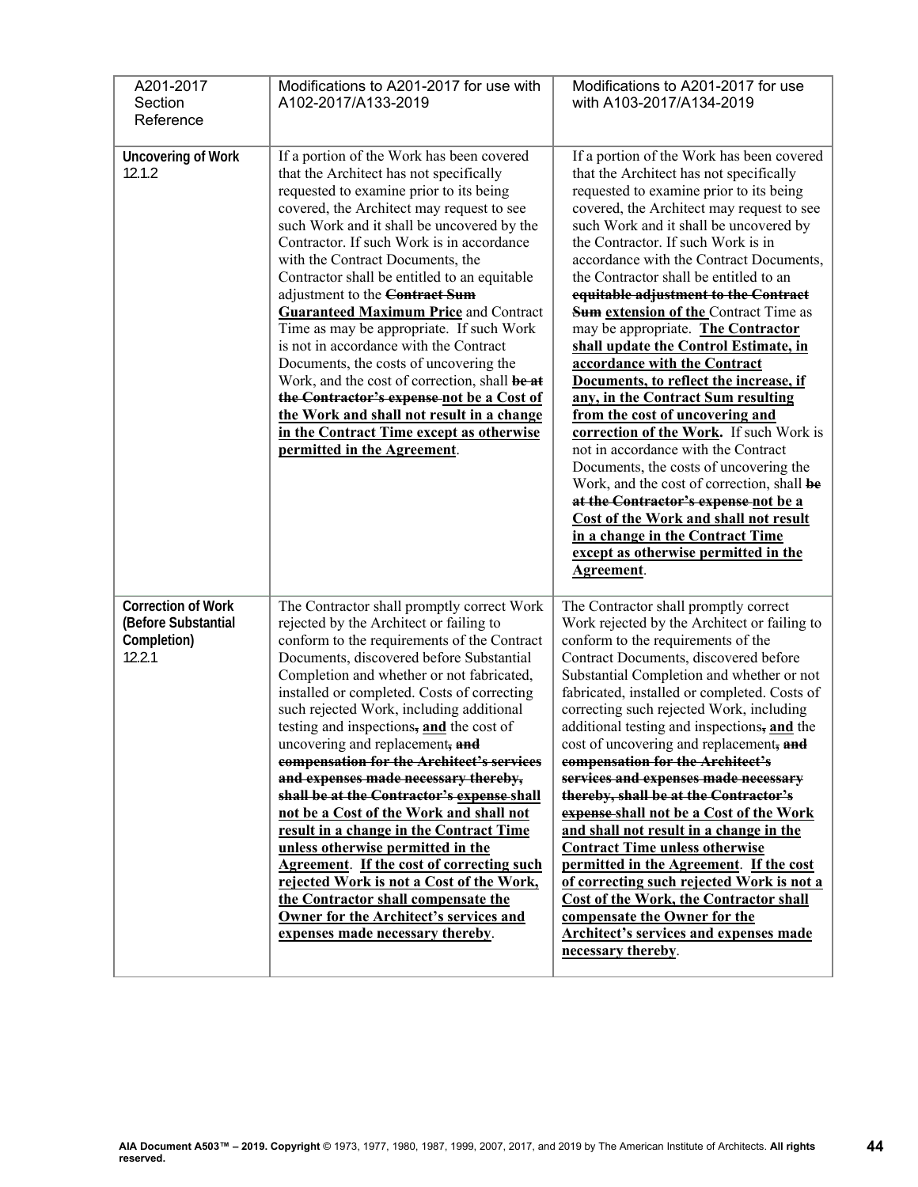| A201-2017<br>Section<br>Reference                                         | Modifications to A201-2017 for use with<br>A102-2017/A133-2019                                                                                                                                                                                                                                                                                                                                                                                                                                                                                                                                                                                                                                                                                                                                                                                                                             | Modifications to A201-2017 for use<br>with A103-2017/A134-2019                                                                                                                                                                                                                                                                                                                                                                                                                                                                                                                                                                                                                                                                                                                                                                                                                                                                                                                                                                   |
|---------------------------------------------------------------------------|--------------------------------------------------------------------------------------------------------------------------------------------------------------------------------------------------------------------------------------------------------------------------------------------------------------------------------------------------------------------------------------------------------------------------------------------------------------------------------------------------------------------------------------------------------------------------------------------------------------------------------------------------------------------------------------------------------------------------------------------------------------------------------------------------------------------------------------------------------------------------------------------|----------------------------------------------------------------------------------------------------------------------------------------------------------------------------------------------------------------------------------------------------------------------------------------------------------------------------------------------------------------------------------------------------------------------------------------------------------------------------------------------------------------------------------------------------------------------------------------------------------------------------------------------------------------------------------------------------------------------------------------------------------------------------------------------------------------------------------------------------------------------------------------------------------------------------------------------------------------------------------------------------------------------------------|
| <b>Uncovering of Work</b><br>12.1.2                                       | If a portion of the Work has been covered<br>that the Architect has not specifically<br>requested to examine prior to its being<br>covered, the Architect may request to see<br>such Work and it shall be uncovered by the<br>Contractor. If such Work is in accordance<br>with the Contract Documents, the<br>Contractor shall be entitled to an equitable<br>adjustment to the <b>Contract Sum</b><br><b>Guaranteed Maximum Price</b> and Contract<br>Time as may be appropriate. If such Work<br>is not in accordance with the Contract<br>Documents, the costs of uncovering the<br>Work, and the cost of correction, shall be at<br>the Contractor's expense not be a Cost of<br>the Work and shall not result in a change<br>in the Contract Time except as otherwise<br>permitted in the Agreement.                                                                                 | If a portion of the Work has been covered<br>that the Architect has not specifically<br>requested to examine prior to its being<br>covered, the Architect may request to see<br>such Work and it shall be uncovered by<br>the Contractor. If such Work is in<br>accordance with the Contract Documents,<br>the Contractor shall be entitled to an<br>equitable adjustment to the Contract<br><b>Sum extension of the Contract Time as</b><br>may be appropriate. The Contractor<br>shall update the Control Estimate, in<br>accordance with the Contract<br>Documents, to reflect the increase, if<br>any, in the Contract Sum resulting<br>from the cost of uncovering and<br>correction of the Work. If such Work is<br>not in accordance with the Contract<br>Documents, the costs of uncovering the<br>Work, and the cost of correction, shall be<br>at the Contractor's expense not be a<br>Cost of the Work and shall not result<br>in a change in the Contract Time<br>except as otherwise permitted in the<br>Agreement. |
| <b>Correction of Work</b><br>(Before Substantial<br>Completion)<br>12.2.1 | The Contractor shall promptly correct Work<br>rejected by the Architect or failing to<br>conform to the requirements of the Contract<br>Documents, discovered before Substantial<br>Completion and whether or not fabricated,<br>installed or completed. Costs of correcting<br>such rejected Work, including additional<br>testing and inspections, and the cost of<br>uncovering and replacement, and<br>compensation for the Architect's services<br>and expenses made necessary thereby,<br>shall be at the Contractor's expense shall<br>not be a Cost of the Work and shall not<br>result in a change in the Contract Time<br>unless otherwise permitted in the<br>Agreement. If the cost of correcting such<br>rejected Work is not a Cost of the Work,<br>the Contractor shall compensate the<br><b>Owner for the Architect's services and</b><br>expenses made necessary thereby. | The Contractor shall promptly correct<br>Work rejected by the Architect or failing to<br>conform to the requirements of the<br>Contract Documents, discovered before<br>Substantial Completion and whether or not<br>fabricated, installed or completed. Costs of<br>correcting such rejected Work, including<br>additional testing and inspections, and the<br>cost of uncovering and replacement, and<br>compensation for the Architect's<br>services and expenses made necessary<br>thereby, shall be at the Contractor's<br>expense shall not be a Cost of the Work<br>and shall not result in a change in the<br><b>Contract Time unless otherwise</b><br>permitted in the Agreement. If the cost<br>of correcting such rejected Work is not a<br><b>Cost of the Work, the Contractor shall</b><br>compensate the Owner for the<br><b>Architect's services and expenses made</b><br>necessary thereby.                                                                                                                      |